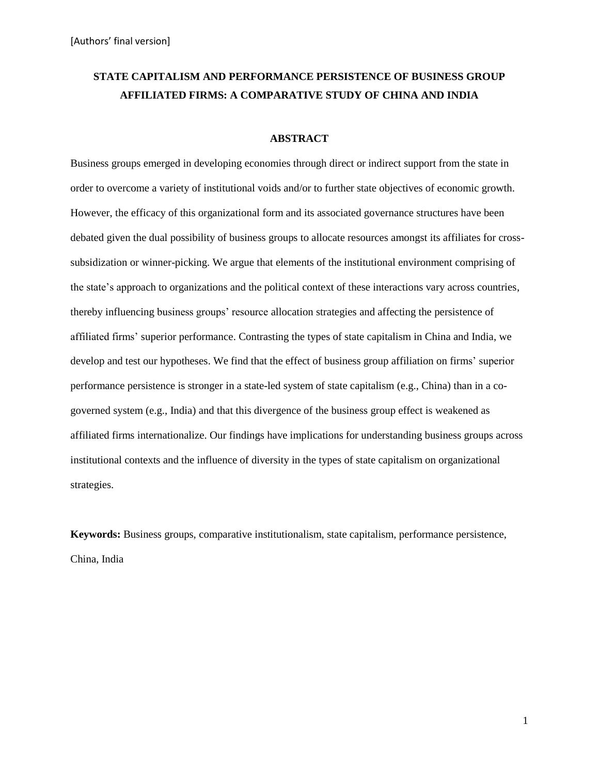# **STATE CAPITALISM AND PERFORMANCE PERSISTENCE OF BUSINESS GROUP AFFILIATED FIRMS: A COMPARATIVE STUDY OF CHINA AND INDIA**

#### **ABSTRACT**

Business groups emerged in developing economies through direct or indirect support from the state in order to overcome a variety of institutional voids and/or to further state objectives of economic growth. However, the efficacy of this organizational form and its associated governance structures have been debated given the dual possibility of business groups to allocate resources amongst its affiliates for crosssubsidization or winner-picking. We argue that elements of the institutional environment comprising of the state's approach to organizations and the political context of these interactions vary across countries, thereby influencing business groups' resource allocation strategies and affecting the persistence of affiliated firms' superior performance. Contrasting the types of state capitalism in China and India, we develop and test our hypotheses. We find that the effect of business group affiliation on firms' superior performance persistence is stronger in a state-led system of state capitalism (e.g., China) than in a cogoverned system (e.g., India) and that this divergence of the business group effect is weakened as affiliated firms internationalize. Our findings have implications for understanding business groups across institutional contexts and the influence of diversity in the types of state capitalism on organizational strategies.

**Keywords:** Business groups, comparative institutionalism, state capitalism, performance persistence, China, India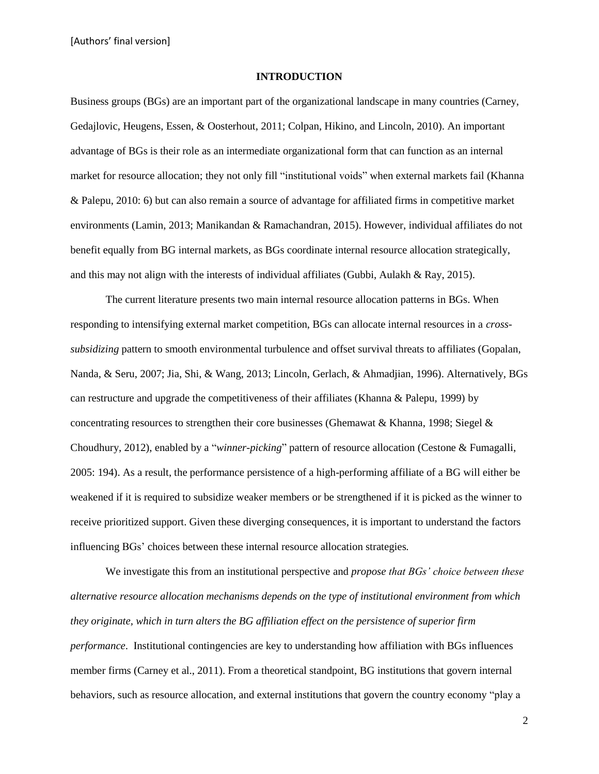#### **INTRODUCTION**

Business groups (BGs) are an important part of the organizational landscape in many countries (Carney, Gedajlovic, Heugens, Essen, & Oosterhout, 2011; Colpan, Hikino, and Lincoln, 2010). An important advantage of BGs is their role as an intermediate organizational form that can function as an internal market for resource allocation; they not only fill "institutional voids" when external markets fail (Khanna & Palepu, 2010: 6) but can also remain a source of advantage for affiliated firms in competitive market environments (Lamin, 2013; Manikandan & Ramachandran, 2015). However, individual affiliates do not benefit equally from BG internal markets, as BGs coordinate internal resource allocation strategically, and this may not align with the interests of individual affiliates (Gubbi, Aulakh & Ray, 2015).

The current literature presents two main internal resource allocation patterns in BGs. When responding to intensifying external market competition, BGs can allocate internal resources in a *crosssubsidizing* pattern to smooth environmental turbulence and offset survival threats to affiliates (Gopalan, Nanda, & Seru, 2007; Jia, Shi, & Wang, 2013; Lincoln, Gerlach, & Ahmadjian, 1996). Alternatively, BGs can restructure and upgrade the competitiveness of their affiliates (Khanna & Palepu, 1999) by concentrating resources to strengthen their core businesses (Ghemawat & Khanna, 1998; Siegel & Choudhury, 2012), enabled by a "*winner-picking*" pattern of resource allocation (Cestone & Fumagalli, 2005: 194). As a result, the performance persistence of a high-performing affiliate of a BG will either be weakened if it is required to subsidize weaker members or be strengthened if it is picked as the winner to receive prioritized support. Given these diverging consequences, it is important to understand the factors influencing BGs' choices between these internal resource allocation strategies*.*

We investigate this from an institutional perspective and *propose that BGs' choice between these alternative resource allocation mechanisms depends on the type of institutional environment from which they originate, which in turn alters the BG affiliation effect on the persistence of superior firm performance*. Institutional contingencies are key to understanding how affiliation with BGs influences member firms (Carney et al., 2011). From a theoretical standpoint, BG institutions that govern internal behaviors, such as resource allocation, and external institutions that govern the country economy "play a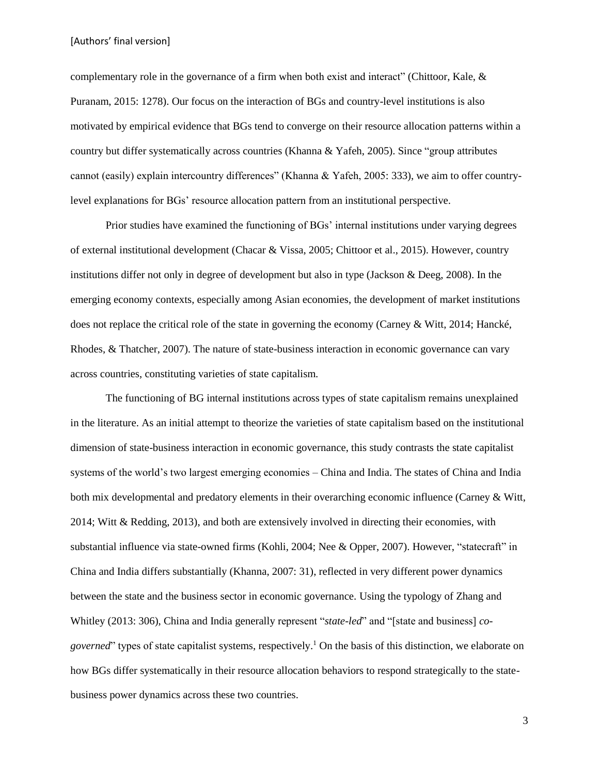complementary role in the governance of a firm when both exist and interact" (Chittoor, Kale, & Puranam, 2015: 1278). Our focus on the interaction of BGs and country-level institutions is also motivated by empirical evidence that BGs tend to converge on their resource allocation patterns within a country but differ systematically across countries (Khanna & Yafeh, 2005). Since "group attributes cannot (easily) explain intercountry differences" (Khanna & Yafeh, 2005: 333), we aim to offer countrylevel explanations for BGs' resource allocation pattern from an institutional perspective.

Prior studies have examined the functioning of BGs' internal institutions under varying degrees of external institutional development (Chacar & Vissa, 2005; Chittoor et al., 2015). However, country institutions differ not only in degree of development but also in type (Jackson & Deeg, 2008). In the emerging economy contexts, especially among Asian economies, the development of market institutions does not replace the critical role of the state in governing the economy (Carney & Witt, 2014; Hancké, Rhodes, & Thatcher, 2007). The nature of state-business interaction in economic governance can vary across countries, constituting varieties of state capitalism.

The functioning of BG internal institutions across types of state capitalism remains unexplained in the literature. As an initial attempt to theorize the varieties of state capitalism based on the institutional dimension of state-business interaction in economic governance, this study contrasts the state capitalist systems of the world's two largest emerging economies – China and India. The states of China and India both mix developmental and predatory elements in their overarching economic influence (Carney & Witt, 2014; Witt & Redding, 2013), and both are extensively involved in directing their economies, with substantial influence via state-owned firms (Kohli, 2004; Nee & Opper, 2007). However, "statecraft" in China and India differs substantially (Khanna, 2007: 31), reflected in very different power dynamics between the state and the business sector in economic governance. Using the typology of Zhang and Whitley (2013: 306), China and India generally represent "*state-led*" and "[state and business] *cogoverned*" types of state capitalist systems, respectively. <sup>1</sup> On the basis of this distinction, we elaborate on how BGs differ systematically in their resource allocation behaviors to respond strategically to the statebusiness power dynamics across these two countries.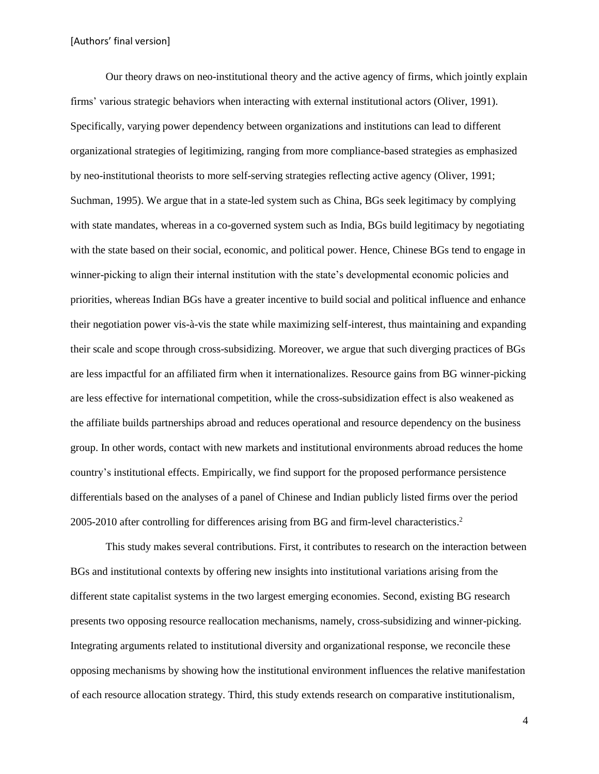Our theory draws on neo-institutional theory and the active agency of firms, which jointly explain firms' various strategic behaviors when interacting with external institutional actors (Oliver, 1991). Specifically, varying power dependency between organizations and institutions can lead to different organizational strategies of legitimizing, ranging from more compliance-based strategies as emphasized by neo-institutional theorists to more self-serving strategies reflecting active agency (Oliver, 1991; Suchman, 1995). We argue that in a state-led system such as China, BGs seek legitimacy by complying with state mandates, whereas in a co-governed system such as India, BGs build legitimacy by negotiating with the state based on their social, economic, and political power. Hence, Chinese BGs tend to engage in winner-picking to align their internal institution with the state's developmental economic policies and priorities, whereas Indian BGs have a greater incentive to build social and political influence and enhance their negotiation power vis-à-vis the state while maximizing self-interest, thus maintaining and expanding their scale and scope through cross-subsidizing. Moreover, we argue that such diverging practices of BGs are less impactful for an affiliated firm when it internationalizes. Resource gains from BG winner-picking are less effective for international competition, while the cross-subsidization effect is also weakened as the affiliate builds partnerships abroad and reduces operational and resource dependency on the business group. In other words, contact with new markets and institutional environments abroad reduces the home country's institutional effects. Empirically, we find support for the proposed performance persistence differentials based on the analyses of a panel of Chinese and Indian publicly listed firms over the period 2005-2010 after controlling for differences arising from BG and firm-level characteristics. 2

This study makes several contributions. First, it contributes to research on the interaction between BGs and institutional contexts by offering new insights into institutional variations arising from the different state capitalist systems in the two largest emerging economies. Second, existing BG research presents two opposing resource reallocation mechanisms, namely, cross-subsidizing and winner-picking. Integrating arguments related to institutional diversity and organizational response, we reconcile these opposing mechanisms by showing how the institutional environment influences the relative manifestation of each resource allocation strategy. Third, this study extends research on comparative institutionalism,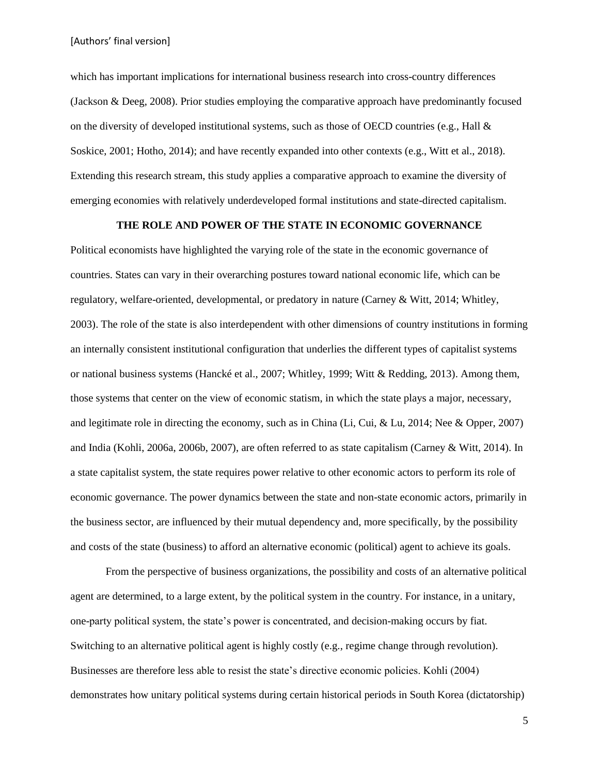which has important implications for international business research into cross-country differences (Jackson & Deeg, 2008). Prior studies employing the comparative approach have predominantly focused on the diversity of developed institutional systems, such as those of OECD countries (e.g., Hall  $\&$ Soskice, 2001; Hotho, 2014); and have recently expanded into other contexts (e.g., Witt et al., 2018). Extending this research stream, this study applies a comparative approach to examine the diversity of emerging economies with relatively underdeveloped formal institutions and state-directed capitalism.

# **THE ROLE AND POWER OF THE STATE IN ECONOMIC GOVERNANCE**

Political economists have highlighted the varying role of the state in the economic governance of countries. States can vary in their overarching postures toward national economic life, which can be regulatory, welfare-oriented, developmental, or predatory in nature (Carney & Witt, 2014; Whitley, 2003). The role of the state is also interdependent with other dimensions of country institutions in forming an internally consistent institutional configuration that underlies the different types of capitalist systems or national business systems (Hancké et al., 2007; Whitley, 1999; Witt & Redding, 2013). Among them, those systems that center on the view of economic statism, in which the state plays a major, necessary, and legitimate role in directing the economy, such as in China (Li, Cui, & Lu, 2014; Nee & Opper, 2007) and India (Kohli, 2006a, 2006b, 2007), are often referred to as state capitalism (Carney & Witt, 2014). In a state capitalist system, the state requires power relative to other economic actors to perform its role of economic governance. The power dynamics between the state and non-state economic actors, primarily in the business sector, are influenced by their mutual dependency and, more specifically, by the possibility and costs of the state (business) to afford an alternative economic (political) agent to achieve its goals.

From the perspective of business organizations, the possibility and costs of an alternative political agent are determined, to a large extent, by the political system in the country. For instance, in a unitary, one-party political system, the state's power is concentrated, and decision-making occurs by fiat. Switching to an alternative political agent is highly costly (e.g., regime change through revolution). Businesses are therefore less able to resist the state's directive economic policies. Kohli (2004) demonstrates how unitary political systems during certain historical periods in South Korea (dictatorship)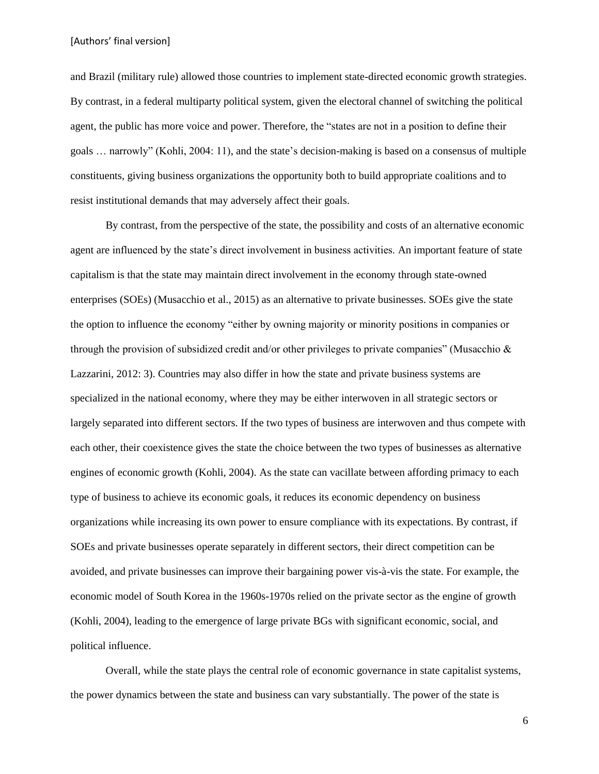and Brazil (military rule) allowed those countries to implement state-directed economic growth strategies. By contrast, in a federal multiparty political system, given the electoral channel of switching the political agent, the public has more voice and power. Therefore, the "states are not in a position to define their goals … narrowly" (Kohli, 2004: 11), and the state's decision-making is based on a consensus of multiple constituents, giving business organizations the opportunity both to build appropriate coalitions and to resist institutional demands that may adversely affect their goals.

By contrast, from the perspective of the state, the possibility and costs of an alternative economic agent are influenced by the state's direct involvement in business activities. An important feature of state capitalism is that the state may maintain direct involvement in the economy through state-owned enterprises (SOEs) (Musacchio et al., 2015) as an alternative to private businesses. SOEs give the state the option to influence the economy "either by owning majority or minority positions in companies or through the provision of subsidized credit and/or other privileges to private companies" (Musacchio & Lazzarini, 2012: 3). Countries may also differ in how the state and private business systems are specialized in the national economy, where they may be either interwoven in all strategic sectors or largely separated into different sectors. If the two types of business are interwoven and thus compete with each other, their coexistence gives the state the choice between the two types of businesses as alternative engines of economic growth (Kohli, 2004). As the state can vacillate between affording primacy to each type of business to achieve its economic goals, it reduces its economic dependency on business organizations while increasing its own power to ensure compliance with its expectations. By contrast, if SOEs and private businesses operate separately in different sectors, their direct competition can be avoided, and private businesses can improve their bargaining power vis-à-vis the state. For example, the economic model of South Korea in the 1960s-1970s relied on the private sector as the engine of growth (Kohli, 2004), leading to the emergence of large private BGs with significant economic, social, and political influence.

Overall, while the state plays the central role of economic governance in state capitalist systems, the power dynamics between the state and business can vary substantially. The power of the state is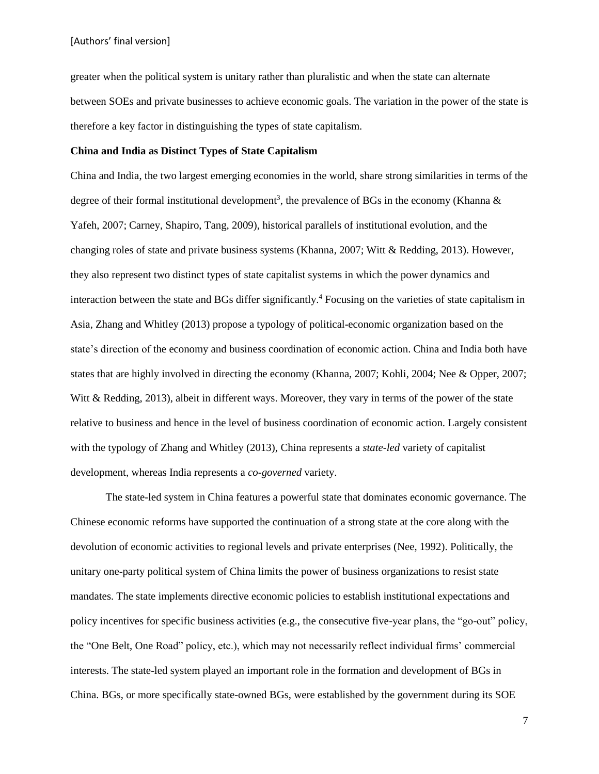greater when the political system is unitary rather than pluralistic and when the state can alternate between SOEs and private businesses to achieve economic goals. The variation in the power of the state is therefore a key factor in distinguishing the types of state capitalism.

# **China and India as Distinct Types of State Capitalism**

China and India, the two largest emerging economies in the world, share strong similarities in terms of the degree of their formal institutional development<sup>3</sup>, the prevalence of BGs in the economy (Khanna  $\&$ Yafeh, 2007; Carney, Shapiro, Tang, 2009), historical parallels of institutional evolution, and the changing roles of state and private business systems (Khanna, 2007; Witt & Redding, 2013). However, they also represent two distinct types of state capitalist systems in which the power dynamics and interaction between the state and BGs differ significantly. <sup>4</sup> Focusing on the varieties of state capitalism in Asia, Zhang and Whitley (2013) propose a typology of political-economic organization based on the state's direction of the economy and business coordination of economic action. China and India both have states that are highly involved in directing the economy (Khanna, 2007; Kohli, 2004; Nee & Opper, 2007; Witt & Redding, 2013), albeit in different ways. Moreover, they vary in terms of the power of the state relative to business and hence in the level of business coordination of economic action. Largely consistent with the typology of Zhang and Whitley (2013), China represents a *state-led* variety of capitalist development, whereas India represents a *co-governed* variety.

The state-led system in China features a powerful state that dominates economic governance. The Chinese economic reforms have supported the continuation of a strong state at the core along with the devolution of economic activities to regional levels and private enterprises (Nee, 1992). Politically, the unitary one-party political system of China limits the power of business organizations to resist state mandates. The state implements directive economic policies to establish institutional expectations and policy incentives for specific business activities (e.g., the consecutive five-year plans, the "go-out" policy, the "One Belt, One Road" policy, etc.), which may not necessarily reflect individual firms' commercial interests. The state-led system played an important role in the formation and development of BGs in China. BGs, or more specifically state-owned BGs, were established by the government during its SOE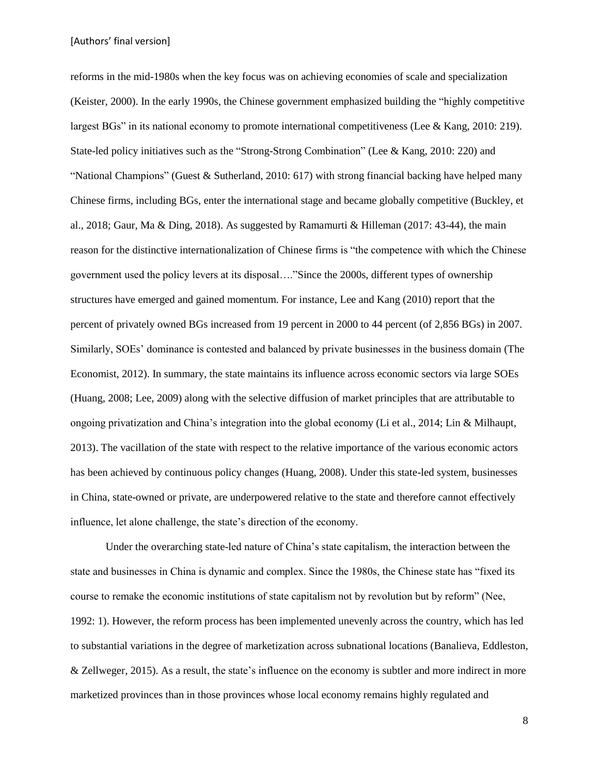reforms in the mid-1980s when the key focus was on achieving economies of scale and specialization (Keister, 2000). In the early 1990s, the Chinese government emphasized building the "highly competitive largest BGs" in its national economy to promote international competitiveness (Lee & Kang, 2010: 219). State-led policy initiatives such as the "Strong-Strong Combination" (Lee & Kang, 2010: 220) and "National Champions" (Guest & Sutherland, 2010: 617) with strong financial backing have helped many Chinese firms, including BGs, enter the international stage and became globally competitive (Buckley, et al., 2018; Gaur, Ma & Ding, 2018). As suggested by Ramamurti & Hilleman (2017: 43-44), the main reason for the distinctive internationalization of Chinese firms is "the competence with which the Chinese government used the policy levers at its disposal…."Since the 2000s, different types of ownership structures have emerged and gained momentum. For instance, Lee and Kang (2010) report that the percent of privately owned BGs increased from 19 percent in 2000 to 44 percent (of 2,856 BGs) in 2007. Similarly, SOEs' dominance is contested and balanced by private businesses in the business domain (The Economist, 2012). In summary, the state maintains its influence across economic sectors via large SOEs (Huang, 2008; Lee, 2009) along with the selective diffusion of market principles that are attributable to ongoing privatization and China's integration into the global economy (Li et al., 2014; Lin & Milhaupt, 2013). The vacillation of the state with respect to the relative importance of the various economic actors has been achieved by continuous policy changes (Huang, 2008). Under this state-led system, businesses in China, state-owned or private, are underpowered relative to the state and therefore cannot effectively influence, let alone challenge, the state's direction of the economy.

Under the overarching state-led nature of China's state capitalism, the interaction between the state and businesses in China is dynamic and complex. Since the 1980s, the Chinese state has "fixed its course to remake the economic institutions of state capitalism not by revolution but by reform" (Nee, 1992: 1). However, the reform process has been implemented unevenly across the country, which has led to substantial variations in the degree of marketization across subnational locations (Banalieva, Eddleston, & Zellweger, 2015). As a result, the state's influence on the economy is subtler and more indirect in more marketized provinces than in those provinces whose local economy remains highly regulated and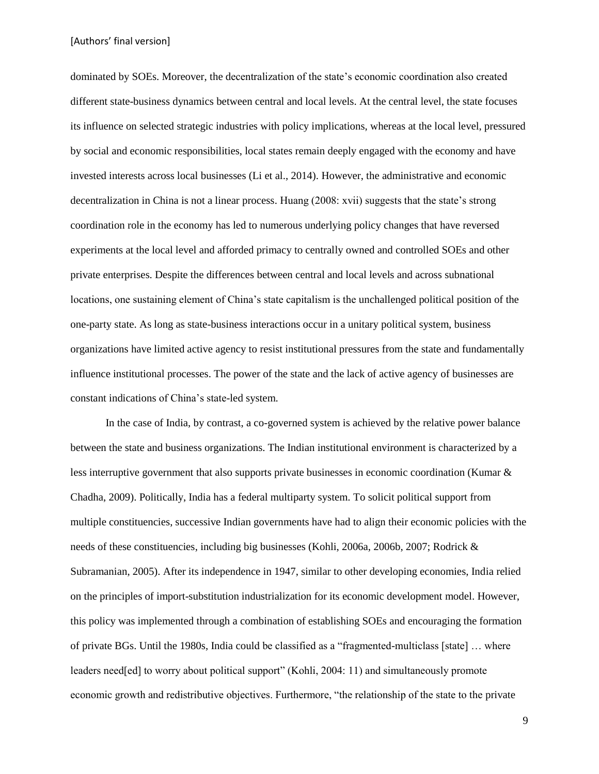dominated by SOEs. Moreover, the decentralization of the state's economic coordination also created different state-business dynamics between central and local levels. At the central level, the state focuses its influence on selected strategic industries with policy implications, whereas at the local level, pressured by social and economic responsibilities, local states remain deeply engaged with the economy and have invested interests across local businesses (Li et al., 2014). However, the administrative and economic decentralization in China is not a linear process. Huang (2008: xvii) suggests that the state's strong coordination role in the economy has led to numerous underlying policy changes that have reversed experiments at the local level and afforded primacy to centrally owned and controlled SOEs and other private enterprises. Despite the differences between central and local levels and across subnational locations, one sustaining element of China's state capitalism is the unchallenged political position of the one-party state. As long as state-business interactions occur in a unitary political system, business organizations have limited active agency to resist institutional pressures from the state and fundamentally influence institutional processes. The power of the state and the lack of active agency of businesses are constant indications of China's state-led system.

In the case of India, by contrast, a co-governed system is achieved by the relative power balance between the state and business organizations. The Indian institutional environment is characterized by a less interruptive government that also supports private businesses in economic coordination (Kumar & Chadha, 2009). Politically, India has a federal multiparty system. To solicit political support from multiple constituencies, successive Indian governments have had to align their economic policies with the needs of these constituencies, including big businesses (Kohli, 2006a, 2006b, 2007; Rodrick & Subramanian, 2005). After its independence in 1947, similar to other developing economies, India relied on the principles of import-substitution industrialization for its economic development model. However, this policy was implemented through a combination of establishing SOEs and encouraging the formation of private BGs. Until the 1980s, India could be classified as a "fragmented-multiclass [state] … where leaders need[ed] to worry about political support" (Kohli, 2004: 11) and simultaneously promote economic growth and redistributive objectives. Furthermore, "the relationship of the state to the private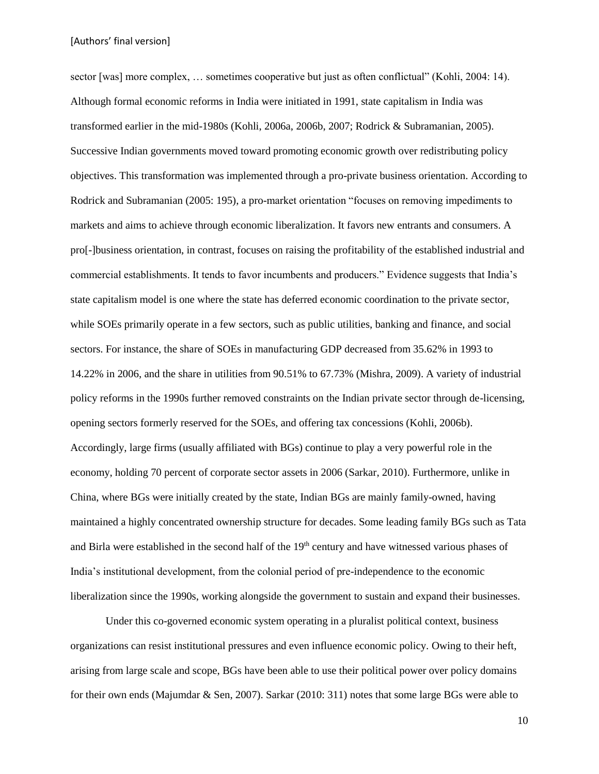sector [was] more complex, ... sometimes cooperative but just as often conflictual" (Kohli, 2004: 14). Although formal economic reforms in India were initiated in 1991, state capitalism in India was transformed earlier in the mid-1980s (Kohli, 2006a, 2006b, 2007; Rodrick & Subramanian, 2005). Successive Indian governments moved toward promoting economic growth over redistributing policy objectives. This transformation was implemented through a pro-private business orientation. According to Rodrick and Subramanian (2005: 195), a pro-market orientation "focuses on removing impediments to markets and aims to achieve through economic liberalization. It favors new entrants and consumers. A pro[-]business orientation, in contrast, focuses on raising the profitability of the established industrial and commercial establishments. It tends to favor incumbents and producers." Evidence suggests that India's state capitalism model is one where the state has deferred economic coordination to the private sector, while SOEs primarily operate in a few sectors, such as public utilities, banking and finance, and social sectors. For instance, the share of SOEs in manufacturing GDP decreased from 35.62% in 1993 to 14.22% in 2006, and the share in utilities from 90.51% to 67.73% (Mishra, 2009). A variety of industrial policy reforms in the 1990s further removed constraints on the Indian private sector through de-licensing, opening sectors formerly reserved for the SOEs, and offering tax concessions (Kohli, 2006b). Accordingly, large firms (usually affiliated with BGs) continue to play a very powerful role in the economy, holding 70 percent of corporate sector assets in 2006 (Sarkar, 2010). Furthermore, unlike in China, where BGs were initially created by the state, Indian BGs are mainly family-owned, having maintained a highly concentrated ownership structure for decades. Some leading family BGs such as Tata and Birla were established in the second half of the 19<sup>th</sup> century and have witnessed various phases of India's institutional development, from the colonial period of pre-independence to the economic liberalization since the 1990s, working alongside the government to sustain and expand their businesses.

Under this co-governed economic system operating in a pluralist political context, business organizations can resist institutional pressures and even influence economic policy. Owing to their heft, arising from large scale and scope, BGs have been able to use their political power over policy domains for their own ends (Majumdar & Sen, 2007). Sarkar (2010: 311) notes that some large BGs were able to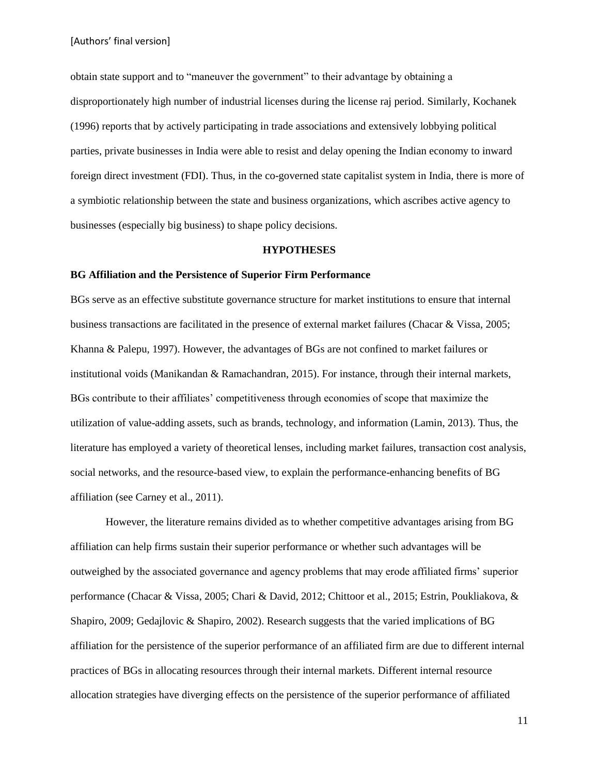obtain state support and to "maneuver the government" to their advantage by obtaining a disproportionately high number of industrial licenses during the license raj period. Similarly, Kochanek (1996) reports that by actively participating in trade associations and extensively lobbying political parties, private businesses in India were able to resist and delay opening the Indian economy to inward foreign direct investment (FDI). Thus, in the co-governed state capitalist system in India, there is more of a symbiotic relationship between the state and business organizations, which ascribes active agency to businesses (especially big business) to shape policy decisions.

#### **HYPOTHESES**

#### **BG Affiliation and the Persistence of Superior Firm Performance**

BGs serve as an effective substitute governance structure for market institutions to ensure that internal business transactions are facilitated in the presence of external market failures (Chacar & Vissa, 2005; Khanna & Palepu, 1997). However, the advantages of BGs are not confined to market failures or institutional voids (Manikandan & Ramachandran, 2015). For instance, through their internal markets, BGs contribute to their affiliates' competitiveness through economies of scope that maximize the utilization of value-adding assets, such as brands, technology, and information (Lamin, 2013). Thus, the literature has employed a variety of theoretical lenses, including market failures, transaction cost analysis, social networks, and the resource-based view, to explain the performance-enhancing benefits of BG affiliation (see Carney et al., 2011).

However, the literature remains divided as to whether competitive advantages arising from BG affiliation can help firms sustain their superior performance or whether such advantages will be outweighed by the associated governance and agency problems that may erode affiliated firms' superior performance (Chacar & Vissa, 2005; Chari & David, 2012; Chittoor et al., 2015; Estrin, Poukliakova, & Shapiro, 2009; Gedajlovic & Shapiro, 2002). Research suggests that the varied implications of BG affiliation for the persistence of the superior performance of an affiliated firm are due to different internal practices of BGs in allocating resources through their internal markets. Different internal resource allocation strategies have diverging effects on the persistence of the superior performance of affiliated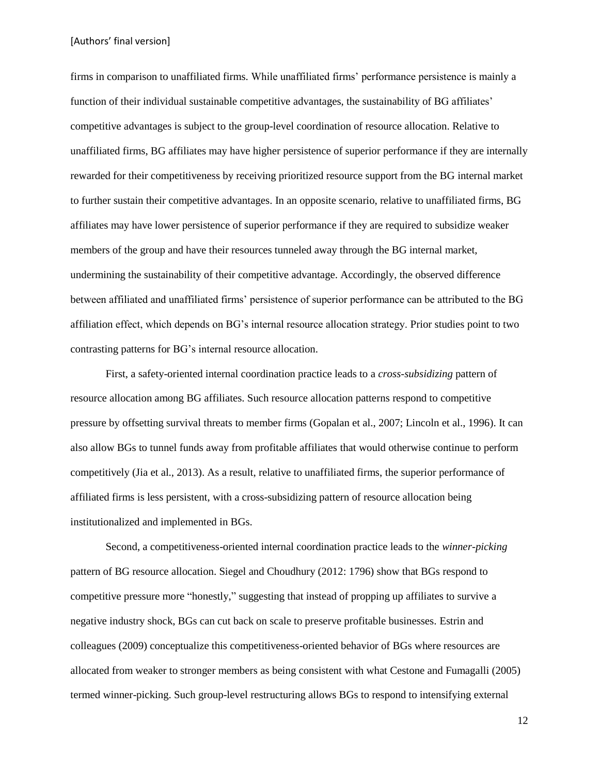firms in comparison to unaffiliated firms. While unaffiliated firms' performance persistence is mainly a function of their individual sustainable competitive advantages, the sustainability of BG affiliates' competitive advantages is subject to the group-level coordination of resource allocation. Relative to unaffiliated firms, BG affiliates may have higher persistence of superior performance if they are internally rewarded for their competitiveness by receiving prioritized resource support from the BG internal market to further sustain their competitive advantages. In an opposite scenario, relative to unaffiliated firms, BG affiliates may have lower persistence of superior performance if they are required to subsidize weaker members of the group and have their resources tunneled away through the BG internal market, undermining the sustainability of their competitive advantage. Accordingly, the observed difference between affiliated and unaffiliated firms' persistence of superior performance can be attributed to the BG affiliation effect, which depends on BG's internal resource allocation strategy. Prior studies point to two contrasting patterns for BG's internal resource allocation.

First, a safety-oriented internal coordination practice leads to a *cross-subsidizing* pattern of resource allocation among BG affiliates. Such resource allocation patterns respond to competitive pressure by offsetting survival threats to member firms (Gopalan et al., 2007; Lincoln et al., 1996). It can also allow BGs to tunnel funds away from profitable affiliates that would otherwise continue to perform competitively (Jia et al., 2013). As a result, relative to unaffiliated firms, the superior performance of affiliated firms is less persistent, with a cross-subsidizing pattern of resource allocation being institutionalized and implemented in BGs.

Second, a competitiveness-oriented internal coordination practice leads to the *winner-picking* pattern of BG resource allocation. Siegel and Choudhury (2012: 1796) show that BGs respond to competitive pressure more "honestly," suggesting that instead of propping up affiliates to survive a negative industry shock, BGs can cut back on scale to preserve profitable businesses. Estrin and colleagues (2009) conceptualize this competitiveness-oriented behavior of BGs where resources are allocated from weaker to stronger members as being consistent with what Cestone and Fumagalli (2005) termed winner-picking. Such group-level restructuring allows BGs to respond to intensifying external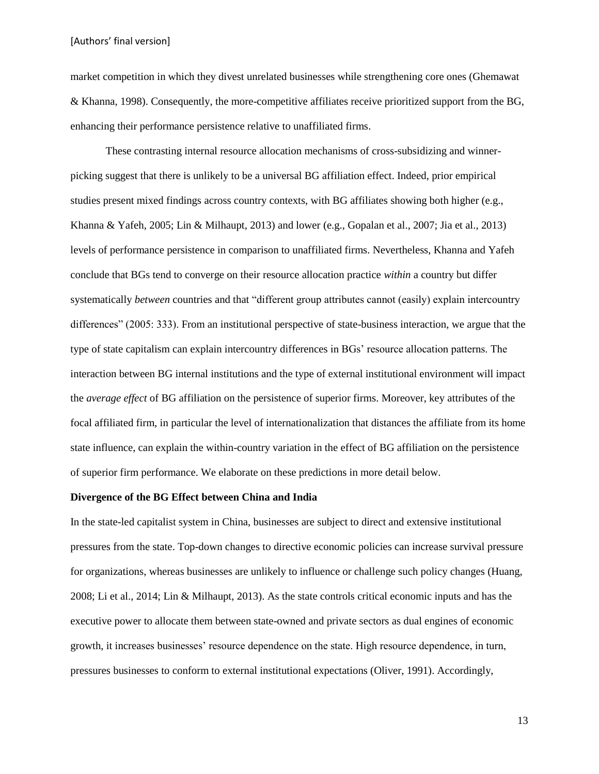market competition in which they divest unrelated businesses while strengthening core ones (Ghemawat & Khanna, 1998). Consequently, the more-competitive affiliates receive prioritized support from the BG, enhancing their performance persistence relative to unaffiliated firms.

These contrasting internal resource allocation mechanisms of cross-subsidizing and winnerpicking suggest that there is unlikely to be a universal BG affiliation effect. Indeed, prior empirical studies present mixed findings across country contexts, with BG affiliates showing both higher (e.g., Khanna & Yafeh, 2005; Lin & Milhaupt, 2013) and lower (e.g., Gopalan et al., 2007; Jia et al., 2013) levels of performance persistence in comparison to unaffiliated firms. Nevertheless, Khanna and Yafeh conclude that BGs tend to converge on their resource allocation practice *within* a country but differ systematically *between* countries and that "different group attributes cannot (easily) explain intercountry differences" (2005: 333). From an institutional perspective of state-business interaction, we argue that the type of state capitalism can explain intercountry differences in BGs' resource allocation patterns. The interaction between BG internal institutions and the type of external institutional environment will impact the *average effect* of BG affiliation on the persistence of superior firms. Moreover, key attributes of the focal affiliated firm, in particular the level of internationalization that distances the affiliate from its home state influence, can explain the within-country variation in the effect of BG affiliation on the persistence of superior firm performance. We elaborate on these predictions in more detail below.

#### **Divergence of the BG Effect between China and India**

In the state-led capitalist system in China, businesses are subject to direct and extensive institutional pressures from the state. Top-down changes to directive economic policies can increase survival pressure for organizations, whereas businesses are unlikely to influence or challenge such policy changes (Huang, 2008; Li et al., 2014; Lin & Milhaupt, 2013). As the state controls critical economic inputs and has the executive power to allocate them between state-owned and private sectors as dual engines of economic growth, it increases businesses' resource dependence on the state. High resource dependence, in turn, pressures businesses to conform to external institutional expectations (Oliver, 1991). Accordingly,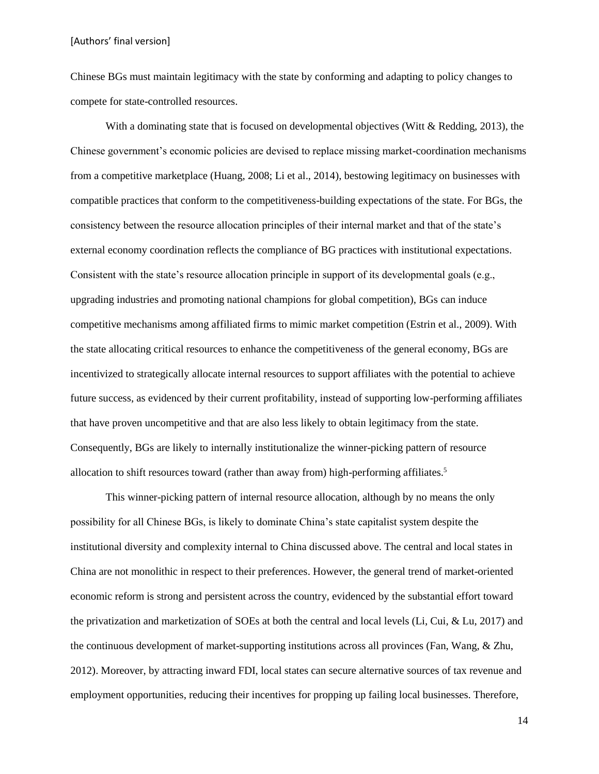Chinese BGs must maintain legitimacy with the state by conforming and adapting to policy changes to compete for state-controlled resources.

With a dominating state that is focused on developmental objectives (Witt & Redding, 2013), the Chinese government's economic policies are devised to replace missing market-coordination mechanisms from a competitive marketplace (Huang, 2008; Li et al., 2014), bestowing legitimacy on businesses with compatible practices that conform to the competitiveness-building expectations of the state. For BGs, the consistency between the resource allocation principles of their internal market and that of the state's external economy coordination reflects the compliance of BG practices with institutional expectations. Consistent with the state's resource allocation principle in support of its developmental goals (e.g., upgrading industries and promoting national champions for global competition), BGs can induce competitive mechanisms among affiliated firms to mimic market competition (Estrin et al., 2009). With the state allocating critical resources to enhance the competitiveness of the general economy, BGs are incentivized to strategically allocate internal resources to support affiliates with the potential to achieve future success, as evidenced by their current profitability, instead of supporting low-performing affiliates that have proven uncompetitive and that are also less likely to obtain legitimacy from the state. Consequently, BGs are likely to internally institutionalize the winner-picking pattern of resource allocation to shift resources toward (rather than away from) high-performing affiliates.<sup>5</sup>

This winner-picking pattern of internal resource allocation, although by no means the only possibility for all Chinese BGs, is likely to dominate China's state capitalist system despite the institutional diversity and complexity internal to China discussed above. The central and local states in China are not monolithic in respect to their preferences. However, the general trend of market-oriented economic reform is strong and persistent across the country, evidenced by the substantial effort toward the privatization and marketization of SOEs at both the central and local levels (Li, Cui, & Lu, 2017) and the continuous development of market-supporting institutions across all provinces (Fan, Wang, & Zhu, 2012). Moreover, by attracting inward FDI, local states can secure alternative sources of tax revenue and employment opportunities, reducing their incentives for propping up failing local businesses. Therefore,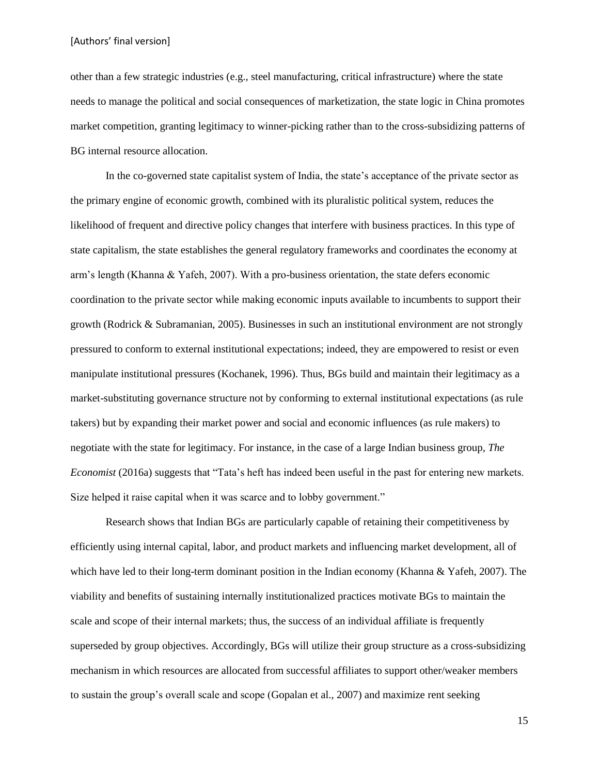other than a few strategic industries (e.g., steel manufacturing, critical infrastructure) where the state needs to manage the political and social consequences of marketization, the state logic in China promotes market competition, granting legitimacy to winner-picking rather than to the cross-subsidizing patterns of BG internal resource allocation.

In the co-governed state capitalist system of India, the state's acceptance of the private sector as the primary engine of economic growth, combined with its pluralistic political system, reduces the likelihood of frequent and directive policy changes that interfere with business practices. In this type of state capitalism, the state establishes the general regulatory frameworks and coordinates the economy at arm's length (Khanna & Yafeh, 2007). With a pro-business orientation, the state defers economic coordination to the private sector while making economic inputs available to incumbents to support their growth (Rodrick & Subramanian, 2005). Businesses in such an institutional environment are not strongly pressured to conform to external institutional expectations; indeed, they are empowered to resist or even manipulate institutional pressures (Kochanek, 1996). Thus, BGs build and maintain their legitimacy as a market-substituting governance structure not by conforming to external institutional expectations (as rule takers) but by expanding their market power and social and economic influences (as rule makers) to negotiate with the state for legitimacy. For instance, in the case of a large Indian business group, *The Economist* (2016a) suggests that "Tata's heft has indeed been useful in the past for entering new markets. Size helped it raise capital when it was scarce and to lobby government."

Research shows that Indian BGs are particularly capable of retaining their competitiveness by efficiently using internal capital, labor, and product markets and influencing market development, all of which have led to their long-term dominant position in the Indian economy (Khanna & Yafeh, 2007). The viability and benefits of sustaining internally institutionalized practices motivate BGs to maintain the scale and scope of their internal markets; thus, the success of an individual affiliate is frequently superseded by group objectives. Accordingly, BGs will utilize their group structure as a cross-subsidizing mechanism in which resources are allocated from successful affiliates to support other/weaker members to sustain the group's overall scale and scope (Gopalan et al., 2007) and maximize rent seeking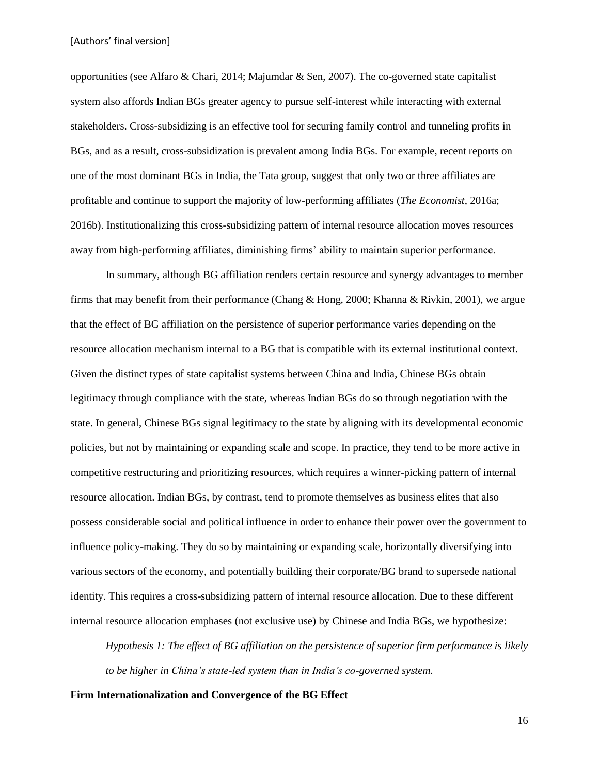opportunities (see Alfaro & Chari, 2014; Majumdar & Sen, 2007). The co-governed state capitalist system also affords Indian BGs greater agency to pursue self-interest while interacting with external stakeholders. Cross-subsidizing is an effective tool for securing family control and tunneling profits in BGs, and as a result, cross-subsidization is prevalent among India BGs. For example, recent reports on one of the most dominant BGs in India, the Tata group, suggest that only two or three affiliates are profitable and continue to support the majority of low-performing affiliates (*The Economist*, 2016a; 2016b). Institutionalizing this cross-subsidizing pattern of internal resource allocation moves resources away from high-performing affiliates, diminishing firms' ability to maintain superior performance.

In summary, although BG affiliation renders certain resource and synergy advantages to member firms that may benefit from their performance (Chang & Hong, 2000; Khanna & Rivkin, 2001), we argue that the effect of BG affiliation on the persistence of superior performance varies depending on the resource allocation mechanism internal to a BG that is compatible with its external institutional context. Given the distinct types of state capitalist systems between China and India, Chinese BGs obtain legitimacy through compliance with the state, whereas Indian BGs do so through negotiation with the state. In general, Chinese BGs signal legitimacy to the state by aligning with its developmental economic policies, but not by maintaining or expanding scale and scope. In practice, they tend to be more active in competitive restructuring and prioritizing resources, which requires a winner-picking pattern of internal resource allocation. Indian BGs, by contrast, tend to promote themselves as business elites that also possess considerable social and political influence in order to enhance their power over the government to influence policy-making. They do so by maintaining or expanding scale, horizontally diversifying into various sectors of the economy, and potentially building their corporate/BG brand to supersede national identity. This requires a cross-subsidizing pattern of internal resource allocation. Due to these different internal resource allocation emphases (not exclusive use) by Chinese and India BGs, we hypothesize:

*Hypothesis 1: The effect of BG affiliation on the persistence of superior firm performance is likely to be higher in China's state-led system than in India's co-governed system.*

### **Firm Internationalization and Convergence of the BG Effect**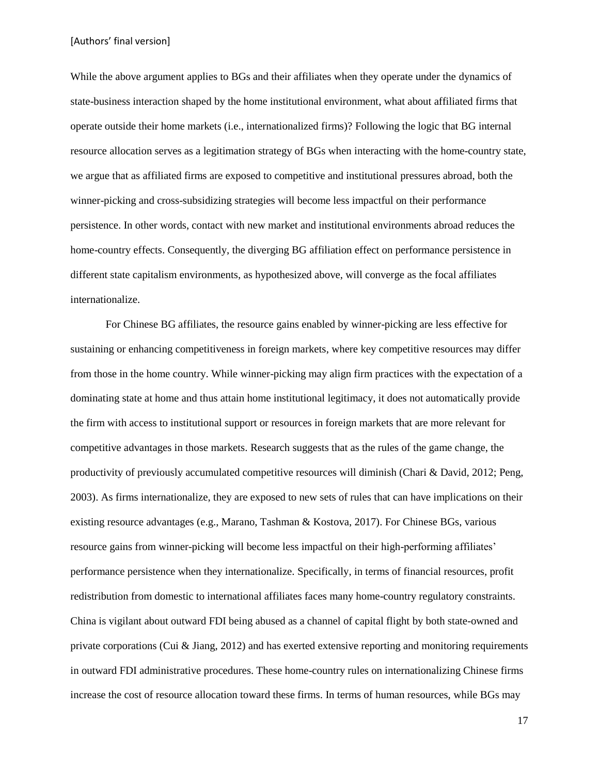While the above argument applies to BGs and their affiliates when they operate under the dynamics of state-business interaction shaped by the home institutional environment, what about affiliated firms that operate outside their home markets (i.e., internationalized firms)? Following the logic that BG internal resource allocation serves as a legitimation strategy of BGs when interacting with the home-country state, we argue that as affiliated firms are exposed to competitive and institutional pressures abroad, both the winner-picking and cross-subsidizing strategies will become less impactful on their performance persistence. In other words, contact with new market and institutional environments abroad reduces the home-country effects. Consequently, the diverging BG affiliation effect on performance persistence in different state capitalism environments, as hypothesized above, will converge as the focal affiliates internationalize.

For Chinese BG affiliates, the resource gains enabled by winner-picking are less effective for sustaining or enhancing competitiveness in foreign markets, where key competitive resources may differ from those in the home country. While winner-picking may align firm practices with the expectation of a dominating state at home and thus attain home institutional legitimacy, it does not automatically provide the firm with access to institutional support or resources in foreign markets that are more relevant for competitive advantages in those markets. Research suggests that as the rules of the game change, the productivity of previously accumulated competitive resources will diminish (Chari & David, 2012; Peng, 2003). As firms internationalize, they are exposed to new sets of rules that can have implications on their existing resource advantages (e.g., Marano, Tashman & Kostova, 2017). For Chinese BGs, various resource gains from winner-picking will become less impactful on their high-performing affiliates' performance persistence when they internationalize. Specifically, in terms of financial resources, profit redistribution from domestic to international affiliates faces many home-country regulatory constraints. China is vigilant about outward FDI being abused as a channel of capital flight by both state-owned and private corporations (Cui & Jiang, 2012) and has exerted extensive reporting and monitoring requirements in outward FDI administrative procedures. These home-country rules on internationalizing Chinese firms increase the cost of resource allocation toward these firms. In terms of human resources, while BGs may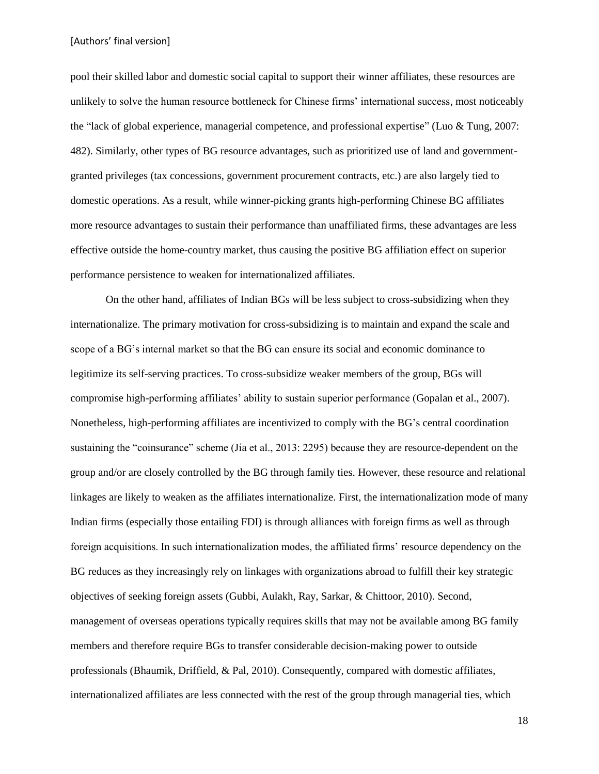pool their skilled labor and domestic social capital to support their winner affiliates, these resources are unlikely to solve the human resource bottleneck for Chinese firms' international success, most noticeably the "lack of global experience, managerial competence, and professional expertise" (Luo & Tung, 2007: 482). Similarly, other types of BG resource advantages, such as prioritized use of land and governmentgranted privileges (tax concessions, government procurement contracts, etc.) are also largely tied to domestic operations. As a result, while winner-picking grants high-performing Chinese BG affiliates more resource advantages to sustain their performance than unaffiliated firms, these advantages are less effective outside the home-country market, thus causing the positive BG affiliation effect on superior performance persistence to weaken for internationalized affiliates.

On the other hand, affiliates of Indian BGs will be less subject to cross-subsidizing when they internationalize. The primary motivation for cross-subsidizing is to maintain and expand the scale and scope of a BG's internal market so that the BG can ensure its social and economic dominance to legitimize its self-serving practices. To cross-subsidize weaker members of the group, BGs will compromise high-performing affiliates' ability to sustain superior performance (Gopalan et al., 2007). Nonetheless, high-performing affiliates are incentivized to comply with the BG's central coordination sustaining the "coinsurance" scheme (Jia et al., 2013: 2295) because they are resource-dependent on the group and/or are closely controlled by the BG through family ties. However, these resource and relational linkages are likely to weaken as the affiliates internationalize. First, the internationalization mode of many Indian firms (especially those entailing FDI) is through alliances with foreign firms as well as through foreign acquisitions. In such internationalization modes, the affiliated firms' resource dependency on the BG reduces as they increasingly rely on linkages with organizations abroad to fulfill their key strategic objectives of seeking foreign assets (Gubbi, Aulakh, Ray, Sarkar, & Chittoor, 2010). Second, management of overseas operations typically requires skills that may not be available among BG family members and therefore require BGs to transfer considerable decision-making power to outside professionals (Bhaumik, Driffield, & Pal, 2010). Consequently, compared with domestic affiliates, internationalized affiliates are less connected with the rest of the group through managerial ties, which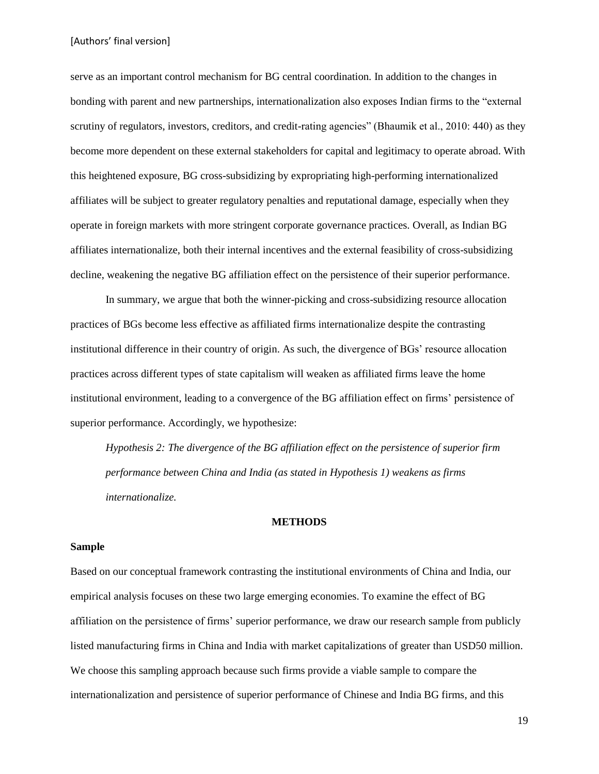serve as an important control mechanism for BG central coordination. In addition to the changes in bonding with parent and new partnerships, internationalization also exposes Indian firms to the "external scrutiny of regulators, investors, creditors, and credit-rating agencies" (Bhaumik et al., 2010: 440) as they become more dependent on these external stakeholders for capital and legitimacy to operate abroad. With this heightened exposure, BG cross-subsidizing by expropriating high-performing internationalized affiliates will be subject to greater regulatory penalties and reputational damage, especially when they operate in foreign markets with more stringent corporate governance practices. Overall, as Indian BG affiliates internationalize, both their internal incentives and the external feasibility of cross-subsidizing decline, weakening the negative BG affiliation effect on the persistence of their superior performance.

In summary, we argue that both the winner-picking and cross-subsidizing resource allocation practices of BGs become less effective as affiliated firms internationalize despite the contrasting institutional difference in their country of origin. As such, the divergence of BGs' resource allocation practices across different types of state capitalism will weaken as affiliated firms leave the home institutional environment, leading to a convergence of the BG affiliation effect on firms' persistence of superior performance. Accordingly, we hypothesize:

*Hypothesis 2: The divergence of the BG affiliation effect on the persistence of superior firm performance between China and India (as stated in Hypothesis 1) weakens as firms internationalize.* 

# **METHODS**

#### **Sample**

Based on our conceptual framework contrasting the institutional environments of China and India, our empirical analysis focuses on these two large emerging economies. To examine the effect of BG affiliation on the persistence of firms' superior performance, we draw our research sample from publicly listed manufacturing firms in China and India with market capitalizations of greater than USD50 million. We choose this sampling approach because such firms provide a viable sample to compare the internationalization and persistence of superior performance of Chinese and India BG firms, and this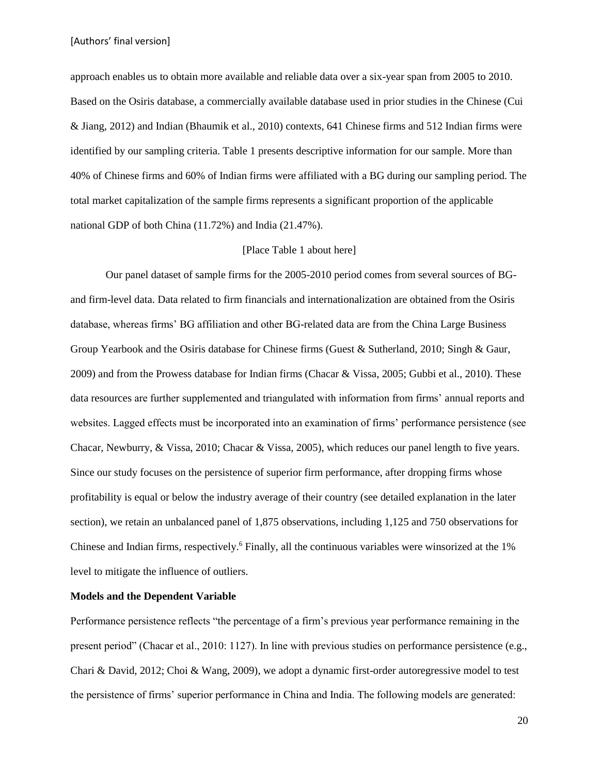approach enables us to obtain more available and reliable data over a six-year span from 2005 to 2010. Based on the Osiris database, a commercially available database used in prior studies in the Chinese (Cui & Jiang, 2012) and Indian (Bhaumik et al., 2010) contexts, 641 Chinese firms and 512 Indian firms were identified by our sampling criteria. Table 1 presents descriptive information for our sample. More than 40% of Chinese firms and 60% of Indian firms were affiliated with a BG during our sampling period. The total market capitalization of the sample firms represents a significant proportion of the applicable national GDP of both China (11.72%) and India (21.47%).

#### [Place Table 1 about here]

Our panel dataset of sample firms for the 2005-2010 period comes from several sources of BGand firm-level data. Data related to firm financials and internationalization are obtained from the Osiris database, whereas firms' BG affiliation and other BG-related data are from the China Large Business Group Yearbook and the Osiris database for Chinese firms (Guest & Sutherland, 2010; Singh & Gaur, 2009) and from the Prowess database for Indian firms (Chacar & Vissa, 2005; Gubbi et al., 2010). These data resources are further supplemented and triangulated with information from firms' annual reports and websites. Lagged effects must be incorporated into an examination of firms' performance persistence (see Chacar, Newburry, & Vissa, 2010; Chacar & Vissa, 2005), which reduces our panel length to five years. Since our study focuses on the persistence of superior firm performance, after dropping firms whose profitability is equal or below the industry average of their country (see detailed explanation in the later section), we retain an unbalanced panel of 1,875 observations, including 1,125 and 750 observations for Chinese and Indian firms, respectively.<sup>6</sup> Finally, all the continuous variables were winsorized at the 1% level to mitigate the influence of outliers.

# **Models and the Dependent Variable**

Performance persistence reflects "the percentage of a firm's previous year performance remaining in the present period" (Chacar et al., 2010: 1127). In line with previous studies on performance persistence (e.g., Chari & David, 2012; Choi & Wang, 2009), we adopt a dynamic first-order autoregressive model to test the persistence of firms' superior performance in China and India. The following models are generated: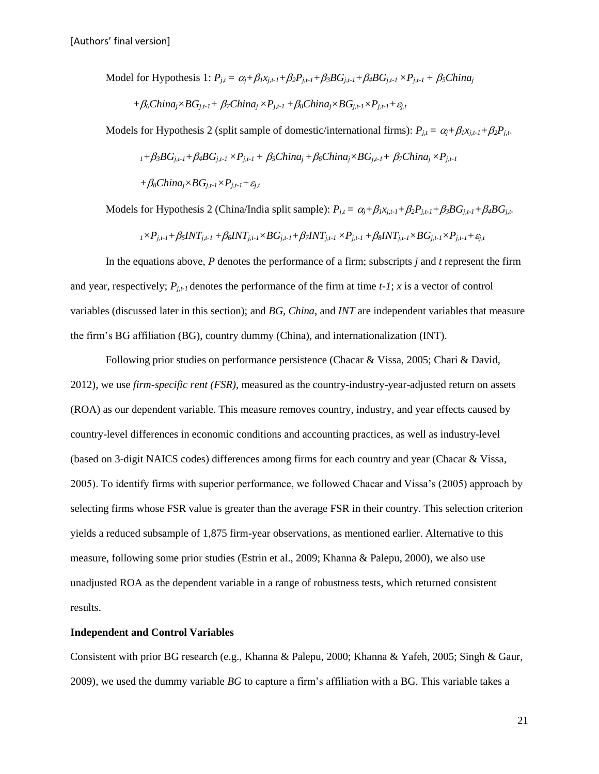Model for Hypothesis 1: 
$$
P_{j,t} = \alpha_j + \beta_l x_{j,t-1} + \beta_2 P_{j,t-1} + \beta_3 BG_{j,t-1} + \beta_4 BG_{j,t-1} \times P_{j,t-1} + \beta_5 China_j
$$
  
+  $\beta_6 China_j \times BG_{j,t-1} + \beta_7 China_j \times P_{j,t-1} + \beta_8 China_j \times BG_{j,t-1} \times P_{j,t-1} + \varepsilon_{j,t}$ 

Models for Hypothesis 2 (split sample of domestic/international firms):  $P_{j,t} = \alpha_j + \beta_l x_{j,t-1} + \beta_2 P_{j,t-1}$ 

$$
_{1}+\beta _{3}BG_{j,t-1}+\beta _{4}BG_{j,t-1}\times P_{j,t-1}+\beta _{5}China_{j}+\beta _{6}China_{j}\times BG_{j,t-1}+\beta _{7}China_{j}\times P_{j,t-1}
$$

 $+\beta_8$ *China*<sub>*i*</sub>×*BG*<sub>*i,t-1</sub>*×*P*<sub>*i,t-1</sub>* +  $\varepsilon$ <sub>*i,t*</sub></sub></sub>

Models for Hypothesis 2 (China/India split sample):  $P_{i,t} = \alpha_i + \beta_i x_{i,t-1} + \beta_2 P_{i,t-1} + \beta_3 BG_{i,t-1} + \beta_4 BG_{i,t-1}$ 

$$
{}_{1}\times P_{j,t-1}+\beta_{5}INT_{j,t-1}+\beta_{6}INT_{j,t-1}\times BG_{j,t-1}+\beta_{7}INT_{j,t-1}\times P_{j,t-1}+\beta_{8}INT_{j,t-1}\times BG_{j,t-1}\times P_{j,t-1}+\varepsilon_{j,t}
$$

In the equations above, *P* denotes the performance of a firm; subscripts *j* and *t* represent the firm and year, respectively;  $P_{i,t}$  denotes the performance of the firm at time  $t-1$ ; *x* is a vector of control variables (discussed later in this section); and *BG*, *China*, and *INT* are independent variables that measure the firm's BG affiliation (BG), country dummy (China), and internationalization (INT).

Following prior studies on performance persistence (Chacar & Vissa, 2005; Chari & David, 2012), we use *firm-specific rent (FSR)*, measured as the country-industry-year-adjusted return on assets (ROA) as our dependent variable. This measure removes country, industry, and year effects caused by country-level differences in economic conditions and accounting practices, as well as industry-level (based on 3-digit NAICS codes) differences among firms for each country and year (Chacar & Vissa, 2005). To identify firms with superior performance, we followed Chacar and Vissa's (2005) approach by selecting firms whose FSR value is greater than the average FSR in their country. This selection criterion yields a reduced subsample of 1,875 firm-year observations, as mentioned earlier. Alternative to this measure, following some prior studies (Estrin et al., 2009; Khanna & Palepu, 2000), we also use unadjusted ROA as the dependent variable in a range of robustness tests, which returned consistent results.

### **Independent and Control Variables**

Consistent with prior BG research (e.g., Khanna & Palepu, 2000; Khanna & Yafeh, 2005; Singh & Gaur, 2009), we used the dummy variable *BG* to capture a firm's affiliation with a BG. This variable takes a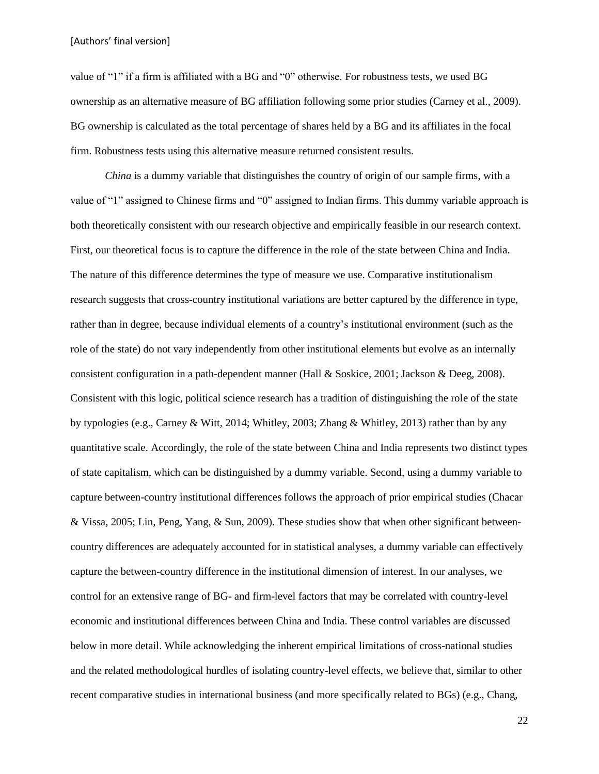value of "1" if a firm is affiliated with a BG and "0" otherwise. For robustness tests, we used BG ownership as an alternative measure of BG affiliation following some prior studies (Carney et al., 2009). BG ownership is calculated as the total percentage of shares held by a BG and its affiliates in the focal firm. Robustness tests using this alternative measure returned consistent results.

*China* is a dummy variable that distinguishes the country of origin of our sample firms, with a value of "1" assigned to Chinese firms and "0" assigned to Indian firms. This dummy variable approach is both theoretically consistent with our research objective and empirically feasible in our research context. First, our theoretical focus is to capture the difference in the role of the state between China and India. The nature of this difference determines the type of measure we use. Comparative institutionalism research suggests that cross-country institutional variations are better captured by the difference in type, rather than in degree, because individual elements of a country's institutional environment (such as the role of the state) do not vary independently from other institutional elements but evolve as an internally consistent configuration in a path-dependent manner (Hall & Soskice, 2001; Jackson & Deeg, 2008). Consistent with this logic, political science research has a tradition of distinguishing the role of the state by typologies (e.g., Carney & Witt, 2014; Whitley, 2003; Zhang & Whitley, 2013) rather than by any quantitative scale. Accordingly, the role of the state between China and India represents two distinct types of state capitalism, which can be distinguished by a dummy variable. Second, using a dummy variable to capture between-country institutional differences follows the approach of prior empirical studies (Chacar & Vissa, 2005; Lin, Peng, Yang, & Sun, 2009). These studies show that when other significant betweencountry differences are adequately accounted for in statistical analyses, a dummy variable can effectively capture the between-country difference in the institutional dimension of interest. In our analyses, we control for an extensive range of BG- and firm-level factors that may be correlated with country-level economic and institutional differences between China and India. These control variables are discussed below in more detail. While acknowledging the inherent empirical limitations of cross-national studies and the related methodological hurdles of isolating country-level effects, we believe that, similar to other recent comparative studies in international business (and more specifically related to BGs) (e.g., Chang,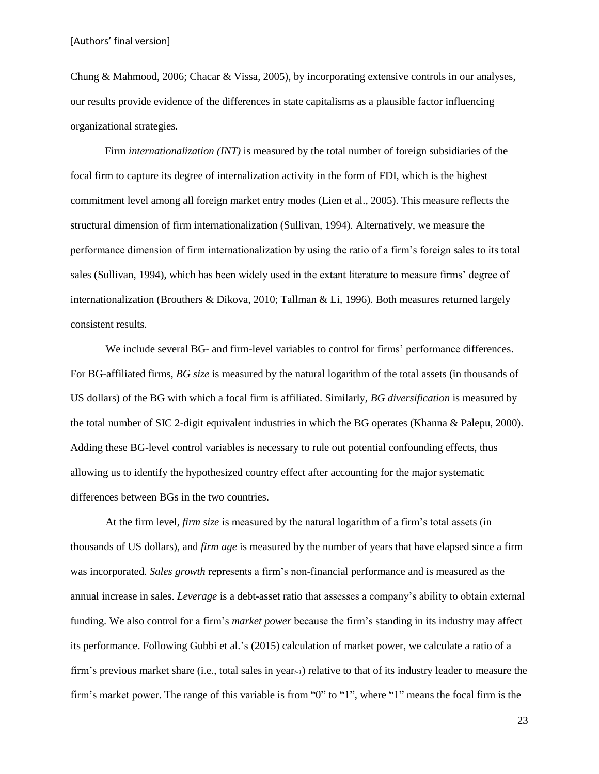Chung & Mahmood, 2006; Chacar & Vissa, 2005), by incorporating extensive controls in our analyses, our results provide evidence of the differences in state capitalisms as a plausible factor influencing organizational strategies.

Firm *internationalization (INT)* is measured by the total number of foreign subsidiaries of the focal firm to capture its degree of internalization activity in the form of FDI, which is the highest commitment level among all foreign market entry modes (Lien et al., 2005). This measure reflects the structural dimension of firm internationalization (Sullivan, 1994). Alternatively, we measure the performance dimension of firm internationalization by using the ratio of a firm's foreign sales to its total sales (Sullivan, 1994), which has been widely used in the extant literature to measure firms' degree of internationalization (Brouthers & Dikova, 2010; Tallman & Li, 1996). Both measures returned largely consistent results.

We include several BG- and firm-level variables to control for firms' performance differences. For BG-affiliated firms, *BG size* is measured by the natural logarithm of the total assets (in thousands of US dollars) of the BG with which a focal firm is affiliated. Similarly, *BG diversification* is measured by the total number of SIC 2-digit equivalent industries in which the BG operates (Khanna & Palepu, 2000). Adding these BG-level control variables is necessary to rule out potential confounding effects, thus allowing us to identify the hypothesized country effect after accounting for the major systematic differences between BGs in the two countries.

At the firm level, *firm size* is measured by the natural logarithm of a firm's total assets (in thousands of US dollars), and *firm age* is measured by the number of years that have elapsed since a firm was incorporated. *Sales growth* represents a firm's non-financial performance and is measured as the annual increase in sales. *Leverage* is a debt-asset ratio that assesses a company's ability to obtain external funding. We also control for a firm's *market power* because the firm's standing in its industry may affect its performance. Following Gubbi et al.'s (2015) calculation of market power, we calculate a ratio of a firm's previous market share (i.e., total sales in year*t-1*) relative to that of its industry leader to measure the firm's market power. The range of this variable is from "0" to "1", where "1" means the focal firm is the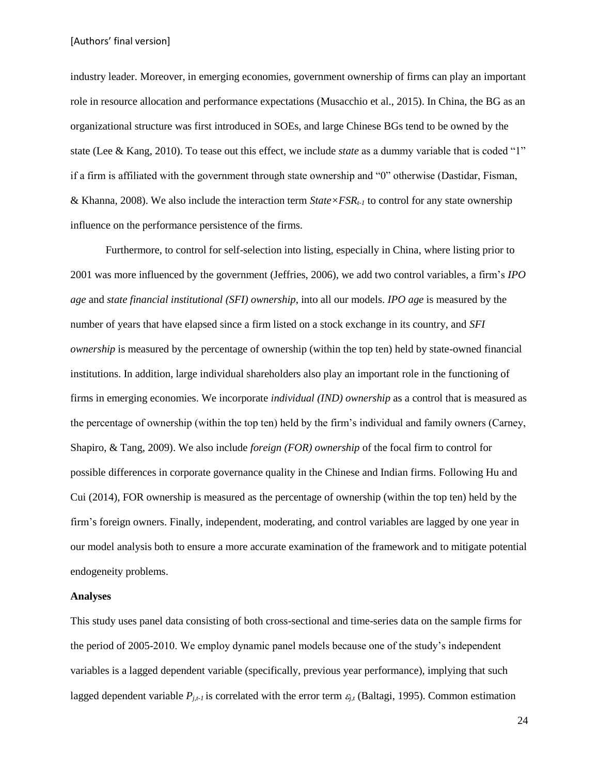industry leader. Moreover, in emerging economies, government ownership of firms can play an important role in resource allocation and performance expectations (Musacchio et al., 2015). In China, the BG as an organizational structure was first introduced in SOEs, and large Chinese BGs tend to be owned by the state (Lee & Kang, 2010). To tease out this effect, we include *state* as a dummy variable that is coded "1" if a firm is affiliated with the government through state ownership and "0" otherwise (Dastidar, Fisman, & Khanna, 2008). We also include the interaction term *State×FSRt-1* to control for any state ownership influence on the performance persistence of the firms.

Furthermore, to control for self-selection into listing, especially in China, where listing prior to 2001 was more influenced by the government (Jeffries, 2006), we add two control variables, a firm's *IPO age* and *state financial institutional (SFI) ownership*, into all our models. *IPO age* is measured by the number of years that have elapsed since a firm listed on a stock exchange in its country, and *SFI ownership* is measured by the percentage of ownership (within the top ten) held by state-owned financial institutions. In addition, large individual shareholders also play an important role in the functioning of firms in emerging economies. We incorporate *individual (IND) ownership* as a control that is measured as the percentage of ownership (within the top ten) held by the firm's individual and family owners (Carney, Shapiro, & Tang, 2009). We also include *foreign (FOR) ownership* of the focal firm to control for possible differences in corporate governance quality in the Chinese and Indian firms. Following Hu and Cui (2014), FOR ownership is measured as the percentage of ownership (within the top ten) held by the firm's foreign owners. Finally, independent, moderating, and control variables are lagged by one year in our model analysis both to ensure a more accurate examination of the framework and to mitigate potential endogeneity problems.

#### **Analyses**

This study uses panel data consisting of both cross-sectional and time-series data on the sample firms for the period of 2005-2010. We employ dynamic panel models because one of the study's independent variables is a lagged dependent variable (specifically, previous year performance), implying that such lagged dependent variable  $P_{i,t}$  is correlated with the error term  $\varepsilon_{i,t}$  (Baltagi, 1995). Common estimation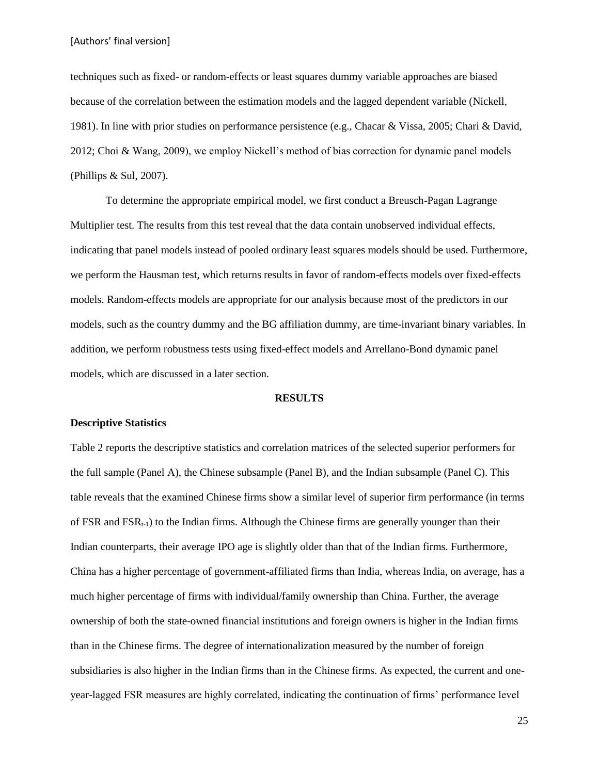techniques such as fixed- or random-effects or least squares dummy variable approaches are biased because of the correlation between the estimation models and the lagged dependent variable (Nickell, 1981). In line with prior studies on performance persistence (e.g., Chacar & Vissa, 2005; Chari & David, 2012; Choi & Wang, 2009), we employ Nickell's method of bias correction for dynamic panel models (Phillips & Sul, 2007).

To determine the appropriate empirical model, we first conduct a Breusch-Pagan Lagrange Multiplier test. The results from this test reveal that the data contain unobserved individual effects, indicating that panel models instead of pooled ordinary least squares models should be used. Furthermore, we perform the Hausman test, which returns results in favor of random-effects models over fixed-effects models. Random-effects models are appropriate for our analysis because most of the predictors in our models, such as the country dummy and the BG affiliation dummy, are time-invariant binary variables. In addition, we perform robustness tests using fixed-effect models and Arrellano-Bond dynamic panel models, which are discussed in a later section.

#### **RESULTS**

#### **Descriptive Statistics**

Table 2 reports the descriptive statistics and correlation matrices of the selected superior performers for the full sample (Panel A), the Chinese subsample (Panel B), and the Indian subsample (Panel C). This table reveals that the examined Chinese firms show a similar level of superior firm performance (in terms of FSR and  $FSR_{t-1}$ ) to the Indian firms. Although the Chinese firms are generally younger than their Indian counterparts, their average IPO age is slightly older than that of the Indian firms. Furthermore, China has a higher percentage of government-affiliated firms than India, whereas India, on average, has a much higher percentage of firms with individual/family ownership than China. Further, the average ownership of both the state-owned financial institutions and foreign owners is higher in the Indian firms than in the Chinese firms. The degree of internationalization measured by the number of foreign subsidiaries is also higher in the Indian firms than in the Chinese firms. As expected, the current and oneyear-lagged FSR measures are highly correlated, indicating the continuation of firms' performance level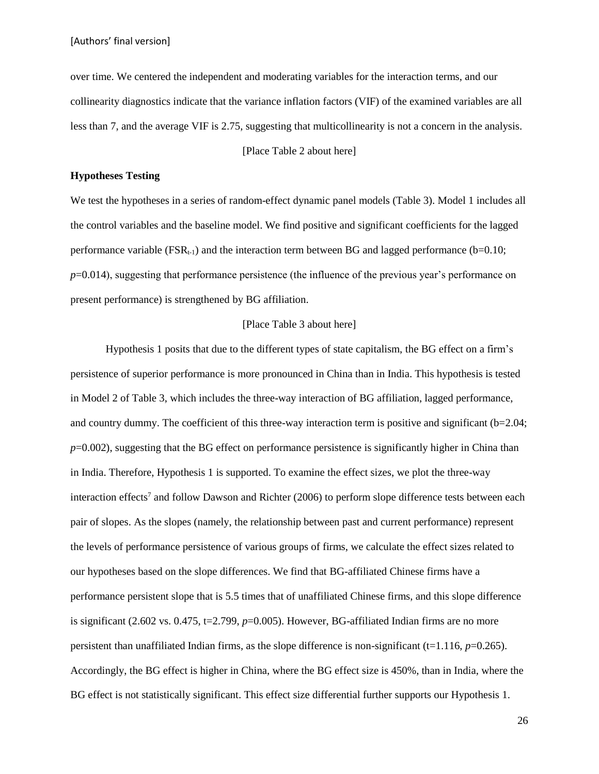over time. We centered the independent and moderating variables for the interaction terms, and our collinearity diagnostics indicate that the variance inflation factors (VIF) of the examined variables are all less than 7, and the average VIF is 2.75, suggesting that multicollinearity is not a concern in the analysis.

[Place Table 2 about here]

#### **Hypotheses Testing**

We test the hypotheses in a series of random-effect dynamic panel models (Table 3). Model 1 includes all the control variables and the baseline model. We find positive and significant coefficients for the lagged performance variable ( $FSR_{t-1}$ ) and the interaction term between BG and lagged performance (b=0.10; *p*=0.014), suggesting that performance persistence (the influence of the previous year's performance on present performance) is strengthened by BG affiliation.

#### [Place Table 3 about here]

Hypothesis 1 posits that due to the different types of state capitalism, the BG effect on a firm's persistence of superior performance is more pronounced in China than in India. This hypothesis is tested in Model 2 of Table 3, which includes the three-way interaction of BG affiliation, lagged performance, and country dummy. The coefficient of this three-way interaction term is positive and significant (b=2.04; *p*=0.002), suggesting that the BG effect on performance persistence is significantly higher in China than in India. Therefore, Hypothesis 1 is supported. To examine the effect sizes, we plot the three-way interaction effects<sup>7</sup> and follow Dawson and Richter (2006) to perform slope difference tests between each pair of slopes. As the slopes (namely, the relationship between past and current performance) represent the levels of performance persistence of various groups of firms, we calculate the effect sizes related to our hypotheses based on the slope differences. We find that BG-affiliated Chinese firms have a performance persistent slope that is 5.5 times that of unaffiliated Chinese firms, and this slope difference is significant (2.602 vs. 0.475,  $t=2.799$ ,  $p=0.005$ ). However, BG-affiliated Indian firms are no more persistent than unaffiliated Indian firms, as the slope difference is non-significant ( $t=1.116$ ,  $p=0.265$ ). Accordingly, the BG effect is higher in China, where the BG effect size is 450%, than in India, where the BG effect is not statistically significant. This effect size differential further supports our Hypothesis 1.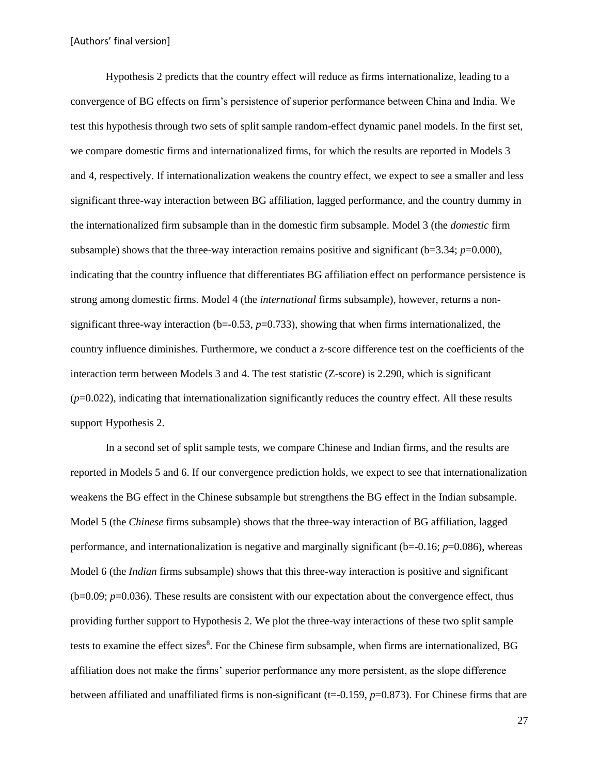Hypothesis 2 predicts that the country effect will reduce as firms internationalize, leading to a convergence of BG effects on firm's persistence of superior performance between China and India. We test this hypothesis through two sets of split sample random-effect dynamic panel models. In the first set, we compare domestic firms and internationalized firms, for which the results are reported in Models 3 and 4, respectively. If internationalization weakens the country effect, we expect to see a smaller and less significant three-way interaction between BG affiliation, lagged performance, and the country dummy in the internationalized firm subsample than in the domestic firm subsample. Model 3 (the *domestic* firm subsample) shows that the three-way interaction remains positive and significant ( $b=3.34$ ;  $p=0.000$ ), indicating that the country influence that differentiates BG affiliation effect on performance persistence is strong among domestic firms. Model 4 (the *international* firms subsample), however, returns a nonsignificant three-way interaction ( $b=-0.53$ ,  $p=0.733$ ), showing that when firms internationalized, the country influence diminishes. Furthermore, we conduct a z-score difference test on the coefficients of the interaction term between Models 3 and 4. The test statistic (Z-score) is 2.290, which is significant  $(p=0.022)$ , indicating that internationalization significantly reduces the country effect. All these results support Hypothesis 2.

In a second set of split sample tests, we compare Chinese and Indian firms, and the results are reported in Models 5 and 6. If our convergence prediction holds, we expect to see that internationalization weakens the BG effect in the Chinese subsample but strengthens the BG effect in the Indian subsample. Model 5 (the *Chinese* firms subsample) shows that the three-way interaction of BG affiliation, lagged performance, and internationalization is negative and marginally significant (b=-0.16; *p*=0.086), whereas Model 6 (the *Indian* firms subsample) shows that this three-way interaction is positive and significant (b=0.09; *p*=0.036). These results are consistent with our expectation about the convergence effect, thus providing further support to Hypothesis 2. We plot the three-way interactions of these two split sample tests to examine the effect sizes<sup>8</sup>. For the Chinese firm subsample, when firms are internationalized, BG affiliation does not make the firms' superior performance any more persistent, as the slope difference between affiliated and unaffiliated firms is non-significant  $(t=0.159, p=0.873)$ . For Chinese firms that are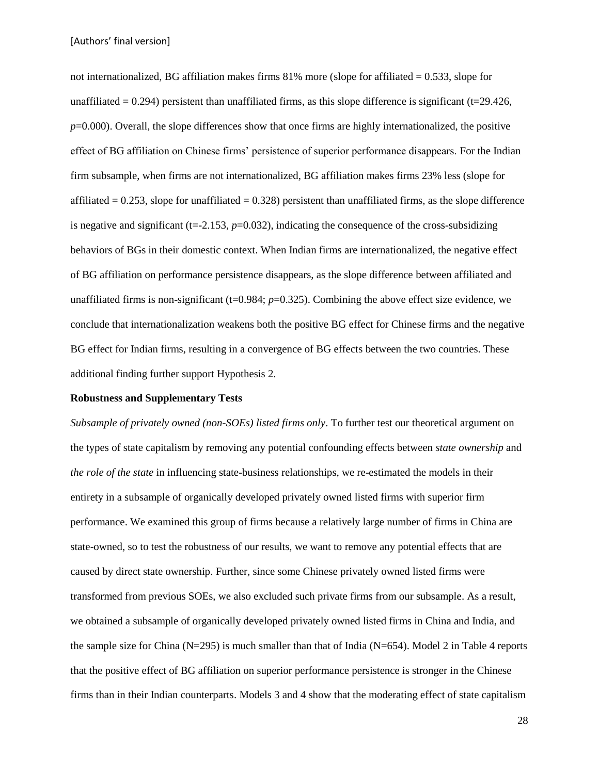not internationalized, BG affiliation makes firms  $81\%$  more (slope for affiliated = 0.533, slope for unaffiliated  $= 0.294$ ) persistent than unaffiliated firms, as this slope difference is significant (t=29.426, *p*=0.000). Overall, the slope differences show that once firms are highly internationalized, the positive effect of BG affiliation on Chinese firms' persistence of superior performance disappears. For the Indian firm subsample, when firms are not internationalized, BG affiliation makes firms 23% less (slope for affiliated  $= 0.253$ , slope for unaffiliated  $= 0.328$ ) persistent than unaffiliated firms, as the slope difference is negative and significant ( $t = -2.153$ ,  $p = 0.032$ ), indicating the consequence of the cross-subsidizing behaviors of BGs in their domestic context. When Indian firms are internationalized, the negative effect of BG affiliation on performance persistence disappears, as the slope difference between affiliated and unaffiliated firms is non-significant ( $t=0.984$ ;  $p=0.325$ ). Combining the above effect size evidence, we conclude that internationalization weakens both the positive BG effect for Chinese firms and the negative BG effect for Indian firms, resulting in a convergence of BG effects between the two countries. These additional finding further support Hypothesis 2.

#### **Robustness and Supplementary Tests**

*Subsample of privately owned (non-SOEs) listed firms only*. To further test our theoretical argument on the types of state capitalism by removing any potential confounding effects between *state ownership* and *the role of the state* in influencing state-business relationships, we re-estimated the models in their entirety in a subsample of organically developed privately owned listed firms with superior firm performance. We examined this group of firms because a relatively large number of firms in China are state-owned, so to test the robustness of our results, we want to remove any potential effects that are caused by direct state ownership. Further, since some Chinese privately owned listed firms were transformed from previous SOEs, we also excluded such private firms from our subsample. As a result, we obtained a subsample of organically developed privately owned listed firms in China and India, and the sample size for China (N=295) is much smaller than that of India (N=654). Model 2 in Table 4 reports that the positive effect of BG affiliation on superior performance persistence is stronger in the Chinese firms than in their Indian counterparts. Models 3 and 4 show that the moderating effect of state capitalism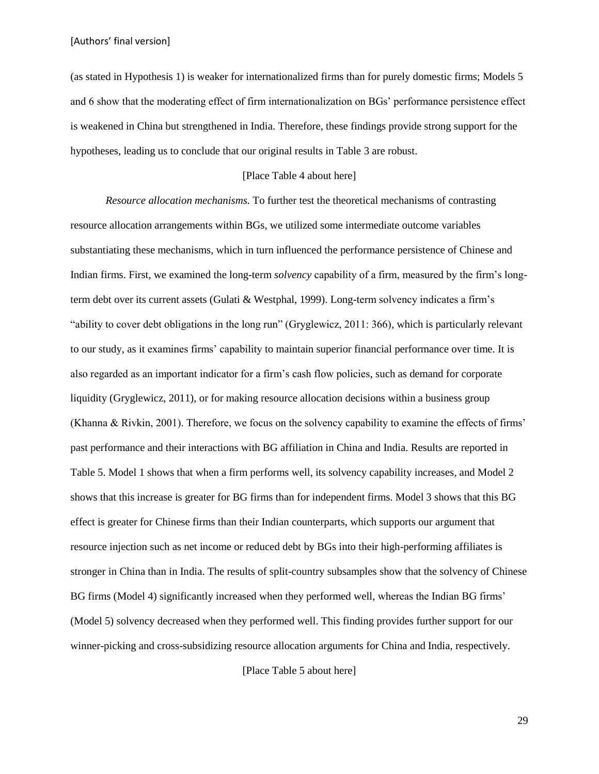(as stated in Hypothesis 1) is weaker for internationalized firms than for purely domestic firms; Models 5 and 6 show that the moderating effect of firm internationalization on BGs' performance persistence effect is weakened in China but strengthened in India. Therefore, these findings provide strong support for the hypotheses, leading us to conclude that our original results in Table 3 are robust.

#### [Place Table 4 about here]

*Resource allocation mechanisms.* To further test the theoretical mechanisms of contrasting resource allocation arrangements within BGs, we utilized some intermediate outcome variables substantiating these mechanisms, which in turn influenced the performance persistence of Chinese and Indian firms. First, we examined the long-term *solvency* capability of a firm, measured by the firm's longterm debt over its current assets (Gulati & Westphal, 1999). Long-term solvency indicates a firm's "ability to cover debt obligations in the long run" (Gryglewicz, 2011: 366), which is particularly relevant to our study, as it examines firms' capability to maintain superior financial performance over time. It is also regarded as an important indicator for a firm's cash flow policies, such as demand for corporate liquidity (Gryglewicz, 2011), or for making resource allocation decisions within a business group (Khanna & Rivkin, 2001). Therefore, we focus on the solvency capability to examine the effects of firms' past performance and their interactions with BG affiliation in China and India. Results are reported in Table 5. Model 1 shows that when a firm performs well, its solvency capability increases, and Model 2 shows that this increase is greater for BG firms than for independent firms. Model 3 shows that this BG effect is greater for Chinese firms than their Indian counterparts, which supports our argument that resource injection such as net income or reduced debt by BGs into their high-performing affiliates is stronger in China than in India. The results of split-country subsamples show that the solvency of Chinese BG firms (Model 4) significantly increased when they performed well, whereas the Indian BG firms' (Model 5) solvency decreased when they performed well. This finding provides further support for our winner-picking and cross-subsidizing resource allocation arguments for China and India, respectively.

[Place Table 5 about here]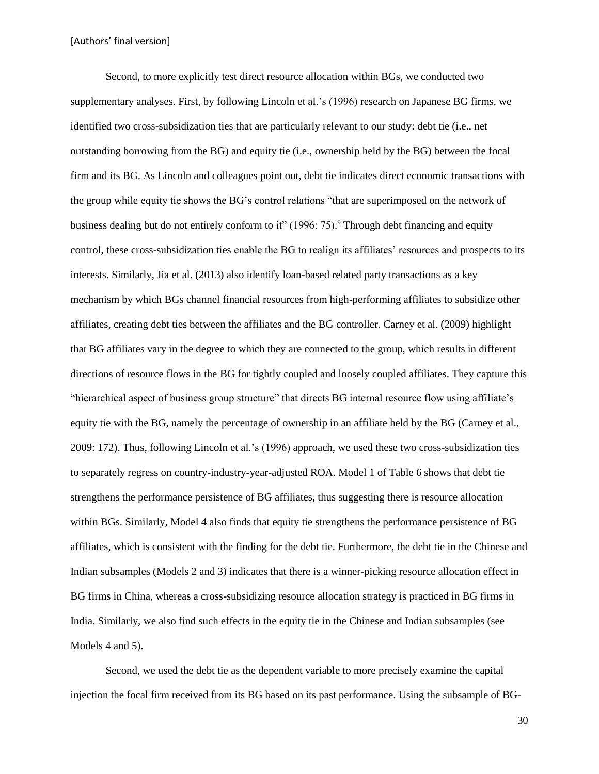Second, to more explicitly test direct resource allocation within BGs, we conducted two supplementary analyses. First, by following Lincoln et al.'s (1996) research on Japanese BG firms, we identified two cross-subsidization ties that are particularly relevant to our study: debt tie (i.e., net outstanding borrowing from the BG) and equity tie (i.e., ownership held by the BG) between the focal firm and its BG. As Lincoln and colleagues point out, debt tie indicates direct economic transactions with the group while equity tie shows the BG's control relations "that are superimposed on the network of business dealing but do not entirely conform to it" (1996: 75).<sup>9</sup> Through debt financing and equity control, these cross-subsidization ties enable the BG to realign its affiliates' resources and prospects to its interests. Similarly, Jia et al. (2013) also identify loan-based related party transactions as a key mechanism by which BGs channel financial resources from high-performing affiliates to subsidize other affiliates, creating debt ties between the affiliates and the BG controller. Carney et al. (2009) highlight that BG affiliates vary in the degree to which they are connected to the group, which results in different directions of resource flows in the BG for tightly coupled and loosely coupled affiliates. They capture this "hierarchical aspect of business group structure" that directs BG internal resource flow using affiliate's equity tie with the BG, namely the percentage of ownership in an affiliate held by the BG (Carney et al., 2009: 172). Thus, following Lincoln et al.'s (1996) approach, we used these two cross-subsidization ties to separately regress on country-industry-year-adjusted ROA. Model 1 of Table 6 shows that debt tie strengthens the performance persistence of BG affiliates, thus suggesting there is resource allocation within BGs. Similarly, Model 4 also finds that equity tie strengthens the performance persistence of BG affiliates, which is consistent with the finding for the debt tie. Furthermore, the debt tie in the Chinese and Indian subsamples (Models 2 and 3) indicates that there is a winner-picking resource allocation effect in BG firms in China, whereas a cross-subsidizing resource allocation strategy is practiced in BG firms in India. Similarly, we also find such effects in the equity tie in the Chinese and Indian subsamples (see Models 4 and 5).

Second, we used the debt tie as the dependent variable to more precisely examine the capital injection the focal firm received from its BG based on its past performance. Using the subsample of BG-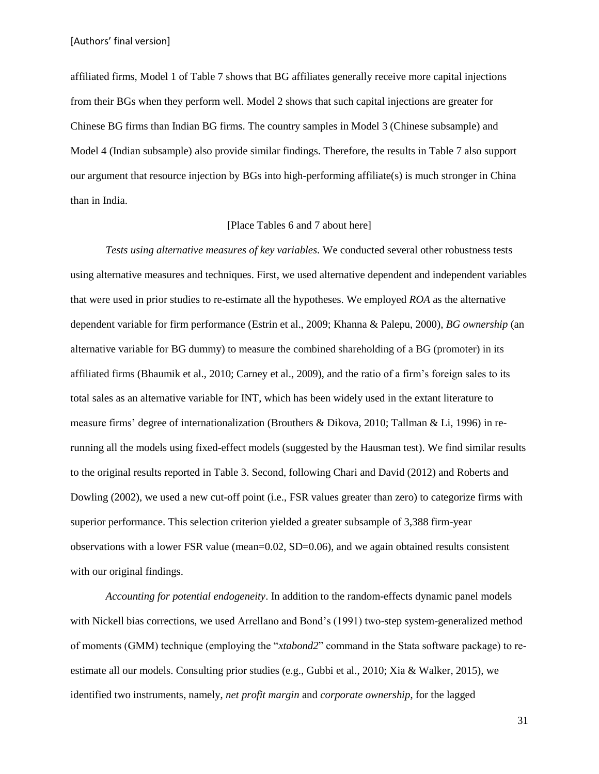affiliated firms, Model 1 of Table 7 shows that BG affiliates generally receive more capital injections from their BGs when they perform well. Model 2 shows that such capital injections are greater for Chinese BG firms than Indian BG firms. The country samples in Model 3 (Chinese subsample) and Model 4 (Indian subsample) also provide similar findings. Therefore, the results in Table 7 also support our argument that resource injection by BGs into high-performing affiliate(s) is much stronger in China than in India.

# [Place Tables 6 and 7 about here]

*Tests using alternative measures of key variables.* We conducted several other robustness tests using alternative measures and techniques. First, we used alternative dependent and independent variables that were used in prior studies to re-estimate all the hypotheses*.* We employed *ROA* as the alternative dependent variable for firm performance (Estrin et al., 2009; Khanna & Palepu, 2000), *BG ownership* (an alternative variable for BG dummy) to measure the combined shareholding of a BG (promoter) in its affiliated firms (Bhaumik et al., 2010; Carney et al., 2009), and the ratio of a firm's foreign sales to its total sales as an alternative variable for INT, which has been widely used in the extant literature to measure firms' degree of internationalization (Brouthers & Dikova, 2010; Tallman & Li, 1996) in rerunning all the models using fixed-effect models (suggested by the Hausman test). We find similar results to the original results reported in Table 3. Second, following Chari and David (2012) and Roberts and Dowling (2002), we used a new cut-off point (i.e., FSR values greater than zero) to categorize firms with superior performance. This selection criterion yielded a greater subsample of 3,388 firm-year observations with a lower FSR value (mean=0.02, SD=0.06), and we again obtained results consistent with our original findings.

*Accounting for potential endogeneity*. In addition to the random-effects dynamic panel models with Nickell bias corrections, we used Arrellano and Bond's (1991) two-step system-generalized method of moments (GMM) technique (employing the "*xtabond2*" command in the Stata software package) to reestimate all our models. Consulting prior studies (e.g., Gubbi et al., 2010; Xia & Walker, 2015), we identified two instruments, namely, *net profit margin* and *corporate ownership*, for the lagged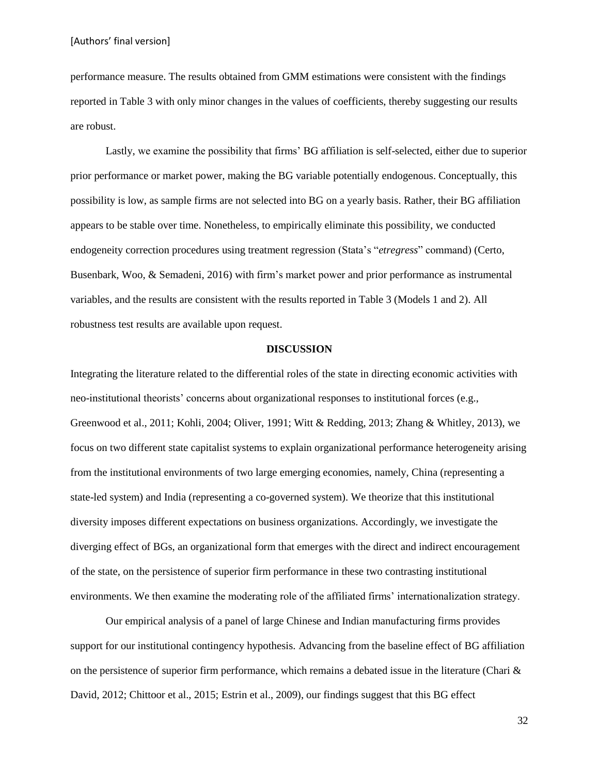performance measure. The results obtained from GMM estimations were consistent with the findings reported in Table 3 with only minor changes in the values of coefficients, thereby suggesting our results are robust.

Lastly, we examine the possibility that firms' BG affiliation is self-selected, either due to superior prior performance or market power, making the BG variable potentially endogenous. Conceptually, this possibility is low, as sample firms are not selected into BG on a yearly basis. Rather, their BG affiliation appears to be stable over time. Nonetheless, to empirically eliminate this possibility, we conducted endogeneity correction procedures using treatment regression (Stata's "*etregress*" command) (Certo, Busenbark, Woo, & Semadeni, 2016) with firm's market power and prior performance as instrumental variables, and the results are consistent with the results reported in Table 3 (Models 1 and 2). All robustness test results are available upon request.

### **DISCUSSION**

Integrating the literature related to the differential roles of the state in directing economic activities with neo-institutional theorists' concerns about organizational responses to institutional forces (e.g., Greenwood et al., 2011; Kohli, 2004; Oliver, 1991; Witt & Redding, 2013; Zhang & Whitley, 2013), we focus on two different state capitalist systems to explain organizational performance heterogeneity arising from the institutional environments of two large emerging economies, namely, China (representing a state-led system) and India (representing a co-governed system). We theorize that this institutional diversity imposes different expectations on business organizations. Accordingly, we investigate the diverging effect of BGs, an organizational form that emerges with the direct and indirect encouragement of the state, on the persistence of superior firm performance in these two contrasting institutional environments. We then examine the moderating role of the affiliated firms' internationalization strategy.

Our empirical analysis of a panel of large Chinese and Indian manufacturing firms provides support for our institutional contingency hypothesis. Advancing from the baseline effect of BG affiliation on the persistence of superior firm performance, which remains a debated issue in the literature (Chari  $\&$ David, 2012; Chittoor et al., 2015; Estrin et al., 2009), our findings suggest that this BG effect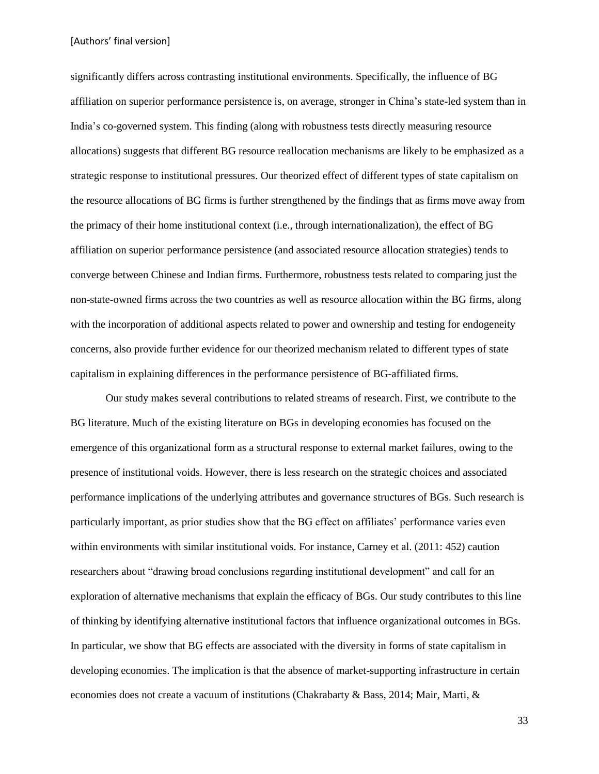significantly differs across contrasting institutional environments. Specifically, the influence of BG affiliation on superior performance persistence is, on average, stronger in China's state-led system than in India's co-governed system. This finding (along with robustness tests directly measuring resource allocations) suggests that different BG resource reallocation mechanisms are likely to be emphasized as a strategic response to institutional pressures. Our theorized effect of different types of state capitalism on the resource allocations of BG firms is further strengthened by the findings that as firms move away from the primacy of their home institutional context (i.e., through internationalization), the effect of BG affiliation on superior performance persistence (and associated resource allocation strategies) tends to converge between Chinese and Indian firms. Furthermore, robustness tests related to comparing just the non-state-owned firms across the two countries as well as resource allocation within the BG firms, along with the incorporation of additional aspects related to power and ownership and testing for endogeneity concerns, also provide further evidence for our theorized mechanism related to different types of state capitalism in explaining differences in the performance persistence of BG-affiliated firms.

Our study makes several contributions to related streams of research. First, we contribute to the BG literature. Much of the existing literature on BGs in developing economies has focused on the emergence of this organizational form as a structural response to external market failures, owing to the presence of institutional voids. However, there is less research on the strategic choices and associated performance implications of the underlying attributes and governance structures of BGs. Such research is particularly important, as prior studies show that the BG effect on affiliates' performance varies even within environments with similar institutional voids. For instance, Carney et al. (2011: 452) caution researchers about "drawing broad conclusions regarding institutional development" and call for an exploration of alternative mechanisms that explain the efficacy of BGs. Our study contributes to this line of thinking by identifying alternative institutional factors that influence organizational outcomes in BGs. In particular, we show that BG effects are associated with the diversity in forms of state capitalism in developing economies. The implication is that the absence of market-supporting infrastructure in certain economies does not create a vacuum of institutions (Chakrabarty & Bass, 2014; Mair, Marti, &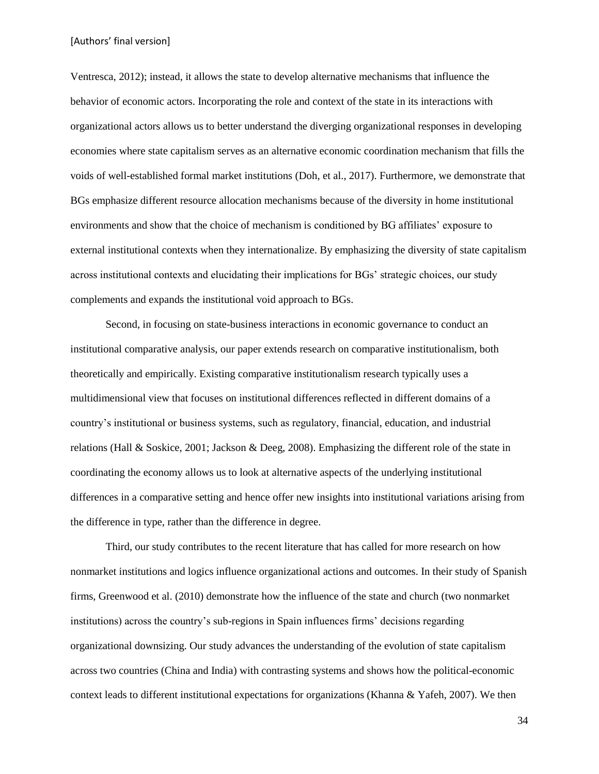Ventresca, 2012); instead, it allows the state to develop alternative mechanisms that influence the behavior of economic actors. Incorporating the role and context of the state in its interactions with organizational actors allows us to better understand the diverging organizational responses in developing economies where state capitalism serves as an alternative economic coordination mechanism that fills the voids of well-established formal market institutions (Doh, et al., 2017). Furthermore, we demonstrate that BGs emphasize different resource allocation mechanisms because of the diversity in home institutional environments and show that the choice of mechanism is conditioned by BG affiliates' exposure to external institutional contexts when they internationalize. By emphasizing the diversity of state capitalism across institutional contexts and elucidating their implications for BGs' strategic choices, our study complements and expands the institutional void approach to BGs.

Second, in focusing on state-business interactions in economic governance to conduct an institutional comparative analysis, our paper extends research on comparative institutionalism, both theoretically and empirically. Existing comparative institutionalism research typically uses a multidimensional view that focuses on institutional differences reflected in different domains of a country's institutional or business systems, such as regulatory, financial, education, and industrial relations (Hall & Soskice, 2001; Jackson & Deeg, 2008). Emphasizing the different role of the state in coordinating the economy allows us to look at alternative aspects of the underlying institutional differences in a comparative setting and hence offer new insights into institutional variations arising from the difference in type, rather than the difference in degree.

Third, our study contributes to the recent literature that has called for more research on how nonmarket institutions and logics influence organizational actions and outcomes. In their study of Spanish firms, Greenwood et al. (2010) demonstrate how the influence of the state and church (two nonmarket institutions) across the country's sub-regions in Spain influences firms' decisions regarding organizational downsizing. Our study advances the understanding of the evolution of state capitalism across two countries (China and India) with contrasting systems and shows how the political-economic context leads to different institutional expectations for organizations (Khanna & Yafeh, 2007). We then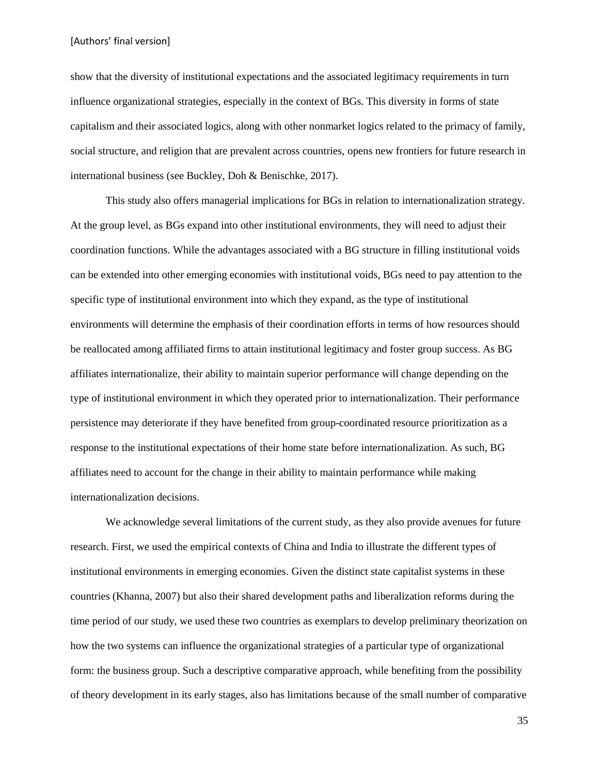show that the diversity of institutional expectations and the associated legitimacy requirements in turn influence organizational strategies, especially in the context of BGs. This diversity in forms of state capitalism and their associated logics, along with other nonmarket logics related to the primacy of family, social structure, and religion that are prevalent across countries, opens new frontiers for future research in international business (see Buckley, Doh & Benischke, 2017).

This study also offers managerial implications for BGs in relation to internationalization strategy. At the group level, as BGs expand into other institutional environments, they will need to adjust their coordination functions. While the advantages associated with a BG structure in filling institutional voids can be extended into other emerging economies with institutional voids, BGs need to pay attention to the specific type of institutional environment into which they expand, as the type of institutional environments will determine the emphasis of their coordination efforts in terms of how resources should be reallocated among affiliated firms to attain institutional legitimacy and foster group success. As BG affiliates internationalize, their ability to maintain superior performance will change depending on the type of institutional environment in which they operated prior to internationalization. Their performance persistence may deteriorate if they have benefited from group-coordinated resource prioritization as a response to the institutional expectations of their home state before internationalization. As such, BG affiliates need to account for the change in their ability to maintain performance while making internationalization decisions.

We acknowledge several limitations of the current study, as they also provide avenues for future research. First, we used the empirical contexts of China and India to illustrate the different types of institutional environments in emerging economies. Given the distinct state capitalist systems in these countries (Khanna, 2007) but also their shared development paths and liberalization reforms during the time period of our study, we used these two countries as exemplars to develop preliminary theorization on how the two systems can influence the organizational strategies of a particular type of organizational form: the business group. Such a descriptive comparative approach, while benefiting from the possibility of theory development in its early stages, also has limitations because of the small number of comparative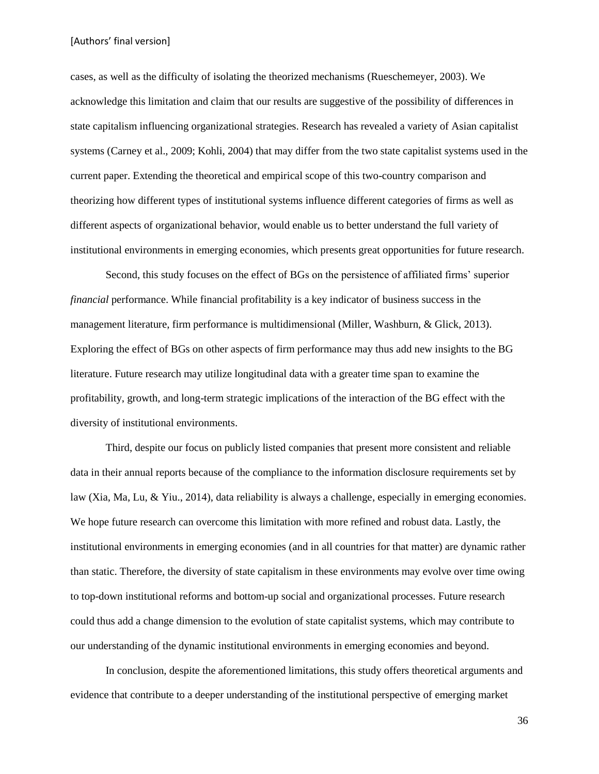cases, as well as the difficulty of isolating the theorized mechanisms (Rueschemeyer, 2003). We acknowledge this limitation and claim that our results are suggestive of the possibility of differences in state capitalism influencing organizational strategies. Research has revealed a variety of Asian capitalist systems (Carney et al., 2009; Kohli, 2004) that may differ from the two state capitalist systems used in the current paper. Extending the theoretical and empirical scope of this two-country comparison and theorizing how different types of institutional systems influence different categories of firms as well as different aspects of organizational behavior, would enable us to better understand the full variety of institutional environments in emerging economies, which presents great opportunities for future research.

Second, this study focuses on the effect of BGs on the persistence of affiliated firms' superior *financial* performance. While financial profitability is a key indicator of business success in the management literature, firm performance is multidimensional (Miller, Washburn, & Glick, 2013). Exploring the effect of BGs on other aspects of firm performance may thus add new insights to the BG literature. Future research may utilize longitudinal data with a greater time span to examine the profitability, growth, and long-term strategic implications of the interaction of the BG effect with the diversity of institutional environments.

Third, despite our focus on publicly listed companies that present more consistent and reliable data in their annual reports because of the compliance to the information disclosure requirements set by law (Xia, Ma, Lu, & Yiu., 2014), data reliability is always a challenge, especially in emerging economies. We hope future research can overcome this limitation with more refined and robust data. Lastly, the institutional environments in emerging economies (and in all countries for that matter) are dynamic rather than static. Therefore, the diversity of state capitalism in these environments may evolve over time owing to top-down institutional reforms and bottom-up social and organizational processes. Future research could thus add a change dimension to the evolution of state capitalist systems, which may contribute to our understanding of the dynamic institutional environments in emerging economies and beyond.

In conclusion, despite the aforementioned limitations, this study offers theoretical arguments and evidence that contribute to a deeper understanding of the institutional perspective of emerging market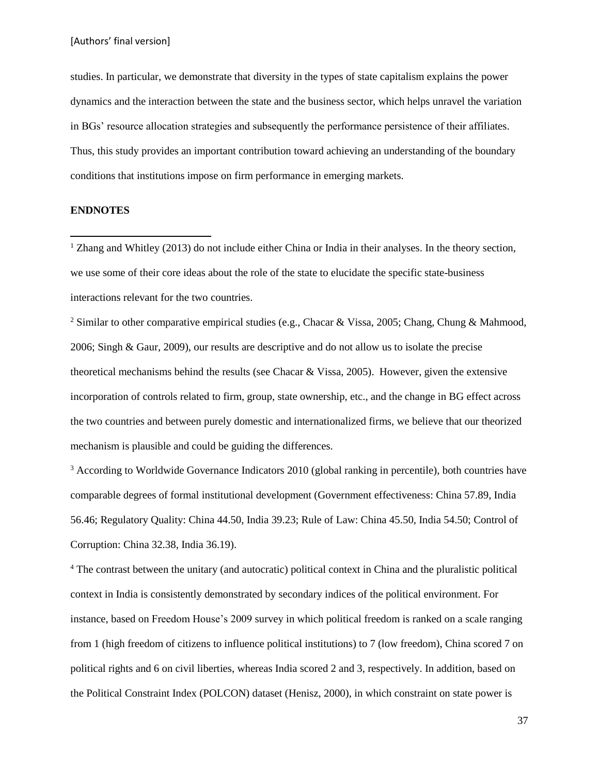studies. In particular, we demonstrate that diversity in the types of state capitalism explains the power dynamics and the interaction between the state and the business sector, which helps unravel the variation in BGs' resource allocation strategies and subsequently the performance persistence of their affiliates. Thus, this study provides an important contribution toward achieving an understanding of the boundary conditions that institutions impose on firm performance in emerging markets.

# **ENDNOTES**

 $\overline{\phantom{a}}$ 

<sup>1</sup> Zhang and Whitley (2013) do not include either China or India in their analyses. In the theory section, we use some of their core ideas about the role of the state to elucidate the specific state-business interactions relevant for the two countries.

<sup>2</sup> Similar to other comparative empirical studies (e.g., Chacar & Vissa, 2005; Chang, Chung & Mahmood, 2006; Singh & Gaur, 2009), our results are descriptive and do not allow us to isolate the precise theoretical mechanisms behind the results (see Chacar & Vissa, 2005). However, given the extensive incorporation of controls related to firm, group, state ownership, etc., and the change in BG effect across the two countries and between purely domestic and internationalized firms, we believe that our theorized mechanism is plausible and could be guiding the differences.

<sup>3</sup> According to Worldwide Governance Indicators 2010 (global ranking in percentile), both countries have comparable degrees of formal institutional development (Government effectiveness: China 57.89, India 56.46; Regulatory Quality: China 44.50, India 39.23; Rule of Law: China 45.50, India 54.50; Control of Corruption: China 32.38, India 36.19).

<sup>4</sup> The contrast between the unitary (and autocratic) political context in China and the pluralistic political context in India is consistently demonstrated by secondary indices of the political environment. For instance, based on Freedom House's 2009 survey in which political freedom is ranked on a scale ranging from 1 (high freedom of citizens to influence political institutions) to 7 (low freedom), China scored 7 on political rights and 6 on civil liberties, whereas India scored 2 and 3, respectively. In addition, based on the Political Constraint Index (POLCON) dataset (Henisz, 2000), in which constraint on state power is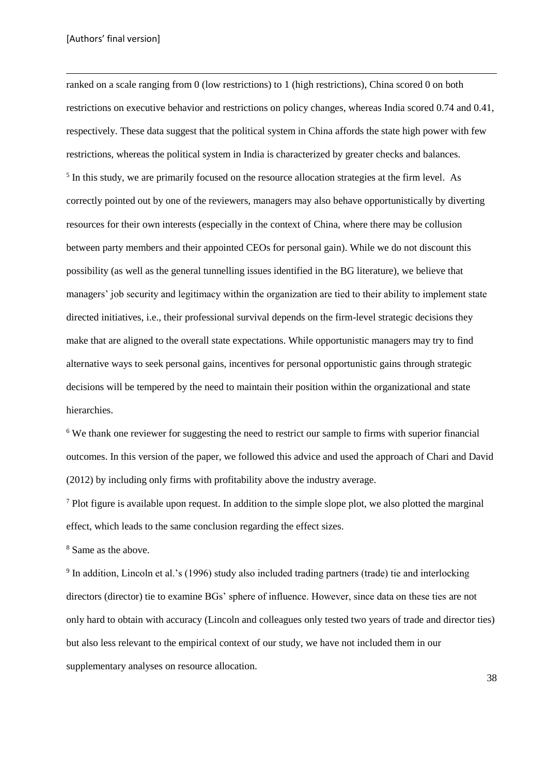**.** 

ranked on a scale ranging from 0 (low restrictions) to 1 (high restrictions), China scored 0 on both restrictions on executive behavior and restrictions on policy changes, whereas India scored 0.74 and 0.41, respectively. These data suggest that the political system in China affords the state high power with few restrictions, whereas the political system in India is characterized by greater checks and balances. <sup>5</sup> In this study, we are primarily focused on the resource allocation strategies at the firm level. As correctly pointed out by one of the reviewers, managers may also behave opportunistically by diverting resources for their own interests (especially in the context of China, where there may be collusion between party members and their appointed CEOs for personal gain). While we do not discount this possibility (as well as the general tunnelling issues identified in the BG literature), we believe that managers' job security and legitimacy within the organization are tied to their ability to implement state directed initiatives, i.e., their professional survival depends on the firm-level strategic decisions they make that are aligned to the overall state expectations. While opportunistic managers may try to find alternative ways to seek personal gains, incentives for personal opportunistic gains through strategic decisions will be tempered by the need to maintain their position within the organizational and state hierarchies.

<sup>6</sup> We thank one reviewer for suggesting the need to restrict our sample to firms with superior financial outcomes. In this version of the paper, we followed this advice and used the approach of Chari and David (2012) by including only firms with profitability above the industry average.

 $<sup>7</sup>$  Plot figure is available upon request. In addition to the simple slope plot, we also plotted the marginal</sup> effect, which leads to the same conclusion regarding the effect sizes.

<sup>8</sup> Same as the above.

<sup>9</sup> In addition, Lincoln et al.'s (1996) study also included trading partners (trade) tie and interlocking directors (director) tie to examine BGs' sphere of influence. However, since data on these ties are not only hard to obtain with accuracy (Lincoln and colleagues only tested two years of trade and director ties) but also less relevant to the empirical context of our study, we have not included them in our supplementary analyses on resource allocation.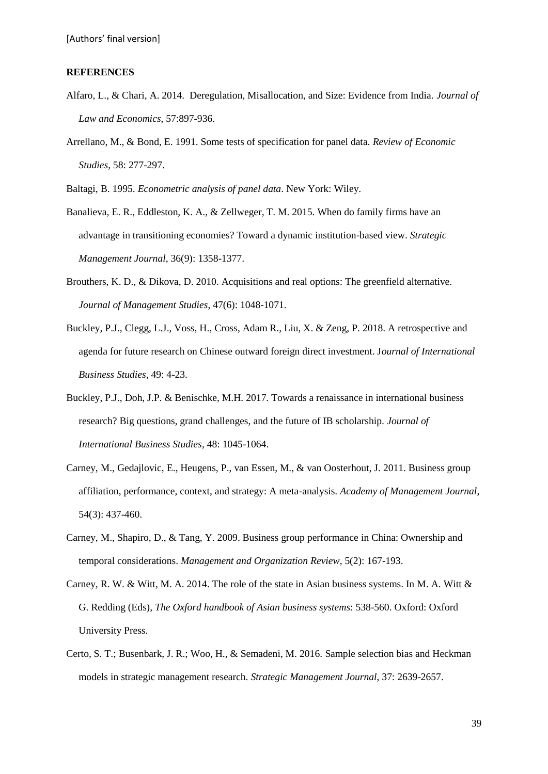#### **REFERENCES**

- Alfaro, L., & Chari, A. 2014. Deregulation, Misallocation, and Size: Evidence from India. *Journal of Law and Economics*, 57:897-936.
- Arrellano, M., & Bond, E. 1991. Some tests of specification for panel data. *Review of Economic Studies*, 58: 277-297.

Baltagi, B. 1995. *Econometric analysis of panel data*. New York: Wiley.

- Banalieva, E. R., Eddleston, K. A., & Zellweger, T. M. 2015. When do family firms have an advantage in transitioning economies? Toward a dynamic institution-based view. *Strategic Management Journal*, 36(9): 1358-1377.
- Brouthers, K. D., & Dikova, D. 2010. Acquisitions and real options: The greenfield alternative. *Journal of Management Studies*, 47(6): 1048-1071.
- Buckley, P.J., Clegg, L.J., Voss, H., Cross, Adam R., Liu, X. & Zeng, P. 2018. A retrospective and agenda for future research on Chinese outward foreign direct investment. J*ournal of International Business Studies*, 49: 4-23.
- Buckley, P.J., Doh, J.P. & Benischke, M.H. 2017. Towards a renaissance in international business research? Big questions, grand challenges, and the future of IB scholarship. *Journal of International Business Studies*, 48: 1045-1064.
- Carney, M., Gedajlovic, E., Heugens, P., van Essen, M., & van Oosterhout, J. 2011. Business group affiliation, performance, context, and strategy: A meta-analysis. *Academy of Management Journal*, 54(3): 437-460.
- Carney, M., Shapiro, D., & Tang, Y. 2009. Business group performance in China: Ownership and temporal considerations. *Management and Organization Review*, 5(2): 167-193.
- Carney, R. W. & Witt, M. A. 2014. The role of the state in Asian business systems. In M. A. Witt & G. Redding (Eds), *The Oxford handbook of Asian business systems*: 538-560. Oxford: Oxford University Press.
- Certo, S. T.; Busenbark, J. R.; Woo, H., & Semadeni, M. 2016. Sample selection bias and Heckman models in strategic management research. *Strategic Management Journal*, 37: 2639-2657.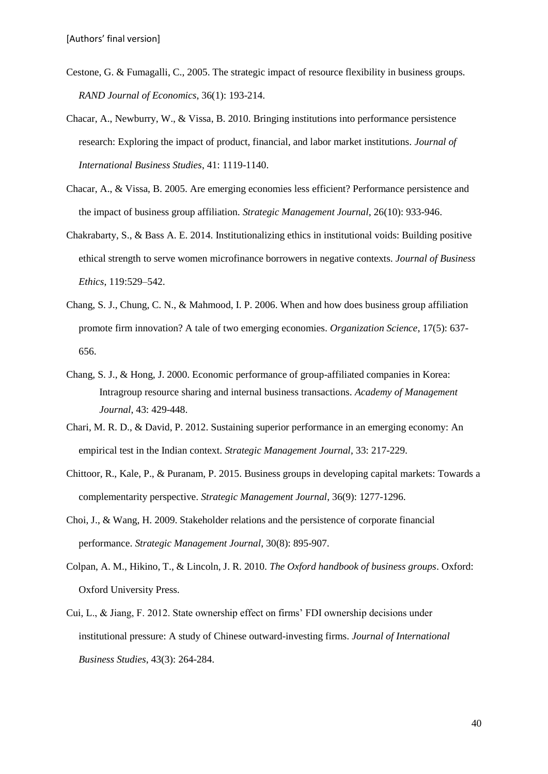- Cestone, G. & Fumagalli, C., 2005. The strategic impact of resource flexibility in business groups. *RAND Journal of Economics*, 36(1): 193-214.
- Chacar, A., Newburry, W., & Vissa, B. 2010. Bringing institutions into performance persistence research: Exploring the impact of product, financial, and labor market institutions. *Journal of International Business Studies*, 41: 1119-1140.
- Chacar, A., & Vissa, B. 2005. Are emerging economies less efficient? Performance persistence and the impact of business group affiliation. *Strategic Management Journal*, 26(10): 933-946.
- Chakrabarty, S., & Bass A. E. 2014. Institutionalizing ethics in institutional voids: Building positive ethical strength to serve women microfinance borrowers in negative contexts. *Journal of Business Ethics*, 119:529–542.
- Chang, S. J., Chung, C. N., & Mahmood, I. P. 2006. When and how does business group affiliation promote firm innovation? A tale of two emerging economies. *Organization Science*, 17(5): 637- 656.
- Chang, S. J., & Hong, J. 2000. Economic performance of group-affiliated companies in Korea: Intragroup resource sharing and internal business transactions. *Academy of Management Journal*, 43: 429-448.
- Chari, M. R. D., & David, P. 2012. Sustaining superior performance in an emerging economy: An empirical test in the Indian context. *Strategic Management Journal*, 33: 217-229.
- Chittoor, R., Kale, P., & Puranam, P. 2015. Business groups in developing capital markets: Towards a complementarity perspective. *Strategic Management Journal*, 36(9): 1277-1296.
- Choi, J., & Wang, H. 2009. Stakeholder relations and the persistence of corporate financial performance. *Strategic Management Journal*, 30(8): 895-907.
- Colpan, A. M., Hikino, T., & Lincoln, J. R. 2010. *The Oxford handbook of business groups*. Oxford: Oxford University Press.
- Cui, L., & Jiang, F. 2012. State ownership effect on firms' FDI ownership decisions under institutional pressure: A study of Chinese outward-investing firms. *Journal of International Business Studies*, 43(3): 264-284.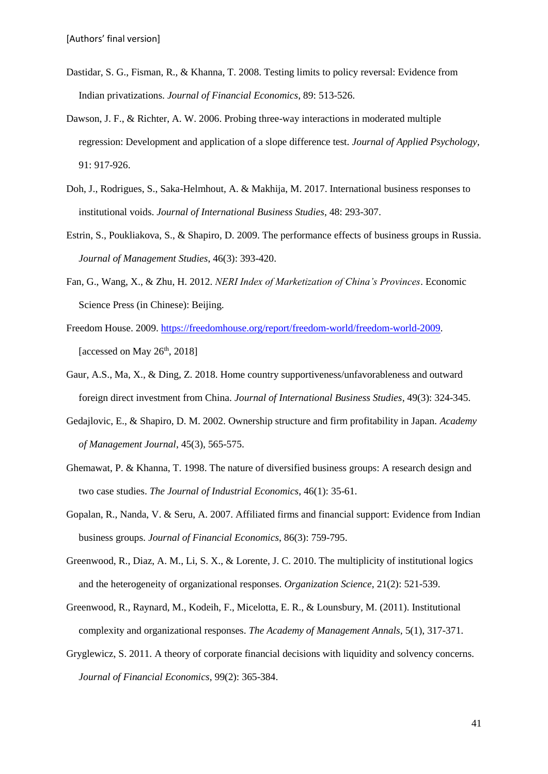- Dastidar, S. G., Fisman, R., & Khanna, T. 2008. Testing limits to policy reversal: Evidence from Indian privatizations. *Journal of Financial Economics*, 89: 513-526.
- Dawson, J. F., & Richter, A. W. 2006. Probing three-way interactions in moderated multiple regression: Development and application of a slope difference test. *Journal of Applied Psychology,*  91: 917-926.r
- Doh, J., Rodrigues, S., Saka-Helmhout, A. & Makhija, M. 2017. International business responses to institutional voids. *Journal of International Business Studies*, 48: 293-307.
- Estrin, S., Poukliakova, S., & Shapiro, D. 2009. The performance effects of business groups in Russia. *Journal of Management Studies*, 46(3): 393-420.
- Fan, G., Wang, X., & Zhu, H. 2012. *NERI Index of Marketization of China's Provinces*. Economic Science Press (in Chinese): Beijing.
- Freedom House. 2009. [https://freedomhouse.org/report/freedom-world/freedom-world-2009.](https://freedomhouse.org/report/freedom-world/freedom-world-2009) [accessed on May  $26<sup>th</sup>$ , 2018]
- Gaur, A.S., Ma, X., & Ding, Z. 2018. Home country supportiveness/unfavorableness and outward foreign direct investment from China. *Journal of International Business Studies*, 49(3): 324-345.
- Gedajlovic, E., & Shapiro, D. M. 2002. Ownership structure and firm profitability in Japan. *Academy of Management Journal*, 45(3), 565-575.
- Ghemawat, P. & Khanna, T. 1998. The nature of diversified business groups: A research design and two case studies. *The Journal of Industrial Economics*, 46(1): 35-61.
- Gopalan, R., Nanda, V. & Seru, A. 2007. Affiliated firms and financial support: Evidence from Indian business groups. *Journal of Financial Economics*, 86(3): 759-795.
- Greenwood, R., Diaz, A. M., Li, S. X., & Lorente, J. C. 2010. The multiplicity of institutional logics and the heterogeneity of organizational responses. *Organization Science*, 21(2): 521-539.
- Greenwood, R., Raynard, M., Kodeih, F., Micelotta, E. R., & Lounsbury, M. (2011). Institutional complexity and organizational responses. *The Academy of Management Annals*, 5(1), 317-371.
- Gryglewicz, S. 2011. A theory of corporate financial decisions with liquidity and solvency concerns. *Journal of Financial Economics*, 99(2): 365-384.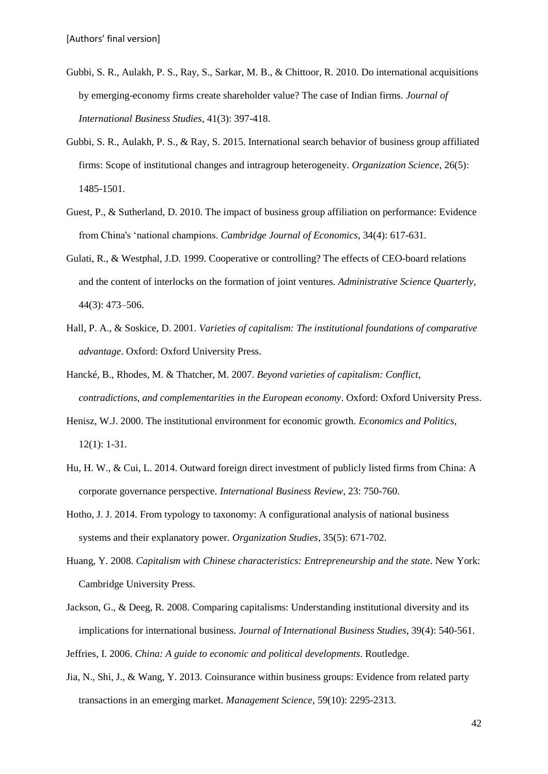- Gubbi, S. R., Aulakh, P. S., Ray, S., Sarkar, M. B., & Chittoor, R. 2010. Do international acquisitions by emerging-economy firms create shareholder value? The case of Indian firms. *Journal of International Business Studies*, 41(3): 397-418.
- Gubbi, S. R., Aulakh, P. S., & Ray, S. 2015. International search behavior of business group affiliated firms: Scope of institutional changes and intragroup heterogeneity. *Organization Science*, 26(5): 1485-1501.
- Guest, P., & Sutherland, D. 2010. The impact of business group affiliation on performance: Evidence from China's 'national champions. *Cambridge Journal of Economics*, 34(4): 617-631.
- Gulati, R., & Westphal, J.D. 1999. Cooperative or controlling? The effects of CEO-board relations and the content of interlocks on the formation of joint ventures. *Administrative Science Quarterly*, 44(3): 473–506.
- Hall, P. A., & Soskice, D. 2001. *Varieties of capitalism: The institutional foundations of comparative advantage*. Oxford: Oxford University Press.
- Hancké, B., Rhodes, M. & Thatcher, M. 2007. *Beyond varieties of capitalism: Conflict, contradictions, and complementarities in the European economy*. Oxford: Oxford University Press.
- Henisz, W.J. 2000. The institutional environment for economic growth. *Economics and Politics*, 12(1): 1-31.
- Hu, H. W., & Cui, L. 2014. Outward foreign direct investment of publicly listed firms from China: A corporate governance perspective. *International Business Review*, 23: 750-760.
- Hotho, J. J. 2014. From typology to taxonomy: A configurational analysis of national business systems and their explanatory power. *Organization Studies*, 35(5): 671-702.
- Huang, Y. 2008. *Capitalism with Chinese characteristics: Entrepreneurship and the state*. New York: Cambridge University Press.
- Jackson, G., & Deeg, R. 2008. Comparing capitalisms: Understanding institutional diversity and its implications for international business. *Journal of International Business Studies*, 39(4): 540-561.

Jeffries, I. 2006. *China: A guide to economic and political developments*. Routledge.

Jia, N., Shi, J., & Wang, Y. 2013. Coinsurance within business groups: Evidence from related party transactions in an emerging market. *Management Science*, 59(10): 2295-2313.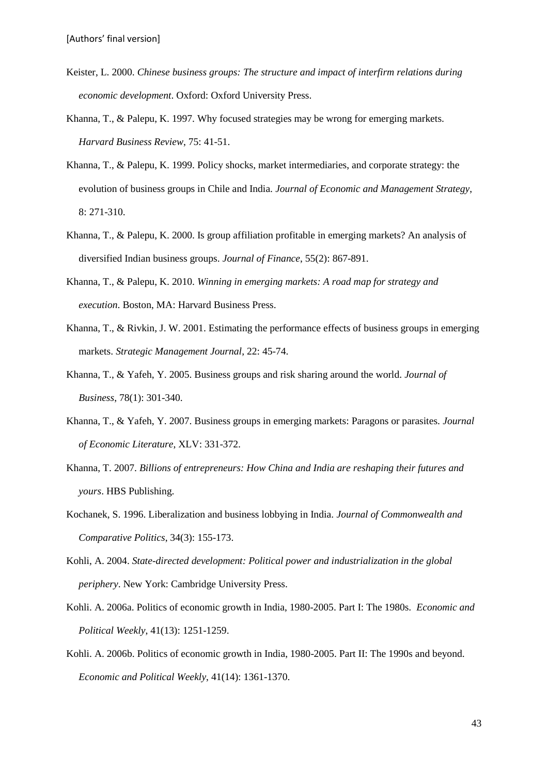- Keister, L. 2000. *Chinese business groups: The structure and impact of interfirm relations during economic development*. Oxford: Oxford University Press.
- Khanna, T., & Palepu, K. 1997. Why focused strategies may be wrong for emerging markets. *Harvard Business Review*, 75: 41-51.
- Khanna, T., & Palepu, K. 1999. Policy shocks, market intermediaries, and corporate strategy: the evolution of business groups in Chile and India. *Journal of Economic and Management Strategy*, 8: 271-310.
- Khanna, T., & Palepu, K. 2000. Is group affiliation profitable in emerging markets? An analysis of diversified Indian business groups. *Journal of Finance*, 55(2): 867-891.
- Khanna, T., & Palepu, K. 2010. *Winning in emerging markets: A road map for strategy and execution*. Boston, MA: Harvard Business Press.
- Khanna, T., & Rivkin, J. W. 2001. Estimating the performance effects of business groups in emerging markets. *Strategic Management Journal*, 22: 45-74.
- Khanna, T., & Yafeh, Y. 2005. Business groups and risk sharing around the world. *Journal of Business*, 78(1): 301-340.
- Khanna, T., & Yafeh, Y. 2007. Business groups in emerging markets: Paragons or parasites. *Journal of Economic Literature*, XLV: 331-372.
- Khanna, T. 2007. *Billions of entrepreneurs: How China and India are reshaping their futures and yours*. HBS Publishing.
- Kochanek, S. 1996. Liberalization and business lobbying in India. *Journal of Commonwealth and Comparative Politics*, 34(3): 155-173.
- Kohli, A. 2004. *State-directed development: Political power and industrialization in the global periphery*. New York: Cambridge University Press.
- Kohli. A. 2006a. Politics of economic growth in India, 1980-2005. Part I: The 1980s. *Economic and Political Weekly*, 41(13): 1251-1259.
- Kohli. A. 2006b. Politics of economic growth in India, 1980-2005. Part II: The 1990s and beyond. *Economic and Political Weekly*, 41(14): 1361-1370.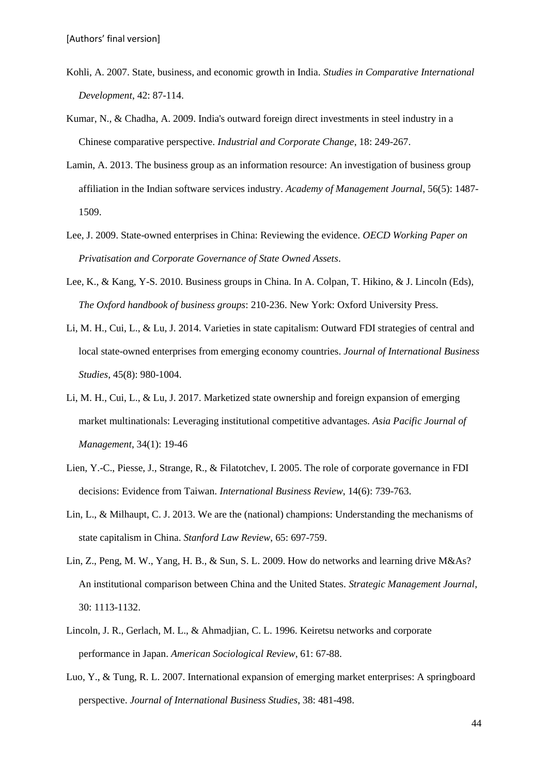- Kohli, A. 2007. State, business, and economic growth in India. *Studies in Comparative International Development*, 42: 87-114.
- Kumar, N., & Chadha, A. 2009. India's outward foreign direct investments in steel industry in a Chinese comparative perspective. *Industrial and Corporate Change*, 18: 249-267.
- Lamin, A. 2013. The business group as an information resource: An investigation of business group affiliation in the Indian software services industry. *Academy of Management Journal*, 56(5): 1487- 1509.
- Lee, J. 2009. State-owned enterprises in China: Reviewing the evidence. *OECD Working Paper on Privatisation and Corporate Governance of State Owned Assets*.
- Lee, K., & Kang, Y-S. 2010. Business groups in China. In A. Colpan, T. Hikino, & J. Lincoln (Eds), *The Oxford handbook of business groups*: 210-236. New York: Oxford University Press.
- Li, M. H., Cui, L., & Lu, J. 2014. Varieties in state capitalism: Outward FDI strategies of central and local state-owned enterprises from emerging economy countries. *Journal of International Business Studies*, 45(8): 980-1004.
- Li, M. H., Cui, L., & Lu, J. 2017. Marketized state ownership and foreign expansion of emerging market multinationals: Leveraging institutional competitive advantages. *Asia Pacific Journal of Management*, 34(1): 19-46
- Lien, Y.-C., Piesse, J., Strange, R., & Filatotchev, I. 2005. The role of corporate governance in FDI decisions: Evidence from Taiwan. *International Business Review*, 14(6): 739-763.
- Lin, L., & Milhaupt, C. J. 2013. We are the (national) champions: Understanding the mechanisms of state capitalism in China. *Stanford Law Review*, 65: 697-759.
- Lin, Z., Peng, M. W., Yang, H. B., & Sun, S. L. 2009. How do networks and learning drive M&As? An institutional comparison between China and the United States. *Strategic Management Journal*, 30: 1113-1132.
- Lincoln, J. R., Gerlach, M. L., & Ahmadjian, C. L. 1996. Keiretsu networks and corporate performance in Japan. *American Sociological Review*, 61: 67-88.
- Luo, Y., & Tung, R. L. 2007. International expansion of emerging market enterprises: A springboard perspective. *Journal of International Business Studies*, 38: 481-498.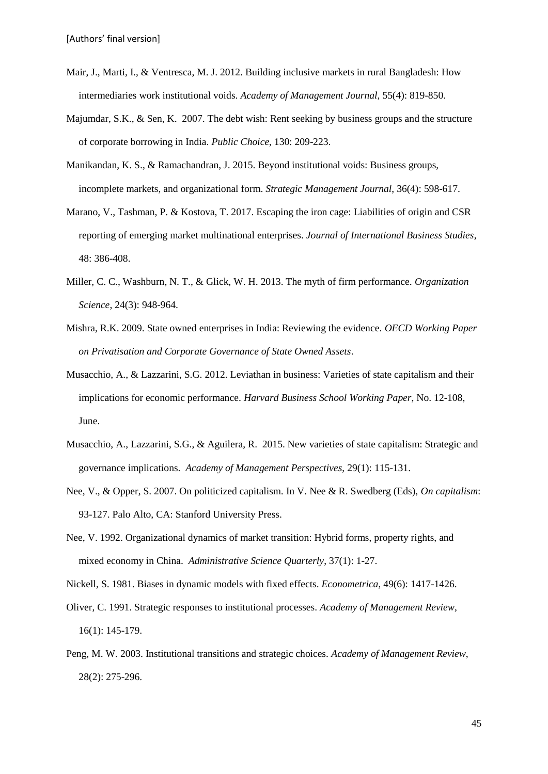- Mair, J., Marti, I., & Ventresca, M. J. 2012. Building inclusive markets in rural Bangladesh: How intermediaries work institutional voids. *Academy of Management Journal*, 55(4): 819-850.
- Majumdar, S.K., & Sen, K. 2007. The debt wish: Rent seeking by business groups and the structure of corporate borrowing in India. *Public Choice*, 130: 209-223.
- Manikandan, K. S., & Ramachandran, J. 2015. Beyond institutional voids: Business groups, incomplete markets, and organizational form. *Strategic Management Journal*, 36(4): 598-617.
- Marano, V., Tashman, P. & Kostova, T. 2017. Escaping the iron cage: Liabilities of origin and CSR reporting of emerging market multinational enterprises. *Journal of International Business Studies*, 48: 386-408.
- Miller, C. C., Washburn, N. T., & Glick, W. H. 2013. The myth of firm performance. *Organization Science*, 24(3): 948-964.
- Mishra, R.K. 2009. State owned enterprises in India: Reviewing the evidence. *OECD Working Paper on Privatisation and Corporate Governance of State Owned Assets*.
- Musacchio, A., & Lazzarini, S.G. 2012. Leviathan in business: Varieties of state capitalism and their implications for economic performance. *Harvard Business School Working Paper*, No. 12-108, June.
- Musacchio, A., Lazzarini, S.G., & Aguilera, R. 2015. New varieties of state capitalism: Strategic and governance implications. *Academy of Management Perspectives*, 29(1): 115-131.
- Nee, V., & Opper, S. 2007. On politicized capitalism. In V. Nee & R. Swedberg (Eds), *On capitalism*: 93-127. Palo Alto, CA: Stanford University Press.
- Nee, V. 1992. Organizational dynamics of market transition: Hybrid forms, property rights, and mixed economy in China. *Administrative Science Quarterly*, 37(1): 1-27.
- Nickell, S. 1981. Biases in dynamic models with fixed effects. *Econometrica*, 49(6): 1417-1426.
- Oliver, C. 1991. Strategic responses to institutional processes. *Academy of Management Review*, 16(1): 145-179.
- Peng, M. W. 2003. Institutional transitions and strategic choices. *Academy of Management Review*, 28(2): 275-296.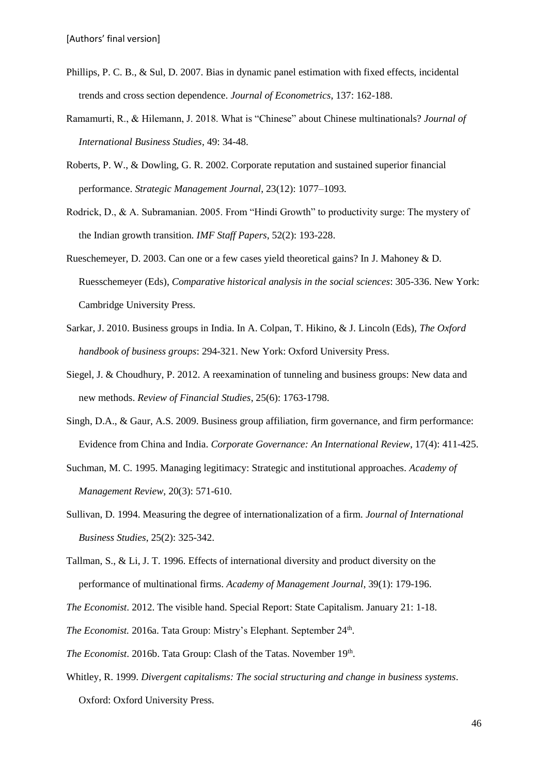- Phillips, P. C. B., & Sul, D. 2007. Bias in dynamic panel estimation with fixed effects, incidental trends and cross section dependence. *Journal of Econometrics*, 137: 162-188.
- Ramamurti, R., & Hilemann, J. 2018. What is "Chinese" about Chinese multinationals? *Journal of International Business Studies*, 49: 34-48.
- Roberts, P. W., & Dowling, G. R. 2002. Corporate reputation and sustained superior financial performance. *Strategic Management Journal*, 23(12): 1077–1093.
- Rodrick, D., & A. Subramanian. 2005. From "Hindi Growth" to productivity surge: The mystery of the Indian growth transition. *IMF Staff Papers*, 52(2): 193-228.
- Rueschemeyer, D. 2003. Can one or a few cases yield theoretical gains? In J. Mahoney & D. Ruesschemeyer (Eds), *Comparative historical analysis in the social sciences*: 305-336. New York: Cambridge University Press.
- Sarkar, J. 2010. Business groups in India. In A. Colpan, T. Hikino, & J. Lincoln (Eds), *The Oxford handbook of business groups*: 294-321. New York: Oxford University Press.
- Siegel, J. & Choudhury, P. 2012. A reexamination of tunneling and business groups: New data and new methods. *Review of Financial Studies*, 25(6): 1763-1798.
- Singh, D.A., & Gaur, A.S. 2009. Business group affiliation, firm governance, and firm performance: Evidence from China and India. *Corporate Governance: An International Review*, 17(4): 411-425.
- Suchman, M. C. 1995. Managing legitimacy: Strategic and institutional approaches. *Academy of Management Review*, 20(3): 571-610.
- Sullivan, D. 1994. Measuring the degree of internationalization of a firm. *Journal of International Business Studies*, 25(2): 325-342.
- Tallman, S., & Li, J. T. 1996. Effects of international diversity and product diversity on the performance of multinational firms. *Academy of Management Journal*, 39(1): 179-196.
- *The Economist*. 2012. The visible hand. Special Report: State Capitalism. January 21: 1-18.
- The Economist. 2016a. Tata Group: Mistry's Elephant. September 24<sup>th</sup>.
- The Economist. 2016b. Tata Group: Clash of the Tatas. November 19<sup>th</sup>.
- Whitley, R. 1999. *Divergent capitalisms: The social structuring and change in business systems*. Oxford: Oxford University Press.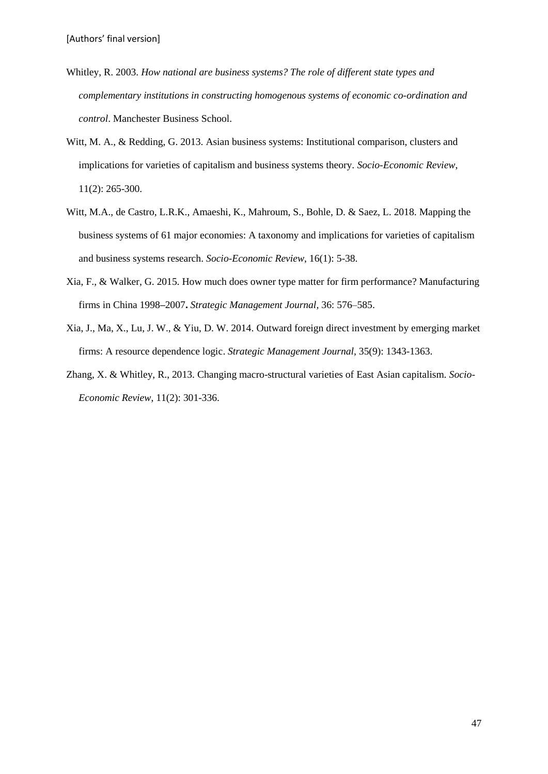- Whitley, R. 2003. *How national are business systems? The role of different state types and complementary institutions in constructing homogenous systems of economic co-ordination and control*. Manchester Business School.
- Witt, M. A., & Redding, G. 2013. Asian business systems: Institutional comparison, clusters and implications for varieties of capitalism and business systems theory. *Socio-Economic Review*, 11(2): 265-300.
- Witt, M.A., de Castro, L.R.K., Amaeshi, K., Mahroum, S., Bohle, D. & Saez, L. 2018. Mapping the business systems of 61 major economies: A taxonomy and implications for varieties of capitalism and business systems research. *Socio-Economic Review*, 16(1): 5-38.
- Xia, F., & Walker, G. 2015. How much does owner type matter for firm performance? Manufacturing firms in China 1998*–*2007**.** *Strategic Management Journal,* 36: 576–585.
- Xia, J., Ma, X., Lu, J. W., & Yiu, D. W. 2014. Outward foreign direct investment by emerging market firms: A resource dependence logic. *Strategic Management Journal,* 35(9): 1343-1363.
- Zhang, X. & Whitley, R., 2013. Changing macro-structural varieties of East Asian capitalism. *Socio-Economic Review*, 11(2): 301-336.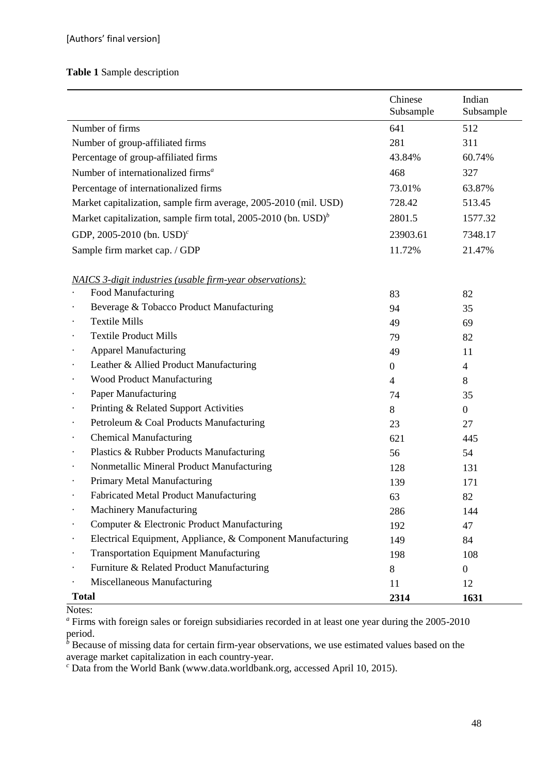# **Table 1** Sample description

|              |                                                                         | Chinese<br>Subsample | Indian<br>Subsample |
|--------------|-------------------------------------------------------------------------|----------------------|---------------------|
|              | Number of firms                                                         | 641                  | 512                 |
|              | Number of group-affiliated firms                                        | 281                  | 311                 |
|              | Percentage of group-affiliated firms                                    | 43.84%               | 60.74%              |
|              | Number of internationalized firms <sup>a</sup>                          | 468                  | 327                 |
|              | Percentage of internationalized firms                                   | 73.01%               | 63.87%              |
|              | Market capitalization, sample firm average, 2005-2010 (mil. USD)        | 728.42               | 513.45              |
|              | Market capitalization, sample firm total, 2005-2010 (bn. $\text{USD}^b$ | 2801.5               | 1577.32             |
|              | GDP, 2005-2010 (bn. $USD^{c}$                                           | 23903.61             | 7348.17             |
|              | Sample firm market cap. / GDP                                           | 11.72%               | 21.47%              |
|              |                                                                         |                      |                     |
|              | <u>NAICS 3-digit industries (usable firm-year observations):</u>        |                      |                     |
|              | Food Manufacturing                                                      | 83                   | 82                  |
|              | Beverage & Tobacco Product Manufacturing                                | 94                   | 35                  |
|              | <b>Textile Mills</b>                                                    | 49                   | 69                  |
|              | <b>Textile Product Mills</b>                                            | 79                   | 82                  |
|              | <b>Apparel Manufacturing</b>                                            | 49                   | 11                  |
| $\bullet$    | Leather & Allied Product Manufacturing                                  | $\overline{0}$       | $\overline{4}$      |
|              | <b>Wood Product Manufacturing</b>                                       | $\overline{4}$       | 8                   |
|              | <b>Paper Manufacturing</b>                                              | 74                   | 35                  |
| $\bullet$    | Printing & Related Support Activities                                   | 8                    | $\overline{0}$      |
| $\bullet$    | Petroleum & Coal Products Manufacturing                                 | 23                   | 27                  |
| $\bullet$    | <b>Chemical Manufacturing</b>                                           | 621                  | 445                 |
|              | Plastics & Rubber Products Manufacturing                                | 56                   | 54                  |
| $\bullet$    | Nonmetallic Mineral Product Manufacturing                               | 128                  | 131                 |
|              | Primary Metal Manufacturing                                             | 139                  | 171                 |
|              | <b>Fabricated Metal Product Manufacturing</b>                           | 63                   | 82                  |
|              | <b>Machinery Manufacturing</b>                                          | 286                  | 144                 |
|              | Computer & Electronic Product Manufacturing                             | 192                  | 47                  |
|              | Electrical Equipment, Appliance, & Component Manufacturing              | 149                  | 84                  |
|              | <b>Transportation Equipment Manufacturing</b>                           | 198                  | 108                 |
|              | Furniture & Related Product Manufacturing                               | 8                    | $\overline{0}$      |
|              | Miscellaneous Manufacturing                                             | 11                   | 12                  |
| <b>Total</b> |                                                                         | 2314                 | 1631                |

# Notes:

*<sup>a</sup>* Firms with foreign sales or foreign subsidiaries recorded in at least one year during the 2005-2010 period.

<sup>*b*</sup> Because of missing data for certain firm-year observations, we use estimated values based on the average market capitalization in each country-year.

*<sup>c</sup>* Data from the World Bank (www.data.worldbank.org, accessed April 10, 2015).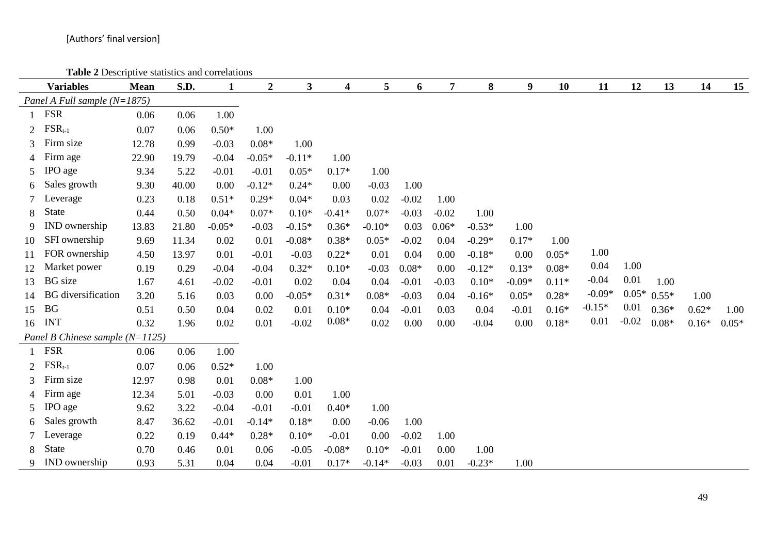**Table 2** Descriptive statistics and correlations

|                             | <b>Variables</b>                  | <b>Mean</b> | S.D.  | $\mathbf{1}$ | $\boldsymbol{2}$ | 3        | $\overline{\mathbf{4}}$ | 5        | 6       | $\overline{7}$ | 8        | $\boldsymbol{9}$ | 10      | 11       | 12      | 13            | 14      | 15      |
|-----------------------------|-----------------------------------|-------------|-------|--------------|------------------|----------|-------------------------|----------|---------|----------------|----------|------------------|---------|----------|---------|---------------|---------|---------|
|                             | Panel A Full sample $(N=1875)$    |             |       |              |                  |          |                         |          |         |                |          |                  |         |          |         |               |         |         |
|                             | <b>FSR</b>                        | 0.06        | 0.06  | 1.00         |                  |          |                         |          |         |                |          |                  |         |          |         |               |         |         |
| $\mathcal{D}_{\mathcal{L}}$ | $FSR_{t-1}$                       | 0.07        | 0.06  | $0.50*$      | 1.00             |          |                         |          |         |                |          |                  |         |          |         |               |         |         |
| 3                           | Firm size                         | 12.78       | 0.99  | $-0.03$      | $0.08*$          | 1.00     |                         |          |         |                |          |                  |         |          |         |               |         |         |
|                             | Firm age                          | 22.90       | 19.79 | $-0.04$      | $-0.05*$         | $-0.11*$ | 1.00                    |          |         |                |          |                  |         |          |         |               |         |         |
|                             | IPO age                           | 9.34        | 5.22  | $-0.01$      | $-0.01$          | $0.05*$  | $0.17*$                 | 1.00     |         |                |          |                  |         |          |         |               |         |         |
|                             | Sales growth                      | 9.30        | 40.00 | 0.00         | $-0.12*$         | $0.24*$  | 0.00                    | $-0.03$  | 1.00    |                |          |                  |         |          |         |               |         |         |
|                             | Leverage                          | 0.23        | 0.18  | $0.51*$      | $0.29*$          | $0.04*$  | 0.03                    | 0.02     | $-0.02$ | 1.00           |          |                  |         |          |         |               |         |         |
| 8                           | <b>State</b>                      | 0.44        | 0.50  | $0.04*$      | $0.07*$          | $0.10*$  | $-0.41*$                | $0.07*$  | $-0.03$ | $-0.02$        | 1.00     |                  |         |          |         |               |         |         |
| 9                           | IND ownership                     | 13.83       | 21.80 | $-0.05*$     | $-0.03$          | $-0.15*$ | $0.36*$                 | $-0.10*$ | 0.03    | $0.06*$        | $-0.53*$ | 1.00             |         |          |         |               |         |         |
| 10                          | SFI ownership                     | 9.69        | 11.34 | 0.02         | 0.01             | $-0.08*$ | $0.38*$                 | $0.05*$  | $-0.02$ | 0.04           | $-0.29*$ | $0.17*$          | 1.00    |          |         |               |         |         |
| 11                          | FOR ownership                     | 4.50        | 13.97 | 0.01         | $-0.01$          | $-0.03$  | $0.22*$                 | 0.01     | 0.04    | 0.00           | $-0.18*$ | 0.00             | $0.05*$ | 1.00     |         |               |         |         |
| 12                          | Market power                      | 0.19        | 0.29  | $-0.04$      | $-0.04$          | $0.32*$  | $0.10*$                 | $-0.03$  | $0.08*$ | 0.00           | $-0.12*$ | $0.13*$          | $0.08*$ | 0.04     | 1.00    |               |         |         |
| 13                          | <b>BG</b> size                    | 1.67        | 4.61  | $-0.02$      | $-0.01$          | 0.02     | 0.04                    | 0.04     | $-0.01$ | $-0.03$        | $0.10*$  | $-0.09*$         | $0.11*$ | $-0.04$  | 0.01    | 1.00          |         |         |
| 14                          | <b>BG</b> diversification         | 3.20        | 5.16  | 0.03         | 0.00             | $-0.05*$ | $0.31*$                 | $0.08*$  | $-0.03$ | 0.04           | $-0.16*$ | $0.05*$          | $0.28*$ | $-0.09*$ |         | $0.05*$ 0.55* | 1.00    |         |
| 15                          | <b>BG</b>                         | 0.51        | 0.50  | 0.04         | 0.02             | 0.01     | $0.10*$                 | 0.04     | $-0.01$ | 0.03           | 0.04     | $-0.01$          | $0.16*$ | $-0.15*$ | 0.01    | $0.36*$       | $0.62*$ | 1.00    |
| 16                          | <b>INT</b>                        | 0.32        | 1.96  | 0.02         | 0.01             | $-0.02$  | $0.08*$                 | 0.02     | 0.00    | 0.00           | $-0.04$  | 0.00             | $0.18*$ | 0.01     | $-0.02$ | $0.08*$       | $0.16*$ | $0.05*$ |
|                             | Panel B Chinese sample $(N=1125)$ |             |       |              |                  |          |                         |          |         |                |          |                  |         |          |         |               |         |         |
|                             | <b>FSR</b>                        | 0.06        | 0.06  | 1.00         |                  |          |                         |          |         |                |          |                  |         |          |         |               |         |         |
| $\mathcal{D}_{\mathcal{L}}$ | $FSR_{t-1}$                       | 0.07        | 0.06  | $0.52*$      | 1.00             |          |                         |          |         |                |          |                  |         |          |         |               |         |         |
| 3                           | Firm size                         | 12.97       | 0.98  | 0.01         | $0.08*$          | 1.00     |                         |          |         |                |          |                  |         |          |         |               |         |         |
|                             | Firm age                          | 12.34       | 5.01  | $-0.03$      | 0.00             | 0.01     | 1.00                    |          |         |                |          |                  |         |          |         |               |         |         |
|                             | IPO age                           | 9.62        | 3.22  | $-0.04$      | $-0.01$          | $-0.01$  | $0.40*$                 | 1.00     |         |                |          |                  |         |          |         |               |         |         |
| 6                           | Sales growth                      | 8.47        | 36.62 | $-0.01$      | $-0.14*$         | $0.18*$  | 0.00                    | $-0.06$  | 1.00    |                |          |                  |         |          |         |               |         |         |
|                             | Leverage                          | 0.22        | 0.19  | $0.44*$      | $0.28*$          | $0.10*$  | $-0.01$                 | 0.00     | $-0.02$ | 1.00           |          |                  |         |          |         |               |         |         |
| 8                           | <b>State</b>                      | 0.70        | 0.46  | 0.01         | 0.06             | $-0.05$  | $-0.08*$                | $0.10*$  | $-0.01$ | 0.00           | 1.00     |                  |         |          |         |               |         |         |
| 9                           | IND ownership                     | 0.93        | 5.31  | 0.04         | 0.04             | $-0.01$  | $0.17*$                 | $-0.14*$ | $-0.03$ | 0.01           | $-0.23*$ | 1.00             |         |          |         |               |         |         |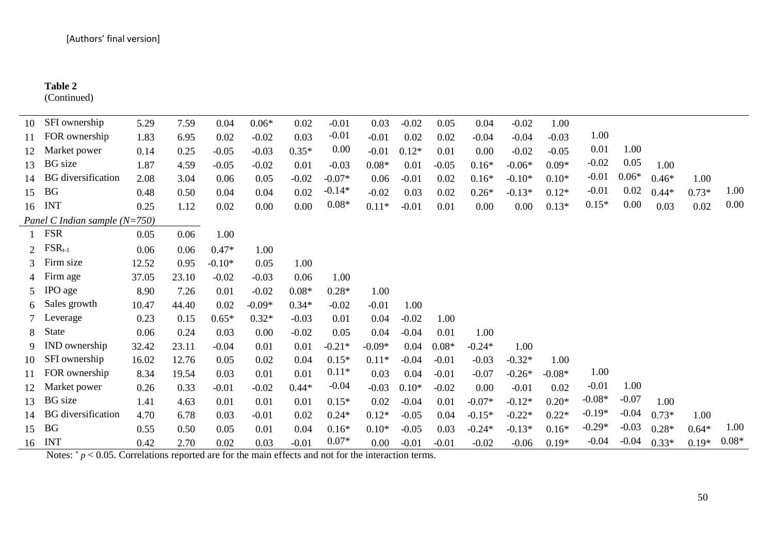#### **Table 2**

(Continued)

| 10                          | SFI ownership                   | 5.29  | 7.59  | 0.04     | $0.06*$  | 0.02    | $-0.01$  | 0.03     | $-0.02$ | 0.05    | 0.04     | $-0.02$  | 1.00     |          |         |         |         |         |
|-----------------------------|---------------------------------|-------|-------|----------|----------|---------|----------|----------|---------|---------|----------|----------|----------|----------|---------|---------|---------|---------|
|                             | FOR ownership                   | 1.83  | 6.95  | 0.02     | $-0.02$  | 0.03    | $-0.01$  | $-0.01$  | 0.02    | 0.02    | $-0.04$  | $-0.04$  | $-0.03$  | 1.00     |         |         |         |         |
|                             | Market power                    | 0.14  | 0.25  | $-0.05$  | $-0.03$  | $0.35*$ | 0.00     | $-0.01$  | $0.12*$ | 0.01    | 0.00     | $-0.02$  | $-0.05$  | 0.01     | 1.00    |         |         |         |
| 13                          | <b>BG</b> size                  | 1.87  | 4.59  | $-0.05$  | $-0.02$  | 0.01    | $-0.03$  | $0.08*$  | 0.01    | $-0.05$ | $0.16*$  | $-0.06*$ | $0.09*$  | $-0.02$  | 0.05    | 1.00    |         |         |
| 14                          | <b>BG</b> diversification       | 2.08  | 3.04  | 0.06     | 0.05     | $-0.02$ | $-0.07*$ | 0.06     | $-0.01$ | 0.02    | $0.16*$  | $-0.10*$ | $0.10*$  | $-0.01$  | $0.06*$ | $0.46*$ | 1.00    |         |
| 15                          | <b>BG</b>                       | 0.48  | 0.50  | 0.04     | 0.04     | 0.02    | $-0.14*$ | $-0.02$  | 0.03    | 0.02    | $0.26*$  | $-0.13*$ | $0.12*$  | $-0.01$  | 0.02    | $0.44*$ | $0.73*$ | 1.00    |
| 16                          | <b>INT</b>                      | 0.25  | 1.12  | 0.02     | 0.00     | 0.00    | $0.08*$  | $0.11*$  | $-0.01$ | 0.01    | 0.00     | 0.00     | $0.13*$  | $0.15*$  | 0.00    | 0.03    | 0.02    | 0.00    |
|                             | Panel C Indian sample $(N=750)$ |       |       |          |          |         |          |          |         |         |          |          |          |          |         |         |         |         |
|                             | <b>FSR</b>                      | 0.05  | 0.06  | 1.00     |          |         |          |          |         |         |          |          |          |          |         |         |         |         |
| $\mathcal{D}_{\mathcal{L}}$ | $FSR_{t-1}$                     | 0.06  | 0.06  | $0.47*$  | 1.00     |         |          |          |         |         |          |          |          |          |         |         |         |         |
| 3                           | Firm size                       | 12.52 | 0.95  | $-0.10*$ | 0.05     | 1.00    |          |          |         |         |          |          |          |          |         |         |         |         |
|                             | Firm age                        | 37.05 | 23.10 | $-0.02$  | $-0.03$  | 0.06    | 1.00     |          |         |         |          |          |          |          |         |         |         |         |
|                             | IPO age                         | 8.90  | 7.26  | 0.01     | $-0.02$  | $0.08*$ | $0.28*$  | 1.00     |         |         |          |          |          |          |         |         |         |         |
| 6                           | Sales growth                    | 10.47 | 44.40 | 0.02     | $-0.09*$ | $0.34*$ | $-0.02$  | $-0.01$  | 1.00    |         |          |          |          |          |         |         |         |         |
|                             | Leverage                        | 0.23  | 0.15  | $0.65*$  | $0.32*$  | $-0.03$ | 0.01     | 0.04     | $-0.02$ | 1.00    |          |          |          |          |         |         |         |         |
| 8                           | State                           | 0.06  | 0.24  | 0.03     | 0.00     | $-0.02$ | 0.05     | 0.04     | $-0.04$ | 0.01    | 1.00     |          |          |          |         |         |         |         |
| 9                           | IND ownership                   | 32.42 | 23.11 | $-0.04$  | 0.01     | 0.01    | $-0.21*$ | $-0.09*$ | 0.04    | $0.08*$ | $-0.24*$ | 1.00     |          |          |         |         |         |         |
| 10                          | SFI ownership                   | 16.02 | 12.76 | 0.05     | 0.02     | 0.04    | $0.15*$  | $0.11*$  | $-0.04$ | $-0.01$ | $-0.03$  | $-0.32*$ | 1.00     |          |         |         |         |         |
|                             | FOR ownership                   | 8.34  | 19.54 | 0.03     | 0.01     | 0.01    | $0.11*$  | 0.03     | 0.04    | $-0.01$ | $-0.07$  | $-0.26*$ | $-0.08*$ | 1.00     |         |         |         |         |
| 12                          | Market power                    | 0.26  | 0.33  | $-0.01$  | $-0.02$  | $0.44*$ | $-0.04$  | $-0.03$  | $0.10*$ | $-0.02$ | 0.00     | $-0.01$  | 0.02     | $-0.01$  | 1.00    |         |         |         |
| 13                          | <b>BG</b> size                  | 1.41  | 4.63  | 0.01     | 0.01     | 0.01    | $0.15*$  | 0.02     | $-0.04$ | 0.01    | $-0.07*$ | $-0.12*$ | $0.20*$  | $-0.08*$ | $-0.07$ | 1.00    |         |         |
| 14                          | <b>BG</b> diversification       | 4.70  | 6.78  | 0.03     | $-0.01$  | 0.02    | $0.24*$  | $0.12*$  | $-0.05$ | 0.04    | $-0.15*$ | $-0.22*$ | $0.22*$  | $-0.19*$ | $-0.04$ | $0.73*$ | 1.00    |         |
| 15                          | <b>BG</b>                       | 0.55  | 0.50  | 0.05     | 0.01     | 0.04    | $0.16*$  | $0.10*$  | $-0.05$ | 0.03    | $-0.24*$ | $-0.13*$ | $0.16*$  | $-0.29*$ | $-0.03$ | $0.28*$ | $0.64*$ | 1.00    |
| 16                          | <b>INT</b>                      | 0.42  | 2.70  | 0.02     | 0.03     | $-0.01$ | $0.07*$  | 0.00     | $-0.01$ | $-0.01$ | $-0.02$  | $-0.06$  | $0.19*$  | $-0.04$  | $-0.04$ | $0.33*$ | $0.19*$ | $0.08*$ |

Notes: \* *p* < 0.05. Correlations reported are for the main effects and not for the interaction terms.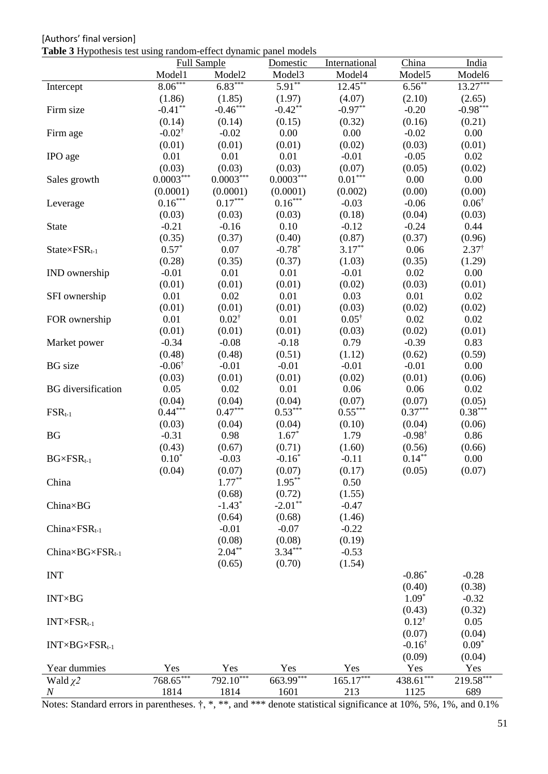[Authors' final version] **Table 3** Hypothesis test using random-effect dynamic panel models

| <b>Full Sample</b><br>Model <sub>2</sub><br>Model4<br>Model <sub>5</sub><br>Model6<br>Model1<br>Model <sub>3</sub><br>$8.06***$<br>$6.83***$<br>$5.91***$<br>$12.45***$<br>$6.56***$<br>$13.27***$<br>Intercept<br>(1.86)<br>(1.85)<br>(1.97)<br>(4.07)<br>(2.10)<br>(2.65)<br>$-0.46***$<br>$-0.98***$<br>$-0.41***$<br>$-0.42**$<br>$-0.97**$<br>$-0.20$<br>Firm size<br>(0.14)<br>(0.14)<br>(0.15)<br>(0.32)<br>(0.16)<br>(0.21)<br>$-0.02^{\dagger}$<br>$-0.02$<br>0.00<br>0.00<br>$-0.02$<br>0.00<br>Firm age<br>(0.01)<br>(0.01)<br>(0.02)<br>(0.03)<br>(0.01)<br>(0.01)<br>0.01<br>0.01<br>0.01<br>$-0.01$<br>$-0.05$<br>0.02<br>IPO age<br>(0.03)<br>(0.03)<br>(0.03)<br>(0.07)<br>(0.05)<br>(0.02)<br>$0.0003^{***}\,$<br>$0.0003^{***}\,$<br>$0.0003^{***}\,$<br>$0.01***$<br>0.00<br>0.00<br>Sales growth<br>(0.0001)<br>(0.0001)<br>(0.00)<br>(0.00)<br>(0.0001)<br>(0.002)<br>$0.16\sp{*}^{***}$<br>$0.17***$<br>$0.16***$<br>$0.06^{\dagger}$<br>$-0.03$<br>$-0.06$<br>Leverage<br>(0.18)<br>(0.04)<br>(0.03)<br>(0.03)<br>(0.03)<br>(0.03)<br>$-0.21$<br>$-0.16$<br>0.10<br>$-0.24$<br>0.44<br>$-0.12$<br><b>State</b><br>(0.35)<br>(0.87)<br>(0.37)<br>(0.96)<br>(0.37)<br>(0.40)<br>$0.57*$<br>$-0.78*$<br>$3.17***$<br>$2.37^{\dagger}$<br>0.07<br>0.06<br>$State{\times}FSR_{t-1}$<br>(0.28)<br>(0.35)<br>(0.37)<br>(0.35)<br>(1.29)<br>(1.03)<br>0.01<br>$-0.01$<br>0.01<br>$-0.01$<br>0.02<br>0.00<br>IND ownership<br>(0.01)<br>(0.01)<br>(0.01)<br>(0.02)<br>(0.03)<br>(0.01)<br>0.01<br>0.02<br>0.01<br>0.03<br>0.01<br>0.02<br>SFI ownership<br>(0.01)<br>(0.01)<br>(0.03)<br>(0.02)<br>(0.01)<br>(0.02)<br>$0.02^{\dagger}$<br>$0.05^{\dagger}$<br>0.01<br>0.01<br>0.02<br>0.02<br>FOR ownership<br>(0.01)<br>(0.01)<br>(0.01)<br>(0.03)<br>(0.02)<br>(0.01)<br>$-0.39$<br>0.83<br>$-0.34$<br>$-0.08$<br>$-0.18$<br>0.79<br>Market power<br>(0.48)<br>(0.51)<br>(0.48)<br>(1.12)<br>(0.62)<br>(0.59)<br>$-0.06^{\dagger}$<br>$-0.01$<br>$-0.01$<br>$-0.01$<br>$-0.01$<br>0.00<br><b>BG</b> size<br>(0.03)<br>(0.01)<br>(0.02)<br>(0.01)<br>(0.01)<br>(0.06)<br>0.05<br>0.02<br>0.01<br>0.06<br>0.06<br>0.02<br><b>BG</b> diversification<br>(0.04)<br>(0.04)<br>(0.04)<br>(0.07)<br>(0.07)<br>(0.05)<br>$0.44***$<br>$0.47***$<br>$0.53***$<br>$0.55***$<br>$0.37***$<br>$0.38***$<br>$FSR_{t-1}$<br>(0.04)<br>(0.03)<br>(0.04)<br>(0.04)<br>(0.10)<br>(0.06)<br>$1.67*$<br>$-0.98^{\dagger}$<br>$-0.31$<br>0.98<br>1.79<br>0.86<br><b>BG</b><br>(0.71)<br>(0.43)<br>(0.67)<br>(1.60)<br>(0.56)<br>(0.66)<br>$0.14***$<br>$-0.16*$<br>$BG \times FSR_{t-1}$<br>$0.10*$<br>$-0.03$<br>0.00<br>$-0.11$<br>(0.04)<br>(0.07)<br>(0.17)<br>(0.05)<br>(0.07)<br>(0.07)<br>$1.77***$<br>$1.95***$<br>China<br>0.50<br>(0.68)<br>(0.72)<br>(1.55)<br>$-2.01**$<br>$-1.43*$<br>$-0.47$<br>$China \times BG$<br>(0.64)<br>(0.68)<br>(1.46)<br>$-0.01$<br>$-0.07$<br>$China \times FSR_{t-1}$<br>$-0.22$<br>(0.08)<br>(0.08)<br>(0.19)<br>$3.34***$<br>$2.04**$<br>$ChinaxBG\times FSRt-1$<br>$-0.53$<br>(0.65)<br>(0.70)<br>(1.54)<br>$-0.86*$<br><b>INT</b><br>$-0.28$<br>(0.40)<br>(0.38)<br>$1.09*$<br>$-0.32$<br><b>INT×BG</b><br>(0.32)<br>(0.43)<br>$0.12^{\dagger}$<br>0.05<br>$INT\times FSR_{t-1}$<br>(0.07)<br>(0.04)<br>$0.09*$<br>$-0.16^{\dagger}$<br>$INT\times BG\times FSR_{t-1}$<br>(0.09)<br>(0.04)<br>Year dummies<br>Yes<br>Yes<br>Yes<br>Yes<br>Yes<br>Yes<br>$768.65***$<br>$792.10***$<br>$663.99***$<br>$165.17***$<br>$438.61***$<br>$219.58***$<br>Wald $\chi$ 2<br>$\,N$ | <b>Tuble of Hypothesis test using rundom cricet a finality panel models</b> |      |      | Domestic | International | China | India |
|---------------------------------------------------------------------------------------------------------------------------------------------------------------------------------------------------------------------------------------------------------------------------------------------------------------------------------------------------------------------------------------------------------------------------------------------------------------------------------------------------------------------------------------------------------------------------------------------------------------------------------------------------------------------------------------------------------------------------------------------------------------------------------------------------------------------------------------------------------------------------------------------------------------------------------------------------------------------------------------------------------------------------------------------------------------------------------------------------------------------------------------------------------------------------------------------------------------------------------------------------------------------------------------------------------------------------------------------------------------------------------------------------------------------------------------------------------------------------------------------------------------------------------------------------------------------------------------------------------------------------------------------------------------------------------------------------------------------------------------------------------------------------------------------------------------------------------------------------------------------------------------------------------------------------------------------------------------------------------------------------------------------------------------------------------------------------------------------------------------------------------------------------------------------------------------------------------------------------------------------------------------------------------------------------------------------------------------------------------------------------------------------------------------------------------------------------------------------------------------------------------------------------------------------------------------------------------------------------------------------------------------------------------------------------------------------------------------------------------------------------------------------------------------------------------------------------------------------------------------------------------------------------------------------------------------------------------------------------------------------------------------------------------------------------------------------------------------------------------------------------------------------------------------------------------------------------------------------------------------------------------------------------------------------------------------------------------------------------------------------------------------------------------------------------------------------------------------------------------------------------------------------|-----------------------------------------------------------------------------|------|------|----------|---------------|-------|-------|
|                                                                                                                                                                                                                                                                                                                                                                                                                                                                                                                                                                                                                                                                                                                                                                                                                                                                                                                                                                                                                                                                                                                                                                                                                                                                                                                                                                                                                                                                                                                                                                                                                                                                                                                                                                                                                                                                                                                                                                                                                                                                                                                                                                                                                                                                                                                                                                                                                                                                                                                                                                                                                                                                                                                                                                                                                                                                                                                                                                                                                                                                                                                                                                                                                                                                                                                                                                                                                                                                                                                     |                                                                             |      |      |          |               |       |       |
|                                                                                                                                                                                                                                                                                                                                                                                                                                                                                                                                                                                                                                                                                                                                                                                                                                                                                                                                                                                                                                                                                                                                                                                                                                                                                                                                                                                                                                                                                                                                                                                                                                                                                                                                                                                                                                                                                                                                                                                                                                                                                                                                                                                                                                                                                                                                                                                                                                                                                                                                                                                                                                                                                                                                                                                                                                                                                                                                                                                                                                                                                                                                                                                                                                                                                                                                                                                                                                                                                                                     |                                                                             |      |      |          |               |       |       |
|                                                                                                                                                                                                                                                                                                                                                                                                                                                                                                                                                                                                                                                                                                                                                                                                                                                                                                                                                                                                                                                                                                                                                                                                                                                                                                                                                                                                                                                                                                                                                                                                                                                                                                                                                                                                                                                                                                                                                                                                                                                                                                                                                                                                                                                                                                                                                                                                                                                                                                                                                                                                                                                                                                                                                                                                                                                                                                                                                                                                                                                                                                                                                                                                                                                                                                                                                                                                                                                                                                                     |                                                                             |      |      |          |               |       |       |
|                                                                                                                                                                                                                                                                                                                                                                                                                                                                                                                                                                                                                                                                                                                                                                                                                                                                                                                                                                                                                                                                                                                                                                                                                                                                                                                                                                                                                                                                                                                                                                                                                                                                                                                                                                                                                                                                                                                                                                                                                                                                                                                                                                                                                                                                                                                                                                                                                                                                                                                                                                                                                                                                                                                                                                                                                                                                                                                                                                                                                                                                                                                                                                                                                                                                                                                                                                                                                                                                                                                     |                                                                             |      |      |          |               |       |       |
|                                                                                                                                                                                                                                                                                                                                                                                                                                                                                                                                                                                                                                                                                                                                                                                                                                                                                                                                                                                                                                                                                                                                                                                                                                                                                                                                                                                                                                                                                                                                                                                                                                                                                                                                                                                                                                                                                                                                                                                                                                                                                                                                                                                                                                                                                                                                                                                                                                                                                                                                                                                                                                                                                                                                                                                                                                                                                                                                                                                                                                                                                                                                                                                                                                                                                                                                                                                                                                                                                                                     |                                                                             |      |      |          |               |       |       |
|                                                                                                                                                                                                                                                                                                                                                                                                                                                                                                                                                                                                                                                                                                                                                                                                                                                                                                                                                                                                                                                                                                                                                                                                                                                                                                                                                                                                                                                                                                                                                                                                                                                                                                                                                                                                                                                                                                                                                                                                                                                                                                                                                                                                                                                                                                                                                                                                                                                                                                                                                                                                                                                                                                                                                                                                                                                                                                                                                                                                                                                                                                                                                                                                                                                                                                                                                                                                                                                                                                                     |                                                                             |      |      |          |               |       |       |
|                                                                                                                                                                                                                                                                                                                                                                                                                                                                                                                                                                                                                                                                                                                                                                                                                                                                                                                                                                                                                                                                                                                                                                                                                                                                                                                                                                                                                                                                                                                                                                                                                                                                                                                                                                                                                                                                                                                                                                                                                                                                                                                                                                                                                                                                                                                                                                                                                                                                                                                                                                                                                                                                                                                                                                                                                                                                                                                                                                                                                                                                                                                                                                                                                                                                                                                                                                                                                                                                                                                     |                                                                             |      |      |          |               |       |       |
|                                                                                                                                                                                                                                                                                                                                                                                                                                                                                                                                                                                                                                                                                                                                                                                                                                                                                                                                                                                                                                                                                                                                                                                                                                                                                                                                                                                                                                                                                                                                                                                                                                                                                                                                                                                                                                                                                                                                                                                                                                                                                                                                                                                                                                                                                                                                                                                                                                                                                                                                                                                                                                                                                                                                                                                                                                                                                                                                                                                                                                                                                                                                                                                                                                                                                                                                                                                                                                                                                                                     |                                                                             |      |      |          |               |       |       |
|                                                                                                                                                                                                                                                                                                                                                                                                                                                                                                                                                                                                                                                                                                                                                                                                                                                                                                                                                                                                                                                                                                                                                                                                                                                                                                                                                                                                                                                                                                                                                                                                                                                                                                                                                                                                                                                                                                                                                                                                                                                                                                                                                                                                                                                                                                                                                                                                                                                                                                                                                                                                                                                                                                                                                                                                                                                                                                                                                                                                                                                                                                                                                                                                                                                                                                                                                                                                                                                                                                                     |                                                                             |      |      |          |               |       |       |
|                                                                                                                                                                                                                                                                                                                                                                                                                                                                                                                                                                                                                                                                                                                                                                                                                                                                                                                                                                                                                                                                                                                                                                                                                                                                                                                                                                                                                                                                                                                                                                                                                                                                                                                                                                                                                                                                                                                                                                                                                                                                                                                                                                                                                                                                                                                                                                                                                                                                                                                                                                                                                                                                                                                                                                                                                                                                                                                                                                                                                                                                                                                                                                                                                                                                                                                                                                                                                                                                                                                     |                                                                             |      |      |          |               |       |       |
|                                                                                                                                                                                                                                                                                                                                                                                                                                                                                                                                                                                                                                                                                                                                                                                                                                                                                                                                                                                                                                                                                                                                                                                                                                                                                                                                                                                                                                                                                                                                                                                                                                                                                                                                                                                                                                                                                                                                                                                                                                                                                                                                                                                                                                                                                                                                                                                                                                                                                                                                                                                                                                                                                                                                                                                                                                                                                                                                                                                                                                                                                                                                                                                                                                                                                                                                                                                                                                                                                                                     |                                                                             |      |      |          |               |       |       |
|                                                                                                                                                                                                                                                                                                                                                                                                                                                                                                                                                                                                                                                                                                                                                                                                                                                                                                                                                                                                                                                                                                                                                                                                                                                                                                                                                                                                                                                                                                                                                                                                                                                                                                                                                                                                                                                                                                                                                                                                                                                                                                                                                                                                                                                                                                                                                                                                                                                                                                                                                                                                                                                                                                                                                                                                                                                                                                                                                                                                                                                                                                                                                                                                                                                                                                                                                                                                                                                                                                                     |                                                                             |      |      |          |               |       |       |
|                                                                                                                                                                                                                                                                                                                                                                                                                                                                                                                                                                                                                                                                                                                                                                                                                                                                                                                                                                                                                                                                                                                                                                                                                                                                                                                                                                                                                                                                                                                                                                                                                                                                                                                                                                                                                                                                                                                                                                                                                                                                                                                                                                                                                                                                                                                                                                                                                                                                                                                                                                                                                                                                                                                                                                                                                                                                                                                                                                                                                                                                                                                                                                                                                                                                                                                                                                                                                                                                                                                     |                                                                             |      |      |          |               |       |       |
|                                                                                                                                                                                                                                                                                                                                                                                                                                                                                                                                                                                                                                                                                                                                                                                                                                                                                                                                                                                                                                                                                                                                                                                                                                                                                                                                                                                                                                                                                                                                                                                                                                                                                                                                                                                                                                                                                                                                                                                                                                                                                                                                                                                                                                                                                                                                                                                                                                                                                                                                                                                                                                                                                                                                                                                                                                                                                                                                                                                                                                                                                                                                                                                                                                                                                                                                                                                                                                                                                                                     |                                                                             |      |      |          |               |       |       |
|                                                                                                                                                                                                                                                                                                                                                                                                                                                                                                                                                                                                                                                                                                                                                                                                                                                                                                                                                                                                                                                                                                                                                                                                                                                                                                                                                                                                                                                                                                                                                                                                                                                                                                                                                                                                                                                                                                                                                                                                                                                                                                                                                                                                                                                                                                                                                                                                                                                                                                                                                                                                                                                                                                                                                                                                                                                                                                                                                                                                                                                                                                                                                                                                                                                                                                                                                                                                                                                                                                                     |                                                                             |      |      |          |               |       |       |
|                                                                                                                                                                                                                                                                                                                                                                                                                                                                                                                                                                                                                                                                                                                                                                                                                                                                                                                                                                                                                                                                                                                                                                                                                                                                                                                                                                                                                                                                                                                                                                                                                                                                                                                                                                                                                                                                                                                                                                                                                                                                                                                                                                                                                                                                                                                                                                                                                                                                                                                                                                                                                                                                                                                                                                                                                                                                                                                                                                                                                                                                                                                                                                                                                                                                                                                                                                                                                                                                                                                     |                                                                             |      |      |          |               |       |       |
|                                                                                                                                                                                                                                                                                                                                                                                                                                                                                                                                                                                                                                                                                                                                                                                                                                                                                                                                                                                                                                                                                                                                                                                                                                                                                                                                                                                                                                                                                                                                                                                                                                                                                                                                                                                                                                                                                                                                                                                                                                                                                                                                                                                                                                                                                                                                                                                                                                                                                                                                                                                                                                                                                                                                                                                                                                                                                                                                                                                                                                                                                                                                                                                                                                                                                                                                                                                                                                                                                                                     |                                                                             |      |      |          |               |       |       |
|                                                                                                                                                                                                                                                                                                                                                                                                                                                                                                                                                                                                                                                                                                                                                                                                                                                                                                                                                                                                                                                                                                                                                                                                                                                                                                                                                                                                                                                                                                                                                                                                                                                                                                                                                                                                                                                                                                                                                                                                                                                                                                                                                                                                                                                                                                                                                                                                                                                                                                                                                                                                                                                                                                                                                                                                                                                                                                                                                                                                                                                                                                                                                                                                                                                                                                                                                                                                                                                                                                                     |                                                                             |      |      |          |               |       |       |
|                                                                                                                                                                                                                                                                                                                                                                                                                                                                                                                                                                                                                                                                                                                                                                                                                                                                                                                                                                                                                                                                                                                                                                                                                                                                                                                                                                                                                                                                                                                                                                                                                                                                                                                                                                                                                                                                                                                                                                                                                                                                                                                                                                                                                                                                                                                                                                                                                                                                                                                                                                                                                                                                                                                                                                                                                                                                                                                                                                                                                                                                                                                                                                                                                                                                                                                                                                                                                                                                                                                     |                                                                             |      |      |          |               |       |       |
|                                                                                                                                                                                                                                                                                                                                                                                                                                                                                                                                                                                                                                                                                                                                                                                                                                                                                                                                                                                                                                                                                                                                                                                                                                                                                                                                                                                                                                                                                                                                                                                                                                                                                                                                                                                                                                                                                                                                                                                                                                                                                                                                                                                                                                                                                                                                                                                                                                                                                                                                                                                                                                                                                                                                                                                                                                                                                                                                                                                                                                                                                                                                                                                                                                                                                                                                                                                                                                                                                                                     |                                                                             |      |      |          |               |       |       |
|                                                                                                                                                                                                                                                                                                                                                                                                                                                                                                                                                                                                                                                                                                                                                                                                                                                                                                                                                                                                                                                                                                                                                                                                                                                                                                                                                                                                                                                                                                                                                                                                                                                                                                                                                                                                                                                                                                                                                                                                                                                                                                                                                                                                                                                                                                                                                                                                                                                                                                                                                                                                                                                                                                                                                                                                                                                                                                                                                                                                                                                                                                                                                                                                                                                                                                                                                                                                                                                                                                                     |                                                                             |      |      |          |               |       |       |
|                                                                                                                                                                                                                                                                                                                                                                                                                                                                                                                                                                                                                                                                                                                                                                                                                                                                                                                                                                                                                                                                                                                                                                                                                                                                                                                                                                                                                                                                                                                                                                                                                                                                                                                                                                                                                                                                                                                                                                                                                                                                                                                                                                                                                                                                                                                                                                                                                                                                                                                                                                                                                                                                                                                                                                                                                                                                                                                                                                                                                                                                                                                                                                                                                                                                                                                                                                                                                                                                                                                     |                                                                             |      |      |          |               |       |       |
|                                                                                                                                                                                                                                                                                                                                                                                                                                                                                                                                                                                                                                                                                                                                                                                                                                                                                                                                                                                                                                                                                                                                                                                                                                                                                                                                                                                                                                                                                                                                                                                                                                                                                                                                                                                                                                                                                                                                                                                                                                                                                                                                                                                                                                                                                                                                                                                                                                                                                                                                                                                                                                                                                                                                                                                                                                                                                                                                                                                                                                                                                                                                                                                                                                                                                                                                                                                                                                                                                                                     |                                                                             |      |      |          |               |       |       |
|                                                                                                                                                                                                                                                                                                                                                                                                                                                                                                                                                                                                                                                                                                                                                                                                                                                                                                                                                                                                                                                                                                                                                                                                                                                                                                                                                                                                                                                                                                                                                                                                                                                                                                                                                                                                                                                                                                                                                                                                                                                                                                                                                                                                                                                                                                                                                                                                                                                                                                                                                                                                                                                                                                                                                                                                                                                                                                                                                                                                                                                                                                                                                                                                                                                                                                                                                                                                                                                                                                                     |                                                                             |      |      |          |               |       |       |
|                                                                                                                                                                                                                                                                                                                                                                                                                                                                                                                                                                                                                                                                                                                                                                                                                                                                                                                                                                                                                                                                                                                                                                                                                                                                                                                                                                                                                                                                                                                                                                                                                                                                                                                                                                                                                                                                                                                                                                                                                                                                                                                                                                                                                                                                                                                                                                                                                                                                                                                                                                                                                                                                                                                                                                                                                                                                                                                                                                                                                                                                                                                                                                                                                                                                                                                                                                                                                                                                                                                     |                                                                             |      |      |          |               |       |       |
|                                                                                                                                                                                                                                                                                                                                                                                                                                                                                                                                                                                                                                                                                                                                                                                                                                                                                                                                                                                                                                                                                                                                                                                                                                                                                                                                                                                                                                                                                                                                                                                                                                                                                                                                                                                                                                                                                                                                                                                                                                                                                                                                                                                                                                                                                                                                                                                                                                                                                                                                                                                                                                                                                                                                                                                                                                                                                                                                                                                                                                                                                                                                                                                                                                                                                                                                                                                                                                                                                                                     |                                                                             |      |      |          |               |       |       |
|                                                                                                                                                                                                                                                                                                                                                                                                                                                                                                                                                                                                                                                                                                                                                                                                                                                                                                                                                                                                                                                                                                                                                                                                                                                                                                                                                                                                                                                                                                                                                                                                                                                                                                                                                                                                                                                                                                                                                                                                                                                                                                                                                                                                                                                                                                                                                                                                                                                                                                                                                                                                                                                                                                                                                                                                                                                                                                                                                                                                                                                                                                                                                                                                                                                                                                                                                                                                                                                                                                                     |                                                                             |      |      |          |               |       |       |
|                                                                                                                                                                                                                                                                                                                                                                                                                                                                                                                                                                                                                                                                                                                                                                                                                                                                                                                                                                                                                                                                                                                                                                                                                                                                                                                                                                                                                                                                                                                                                                                                                                                                                                                                                                                                                                                                                                                                                                                                                                                                                                                                                                                                                                                                                                                                                                                                                                                                                                                                                                                                                                                                                                                                                                                                                                                                                                                                                                                                                                                                                                                                                                                                                                                                                                                                                                                                                                                                                                                     |                                                                             |      |      |          |               |       |       |
|                                                                                                                                                                                                                                                                                                                                                                                                                                                                                                                                                                                                                                                                                                                                                                                                                                                                                                                                                                                                                                                                                                                                                                                                                                                                                                                                                                                                                                                                                                                                                                                                                                                                                                                                                                                                                                                                                                                                                                                                                                                                                                                                                                                                                                                                                                                                                                                                                                                                                                                                                                                                                                                                                                                                                                                                                                                                                                                                                                                                                                                                                                                                                                                                                                                                                                                                                                                                                                                                                                                     |                                                                             |      |      |          |               |       |       |
|                                                                                                                                                                                                                                                                                                                                                                                                                                                                                                                                                                                                                                                                                                                                                                                                                                                                                                                                                                                                                                                                                                                                                                                                                                                                                                                                                                                                                                                                                                                                                                                                                                                                                                                                                                                                                                                                                                                                                                                                                                                                                                                                                                                                                                                                                                                                                                                                                                                                                                                                                                                                                                                                                                                                                                                                                                                                                                                                                                                                                                                                                                                                                                                                                                                                                                                                                                                                                                                                                                                     |                                                                             |      |      |          |               |       |       |
|                                                                                                                                                                                                                                                                                                                                                                                                                                                                                                                                                                                                                                                                                                                                                                                                                                                                                                                                                                                                                                                                                                                                                                                                                                                                                                                                                                                                                                                                                                                                                                                                                                                                                                                                                                                                                                                                                                                                                                                                                                                                                                                                                                                                                                                                                                                                                                                                                                                                                                                                                                                                                                                                                                                                                                                                                                                                                                                                                                                                                                                                                                                                                                                                                                                                                                                                                                                                                                                                                                                     |                                                                             |      |      |          |               |       |       |
|                                                                                                                                                                                                                                                                                                                                                                                                                                                                                                                                                                                                                                                                                                                                                                                                                                                                                                                                                                                                                                                                                                                                                                                                                                                                                                                                                                                                                                                                                                                                                                                                                                                                                                                                                                                                                                                                                                                                                                                                                                                                                                                                                                                                                                                                                                                                                                                                                                                                                                                                                                                                                                                                                                                                                                                                                                                                                                                                                                                                                                                                                                                                                                                                                                                                                                                                                                                                                                                                                                                     |                                                                             |      |      |          |               |       |       |
|                                                                                                                                                                                                                                                                                                                                                                                                                                                                                                                                                                                                                                                                                                                                                                                                                                                                                                                                                                                                                                                                                                                                                                                                                                                                                                                                                                                                                                                                                                                                                                                                                                                                                                                                                                                                                                                                                                                                                                                                                                                                                                                                                                                                                                                                                                                                                                                                                                                                                                                                                                                                                                                                                                                                                                                                                                                                                                                                                                                                                                                                                                                                                                                                                                                                                                                                                                                                                                                                                                                     |                                                                             |      |      |          |               |       |       |
|                                                                                                                                                                                                                                                                                                                                                                                                                                                                                                                                                                                                                                                                                                                                                                                                                                                                                                                                                                                                                                                                                                                                                                                                                                                                                                                                                                                                                                                                                                                                                                                                                                                                                                                                                                                                                                                                                                                                                                                                                                                                                                                                                                                                                                                                                                                                                                                                                                                                                                                                                                                                                                                                                                                                                                                                                                                                                                                                                                                                                                                                                                                                                                                                                                                                                                                                                                                                                                                                                                                     |                                                                             |      |      |          |               |       |       |
|                                                                                                                                                                                                                                                                                                                                                                                                                                                                                                                                                                                                                                                                                                                                                                                                                                                                                                                                                                                                                                                                                                                                                                                                                                                                                                                                                                                                                                                                                                                                                                                                                                                                                                                                                                                                                                                                                                                                                                                                                                                                                                                                                                                                                                                                                                                                                                                                                                                                                                                                                                                                                                                                                                                                                                                                                                                                                                                                                                                                                                                                                                                                                                                                                                                                                                                                                                                                                                                                                                                     |                                                                             |      |      |          |               |       |       |
|                                                                                                                                                                                                                                                                                                                                                                                                                                                                                                                                                                                                                                                                                                                                                                                                                                                                                                                                                                                                                                                                                                                                                                                                                                                                                                                                                                                                                                                                                                                                                                                                                                                                                                                                                                                                                                                                                                                                                                                                                                                                                                                                                                                                                                                                                                                                                                                                                                                                                                                                                                                                                                                                                                                                                                                                                                                                                                                                                                                                                                                                                                                                                                                                                                                                                                                                                                                                                                                                                                                     |                                                                             |      |      |          |               |       |       |
|                                                                                                                                                                                                                                                                                                                                                                                                                                                                                                                                                                                                                                                                                                                                                                                                                                                                                                                                                                                                                                                                                                                                                                                                                                                                                                                                                                                                                                                                                                                                                                                                                                                                                                                                                                                                                                                                                                                                                                                                                                                                                                                                                                                                                                                                                                                                                                                                                                                                                                                                                                                                                                                                                                                                                                                                                                                                                                                                                                                                                                                                                                                                                                                                                                                                                                                                                                                                                                                                                                                     |                                                                             |      |      |          |               |       |       |
|                                                                                                                                                                                                                                                                                                                                                                                                                                                                                                                                                                                                                                                                                                                                                                                                                                                                                                                                                                                                                                                                                                                                                                                                                                                                                                                                                                                                                                                                                                                                                                                                                                                                                                                                                                                                                                                                                                                                                                                                                                                                                                                                                                                                                                                                                                                                                                                                                                                                                                                                                                                                                                                                                                                                                                                                                                                                                                                                                                                                                                                                                                                                                                                                                                                                                                                                                                                                                                                                                                                     |                                                                             |      |      |          |               |       |       |
|                                                                                                                                                                                                                                                                                                                                                                                                                                                                                                                                                                                                                                                                                                                                                                                                                                                                                                                                                                                                                                                                                                                                                                                                                                                                                                                                                                                                                                                                                                                                                                                                                                                                                                                                                                                                                                                                                                                                                                                                                                                                                                                                                                                                                                                                                                                                                                                                                                                                                                                                                                                                                                                                                                                                                                                                                                                                                                                                                                                                                                                                                                                                                                                                                                                                                                                                                                                                                                                                                                                     |                                                                             |      |      |          |               |       |       |
|                                                                                                                                                                                                                                                                                                                                                                                                                                                                                                                                                                                                                                                                                                                                                                                                                                                                                                                                                                                                                                                                                                                                                                                                                                                                                                                                                                                                                                                                                                                                                                                                                                                                                                                                                                                                                                                                                                                                                                                                                                                                                                                                                                                                                                                                                                                                                                                                                                                                                                                                                                                                                                                                                                                                                                                                                                                                                                                                                                                                                                                                                                                                                                                                                                                                                                                                                                                                                                                                                                                     |                                                                             |      |      |          |               |       |       |
|                                                                                                                                                                                                                                                                                                                                                                                                                                                                                                                                                                                                                                                                                                                                                                                                                                                                                                                                                                                                                                                                                                                                                                                                                                                                                                                                                                                                                                                                                                                                                                                                                                                                                                                                                                                                                                                                                                                                                                                                                                                                                                                                                                                                                                                                                                                                                                                                                                                                                                                                                                                                                                                                                                                                                                                                                                                                                                                                                                                                                                                                                                                                                                                                                                                                                                                                                                                                                                                                                                                     |                                                                             |      |      |          |               |       |       |
|                                                                                                                                                                                                                                                                                                                                                                                                                                                                                                                                                                                                                                                                                                                                                                                                                                                                                                                                                                                                                                                                                                                                                                                                                                                                                                                                                                                                                                                                                                                                                                                                                                                                                                                                                                                                                                                                                                                                                                                                                                                                                                                                                                                                                                                                                                                                                                                                                                                                                                                                                                                                                                                                                                                                                                                                                                                                                                                                                                                                                                                                                                                                                                                                                                                                                                                                                                                                                                                                                                                     |                                                                             |      |      |          |               |       |       |
|                                                                                                                                                                                                                                                                                                                                                                                                                                                                                                                                                                                                                                                                                                                                                                                                                                                                                                                                                                                                                                                                                                                                                                                                                                                                                                                                                                                                                                                                                                                                                                                                                                                                                                                                                                                                                                                                                                                                                                                                                                                                                                                                                                                                                                                                                                                                                                                                                                                                                                                                                                                                                                                                                                                                                                                                                                                                                                                                                                                                                                                                                                                                                                                                                                                                                                                                                                                                                                                                                                                     |                                                                             |      |      |          |               |       |       |
|                                                                                                                                                                                                                                                                                                                                                                                                                                                                                                                                                                                                                                                                                                                                                                                                                                                                                                                                                                                                                                                                                                                                                                                                                                                                                                                                                                                                                                                                                                                                                                                                                                                                                                                                                                                                                                                                                                                                                                                                                                                                                                                                                                                                                                                                                                                                                                                                                                                                                                                                                                                                                                                                                                                                                                                                                                                                                                                                                                                                                                                                                                                                                                                                                                                                                                                                                                                                                                                                                                                     |                                                                             |      |      |          |               |       |       |
|                                                                                                                                                                                                                                                                                                                                                                                                                                                                                                                                                                                                                                                                                                                                                                                                                                                                                                                                                                                                                                                                                                                                                                                                                                                                                                                                                                                                                                                                                                                                                                                                                                                                                                                                                                                                                                                                                                                                                                                                                                                                                                                                                                                                                                                                                                                                                                                                                                                                                                                                                                                                                                                                                                                                                                                                                                                                                                                                                                                                                                                                                                                                                                                                                                                                                                                                                                                                                                                                                                                     |                                                                             |      |      |          |               |       |       |
|                                                                                                                                                                                                                                                                                                                                                                                                                                                                                                                                                                                                                                                                                                                                                                                                                                                                                                                                                                                                                                                                                                                                                                                                                                                                                                                                                                                                                                                                                                                                                                                                                                                                                                                                                                                                                                                                                                                                                                                                                                                                                                                                                                                                                                                                                                                                                                                                                                                                                                                                                                                                                                                                                                                                                                                                                                                                                                                                                                                                                                                                                                                                                                                                                                                                                                                                                                                                                                                                                                                     |                                                                             |      |      |          |               |       |       |
|                                                                                                                                                                                                                                                                                                                                                                                                                                                                                                                                                                                                                                                                                                                                                                                                                                                                                                                                                                                                                                                                                                                                                                                                                                                                                                                                                                                                                                                                                                                                                                                                                                                                                                                                                                                                                                                                                                                                                                                                                                                                                                                                                                                                                                                                                                                                                                                                                                                                                                                                                                                                                                                                                                                                                                                                                                                                                                                                                                                                                                                                                                                                                                                                                                                                                                                                                                                                                                                                                                                     |                                                                             |      |      |          |               |       |       |
|                                                                                                                                                                                                                                                                                                                                                                                                                                                                                                                                                                                                                                                                                                                                                                                                                                                                                                                                                                                                                                                                                                                                                                                                                                                                                                                                                                                                                                                                                                                                                                                                                                                                                                                                                                                                                                                                                                                                                                                                                                                                                                                                                                                                                                                                                                                                                                                                                                                                                                                                                                                                                                                                                                                                                                                                                                                                                                                                                                                                                                                                                                                                                                                                                                                                                                                                                                                                                                                                                                                     |                                                                             |      |      |          |               |       |       |
|                                                                                                                                                                                                                                                                                                                                                                                                                                                                                                                                                                                                                                                                                                                                                                                                                                                                                                                                                                                                                                                                                                                                                                                                                                                                                                                                                                                                                                                                                                                                                                                                                                                                                                                                                                                                                                                                                                                                                                                                                                                                                                                                                                                                                                                                                                                                                                                                                                                                                                                                                                                                                                                                                                                                                                                                                                                                                                                                                                                                                                                                                                                                                                                                                                                                                                                                                                                                                                                                                                                     |                                                                             |      |      |          |               |       |       |
|                                                                                                                                                                                                                                                                                                                                                                                                                                                                                                                                                                                                                                                                                                                                                                                                                                                                                                                                                                                                                                                                                                                                                                                                                                                                                                                                                                                                                                                                                                                                                                                                                                                                                                                                                                                                                                                                                                                                                                                                                                                                                                                                                                                                                                                                                                                                                                                                                                                                                                                                                                                                                                                                                                                                                                                                                                                                                                                                                                                                                                                                                                                                                                                                                                                                                                                                                                                                                                                                                                                     |                                                                             |      |      |          |               |       |       |
|                                                                                                                                                                                                                                                                                                                                                                                                                                                                                                                                                                                                                                                                                                                                                                                                                                                                                                                                                                                                                                                                                                                                                                                                                                                                                                                                                                                                                                                                                                                                                                                                                                                                                                                                                                                                                                                                                                                                                                                                                                                                                                                                                                                                                                                                                                                                                                                                                                                                                                                                                                                                                                                                                                                                                                                                                                                                                                                                                                                                                                                                                                                                                                                                                                                                                                                                                                                                                                                                                                                     |                                                                             |      |      |          |               |       |       |
|                                                                                                                                                                                                                                                                                                                                                                                                                                                                                                                                                                                                                                                                                                                                                                                                                                                                                                                                                                                                                                                                                                                                                                                                                                                                                                                                                                                                                                                                                                                                                                                                                                                                                                                                                                                                                                                                                                                                                                                                                                                                                                                                                                                                                                                                                                                                                                                                                                                                                                                                                                                                                                                                                                                                                                                                                                                                                                                                                                                                                                                                                                                                                                                                                                                                                                                                                                                                                                                                                                                     |                                                                             |      |      |          |               |       |       |
|                                                                                                                                                                                                                                                                                                                                                                                                                                                                                                                                                                                                                                                                                                                                                                                                                                                                                                                                                                                                                                                                                                                                                                                                                                                                                                                                                                                                                                                                                                                                                                                                                                                                                                                                                                                                                                                                                                                                                                                                                                                                                                                                                                                                                                                                                                                                                                                                                                                                                                                                                                                                                                                                                                                                                                                                                                                                                                                                                                                                                                                                                                                                                                                                                                                                                                                                                                                                                                                                                                                     |                                                                             | 1814 | 1814 | 1601     | 213           | 1125  | 689   |

Notes: Standard errors in parentheses.  $\dagger$ , \*, \*\*, and \*\*\* denote statistical significance at 10%, 5%, 1%, and 0.1%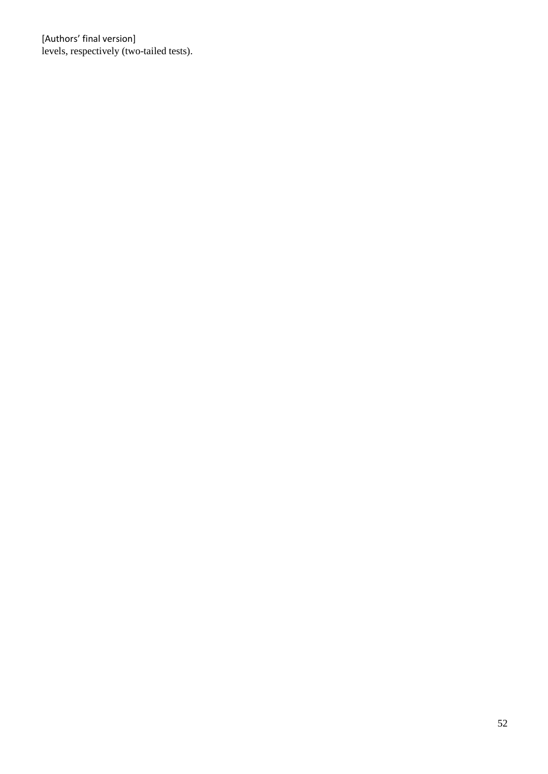[Authors' final version] levels, respectively (two-tailed tests).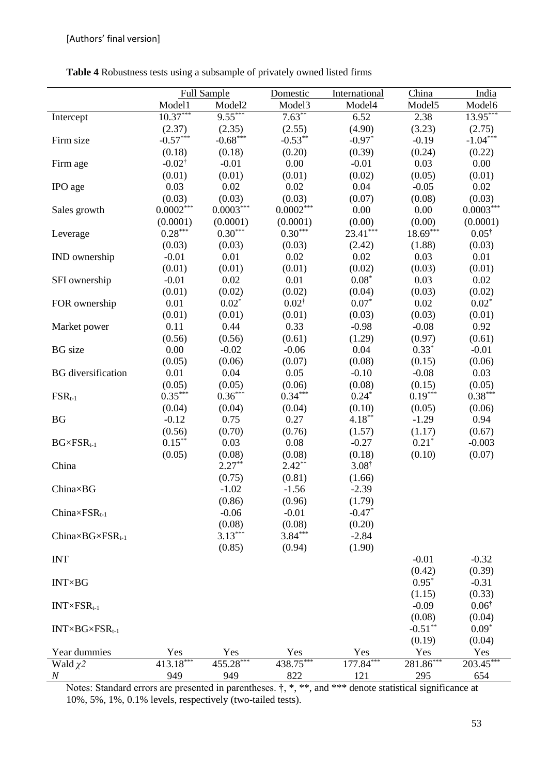**Table 4** Robustness tests using a subsample of privately owned listed firms

|                                    |                    | <b>Full Sample</b>    | Domestic         | International      | China              | India                      |
|------------------------------------|--------------------|-----------------------|------------------|--------------------|--------------------|----------------------------|
|                                    | Model1             | Model <sub>2</sub>    | Model3           | Model4             | Model <sub>5</sub> | Model6                     |
| Intercept                          | $10.37***$         | $9.55***$             | $7.63***$        | 6.52               | 2.38               | $13.95***$                 |
|                                    | (2.37)             | (2.35)                | (2.55)           | (4.90)             | (3.23)             | (2.75)                     |
| Firm size                          | $-0.57***$         | $-0.68***$            | $-0.53**$        | $-0.97*$           | $-0.19$            | $-1.04***$                 |
|                                    | (0.18)             | (0.18)                | (0.20)           | (0.39)             | (0.24)             | (0.22)                     |
| Firm age                           | $-0.02^{\dagger}$  | $-0.01$               | 0.00             | $-0.01$            | 0.03               | 0.00                       |
|                                    | (0.01)             | (0.01)                | (0.01)           | (0.02)             | (0.05)             | (0.01)                     |
| IPO age                            | 0.03               | 0.02                  | 0.02             | 0.04               | $-0.05$            | 0.02                       |
|                                    | (0.03)             | (0.03)                | (0.03)           | (0.07)             | (0.08)             | (0.03)                     |
| Sales growth                       | $0.0002^{***}$     | $0.0003***$           | $0.0002\sp{***}$ | 0.00               | 0.00               | $0.0003^{***}\,$           |
|                                    | (0.0001)           | (0.0001)              | (0.0001)         | (0.00)             | (0.00)             | (0.0001)                   |
| Leverage                           | $0.28***$          | $0.30^{\ast\ast\ast}$ | $0.30***$        | $23.41***$         | $18.69***$         | $0.05^{\dagger}$           |
|                                    | (0.03)             | (0.03)                | (0.03)           | (2.42)             | (1.88)             | (0.03)                     |
| <b>IND</b> ownership               | $-0.01$            | 0.01                  | 0.02             | 0.02               | 0.03               | 0.01                       |
|                                    | (0.01)             | (0.01)                | (0.01)           | (0.02)             | (0.03)             | (0.01)                     |
| SFI ownership                      | $-0.01$            | 0.02                  | 0.01             | $0.08*$            | 0.03               | 0.02                       |
|                                    | (0.01)             | (0.02)                | (0.02)           | (0.04)             | (0.03)             | (0.02)                     |
| FOR ownership                      | 0.01               | $0.02*$               | $0.02^{\dagger}$ | $0.07*$            | 0.02               | $0.02*$                    |
|                                    | (0.01)             | (0.01)                | (0.01)           | (0.03)             | (0.03)             | (0.01)                     |
| Market power                       | 0.11               | 0.44                  | 0.33             | $-0.98$            | $-0.08$            | 0.92                       |
|                                    | (0.56)             | (0.56)                | (0.61)           | (1.29)             | (0.97)             | (0.61)                     |
| <b>BG</b> size                     | 0.00               | $-0.02$               | $-0.06$          | 0.04               | $0.33*$            | $-0.01$                    |
|                                    | (0.05)             | (0.06)                | (0.07)           | (0.08)             | (0.15)             | (0.06)                     |
| <b>BG</b> diversification          | 0.01               | 0.04                  | 0.05             | $-0.10$            | $-0.08$            | 0.03                       |
|                                    | (0.05)             | (0.05)                | (0.06)           | (0.08)             | (0.15)             | (0.05)                     |
| $FSR_{t-1}$                        | $0.35***$          | $0.36***$             | $0.34***$        | $0.24*$            | $0.19***$          | $0.38***$                  |
|                                    | (0.04)             | (0.04)                | (0.04)           | (0.10)             | (0.05)             | (0.06)                     |
| <b>BG</b>                          | $-0.12$            | 0.75                  | 0.27             | $4.18***$          | $-1.29$            | 0.94                       |
|                                    | (0.56)             | (0.70)                | (0.76)           | (1.57)             | (1.17)             | (0.67)                     |
| $BG \times FSR_{t-1}$              | $0.15***$          | 0.03                  | 0.08             | $-0.27$            | $0.21*$            | $-0.003$                   |
|                                    | (0.05)             | (0.08)                | (0.08)           | (0.18)             | (0.10)             | (0.07)                     |
| China                              |                    | $2.27**$              | $2.42**$         | $3.08^{\dagger}$   |                    |                            |
|                                    |                    | (0.75)                | (0.81)           | (1.66)             |                    |                            |
| China×BG                           |                    | $-1.02$               | $-1.56$          | $-2.39$            |                    |                            |
|                                    |                    | (0.86)                | (0.96)           | (1.79)             |                    |                            |
| $China \times FSR_{t-1}$           |                    | $-0.06$               | $-0.01$          | $-0.47*$           |                    |                            |
|                                    |                    | (0.08)                | (0.08)           | (0.20)             |                    |                            |
| China $\times BG \times FSR_{t-1}$ |                    | $3.13***$             | $3.84***$        | $-2.84$            |                    |                            |
|                                    |                    | (0.85)                | (0.94)           | (1.90)             |                    |                            |
| <b>INT</b>                         |                    |                       |                  |                    | $-0.01$            | $-0.32$                    |
|                                    |                    |                       |                  |                    | (0.42)             | (0.39)                     |
| INT <sub>×</sub> BG                |                    |                       |                  |                    | $0.95*$            | $-0.31$                    |
|                                    |                    |                       |                  |                    |                    |                            |
|                                    |                    |                       |                  |                    | (1.15)<br>$-0.09$  | (0.33)<br>$0.06^{\dagger}$ |
| $INT\times FSR_{t-1}$              |                    |                       |                  |                    |                    |                            |
|                                    |                    |                       |                  |                    | (0.08)             | (0.04)                     |
| $INT\times BG\times FSR_{t-1}$     |                    |                       |                  |                    | $-0.51***$         | $0.09*$                    |
|                                    |                    |                       |                  |                    | (0.19)<br>Yes      | (0.04)                     |
| Year dummies                       | Yes<br>$413.18***$ | Yes<br>$455.28***$    | Yes              | Yes<br>$177.84***$ | $281.86***$        | Yes                        |
| Wald $\chi$ 2                      |                    |                       | $438.75***$      |                    |                    | $203.45***$                |
| $\it N$                            | 949                | 949                   | 822              | 121                | 295                | 654                        |

Notes: Standard errors are presented in parentheses.  $\dagger$ , \*, \*\*, and \*\*\* denote statistical significance at 10%, 5%, 1%, 0.1% levels, respectively (two-tailed tests).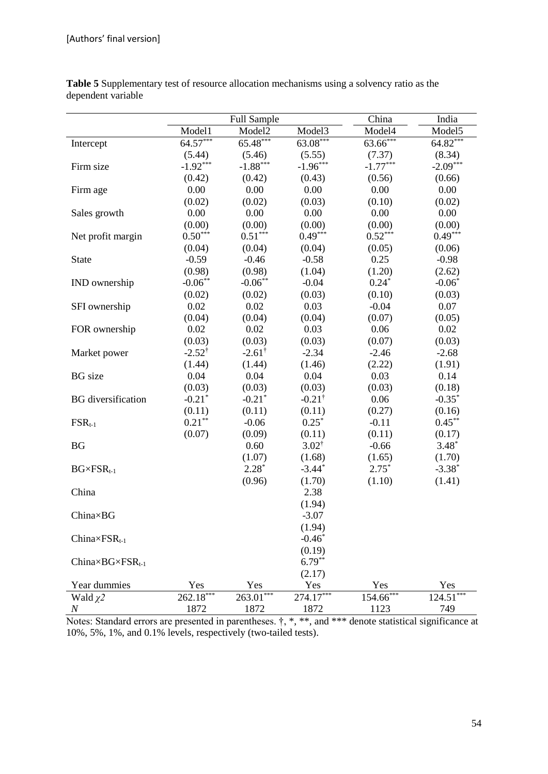|                                    |                      | <b>Full Sample</b>   |                      | China       | India       |
|------------------------------------|----------------------|----------------------|----------------------|-------------|-------------|
|                                    | Model1               | Model <sub>2</sub>   | Model3               | Model4      | Model5      |
| Intercept                          | $64.57***$           | $65.48***$           | $63.08***$           | $63.66***$  | $64.82***$  |
|                                    | (5.44)               | (5.46)               | (5.55)               | (7.37)      | (8.34)      |
| Firm size                          | $-1.92***$           | $-1.88***$           | $-1.96***$           | $-1.77***$  | $-2.09***$  |
|                                    | (0.42)               | (0.42)               | (0.43)               | (0.56)      | (0.66)      |
| Firm age                           | 0.00                 | 0.00                 | 0.00                 | 0.00        | 0.00        |
|                                    | (0.02)               | (0.02)               | (0.03)               | (0.10)      | (0.02)      |
| Sales growth                       | 0.00                 | 0.00                 | 0.00                 | 0.00        | 0.00        |
|                                    | (0.00)               | (0.00)               | (0.00)               | (0.00)      | (0.00)      |
| Net profit margin                  | $0.50***$            | $0.51***$            | $0.49***$            | $0.52***$   | $0.49***$   |
|                                    | (0.04)               | (0.04)               | (0.04)               | (0.05)      | (0.06)      |
| <b>State</b>                       | $-0.59$              | $-0.46$              | $-0.58$              | 0.25        | $-0.98$     |
|                                    | (0.98)               | (0.98)               | (1.04)               | (1.20)      | (2.62)      |
| IND ownership                      | $-0.06***$           | $-0.06***$           | $-0.04$              | $0.24*$     | $-0.06*$    |
|                                    | (0.02)               | (0.02)               | (0.03)               | (0.10)      | (0.03)      |
| SFI ownership                      | 0.02                 | 0.02                 | 0.03                 | $-0.04$     | 0.07        |
|                                    | (0.04)               | (0.04)               | (0.04)               | (0.07)      | (0.05)      |
| FOR ownership                      | 0.02                 | 0.02                 | 0.03                 | 0.06        | 0.02        |
|                                    | (0.03)               | (0.03)               | (0.03)               | (0.07)      | (0.03)      |
| Market power                       | $-2.52^{\dagger}$    | $-2.61^{\dagger}$    | $-2.34$              | $-2.46$     | $-2.68$     |
|                                    | (1.44)               | (1.44)               | (1.46)               | (2.22)      | (1.91)      |
| <b>BG</b> size                     | 0.04                 | 0.04                 | 0.04                 | 0.03        | 0.14        |
|                                    | (0.03)               | (0.03)               | (0.03)               | (0.03)      | (0.18)      |
| <b>BG</b> diversification          | $-0.21$ <sup>*</sup> | $-0.21$ <sup>*</sup> | $-0.21^{\dagger}$    | 0.06        | $-0.35*$    |
|                                    | (0.11)               | (0.11)               | (0.11)               | (0.27)      | (0.16)      |
| $FSR_{t-1}$                        | $0.21***$            | $-0.06$              | $0.25*$              | $-0.11$     | $0.45***$   |
|                                    | (0.07)               | (0.09)               | (0.11)               | (0.11)      | (0.17)      |
| <b>BG</b>                          |                      | 0.60                 | $3.02^{\dagger}$     | $-0.66$     | $3.48*$     |
|                                    |                      | (1.07)               | (1.68)               | (1.65)      | (1.70)      |
| $BG \times FSR_{t-1}$              |                      | $2.28*$              | $-3.44$ <sup>*</sup> | $2.75*$     | $-3.38*$    |
|                                    |                      | (0.96)               | (1.70)               | (1.10)      | (1.41)      |
| China                              |                      |                      | 2.38                 |             |             |
|                                    |                      |                      | (1.94)               |             |             |
| China×BG                           |                      |                      | $-3.07$              |             |             |
|                                    |                      |                      | (1.94)               |             |             |
| $China \times FSR_{t-1}$           |                      |                      | $-0.46*$             |             |             |
|                                    |                      |                      | (0.19)               |             |             |
| China $\times BG \times FSR_{t-1}$ |                      |                      | $6.79***$            |             |             |
|                                    |                      |                      | (2.17)               |             |             |
| Year dummies                       | Yes                  | Yes                  | Yes                  | Yes         | Yes         |
| Wald $\chi$ 2                      | 262.18***            | $263.01***$          | 274.17***            | $154.66***$ | $124.51***$ |
| $\boldsymbol{N}$                   | 1872                 | 1872                 | 1872                 | 1123        | 749         |

**Table 5** Supplementary test of resource allocation mechanisms using a solvency ratio as the dependent variable

Notes: Standard errors are presented in parentheses.  $\dagger$ , \*, \*\*, and \*\*\* denote statistical significance at 10%, 5%, 1%, and 0.1% levels, respectively (two-tailed tests).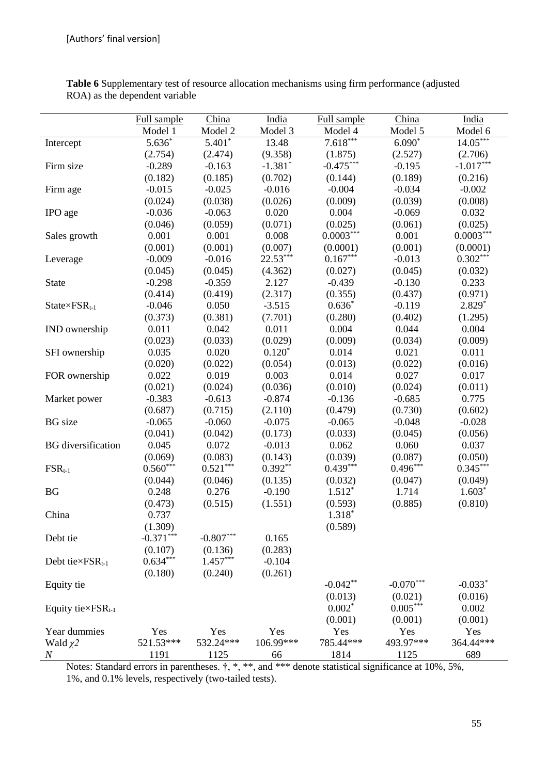|                               | Full sample      | China                            | India            | Full sample      | China            | India            |
|-------------------------------|------------------|----------------------------------|------------------|------------------|------------------|------------------|
|                               | Model 1          | Model 2                          | Model 3          | Model 4          | Model 5          | Model 6          |
| Intercept                     | $5.636*$         | $5.401*$                         | 13.48            | $7.618***$       | $6.090*$         | $14.05***$       |
|                               | (2.754)          | (2.474)                          | (9.358)          | (1.875)          | (2.527)          | (2.706)          |
| Firm size                     | $-0.289$         | $-0.163$                         | $-1.381*$        | $-0.475***$      | $-0.195$         | $-1.017***$      |
|                               | (0.182)          | (0.185)                          | (0.702)          | (0.144)          | (0.189)          | (0.216)          |
| Firm age                      | $-0.015$         | $-0.025$                         | $-0.016$         | $-0.004$         | $-0.034$         | $-0.002$         |
|                               | (0.024)          | (0.038)                          | (0.026)          | (0.009)          | (0.039)          | (0.008)          |
| IPO age                       | $-0.036$         | $-0.063$                         | 0.020            | 0.004            | $-0.069$         | 0.032            |
|                               | (0.046)          | (0.059)                          | (0.071)          | (0.025)          | (0.061)          | (0.025)          |
| Sales growth                  | 0.001            | 0.001                            | 0.008            | $0.0003***$      | 0.001            | $0.0003***$      |
|                               | (0.001)          | (0.001)                          | (0.007)          | (0.0001)         | (0.001)          | (0.0001)         |
| Leverage                      | $-0.009$         | $-0.016$                         | $22.53***$       | $0.167***$       | $-0.013$         | $0.302***$       |
|                               | (0.045)          | (0.045)                          | (4.362)          | (0.027)          | (0.045)          | (0.032)          |
| State                         | $-0.298$         | $-0.359$                         | 2.127            | $-0.439$         | $-0.130$         | 0.233            |
|                               | (0.414)          | (0.419)                          | (2.317)          | (0.355)          | (0.437)          | (0.971)          |
| $State{\times}FSR_{t-1}$      | $-0.046$         | 0.050                            | $-3.515$         | $0.636*$         | $-0.119$         | $2.829*$         |
|                               | (0.373)          | (0.381)                          | (7.701)          | (0.280)          | (0.402)          | (1.295)          |
| IND ownership                 | 0.011            | 0.042                            | 0.011            | 0.004            | 0.044            | 0.004            |
|                               | (0.023)          | (0.033)                          | (0.029)          | (0.009)          | (0.034)<br>0.021 | (0.009)          |
| SFI ownership                 | 0.035            | 0.020                            | $0.120*$         | 0.014            |                  | 0.011            |
|                               | (0.020)<br>0.022 | (0.022)<br>0.019                 | (0.054)<br>0.003 | (0.013)<br>0.014 | (0.022)<br>0.027 | (0.016)<br>0.017 |
| FOR ownership                 | (0.021)          | (0.024)                          | (0.036)          | (0.010)          | (0.024)          | (0.011)          |
| Market power                  | $-0.383$         | $-0.613$                         | $-0.874$         | $-0.136$         | $-0.685$         | 0.775            |
|                               | (0.687)          | (0.715)                          | (2.110)          | (0.479)          | (0.730)          | (0.602)          |
| <b>BG</b> size                | $-0.065$         | $-0.060$                         | $-0.075$         | $-0.065$         | $-0.048$         | $-0.028$         |
|                               | (0.041)          | (0.042)                          | (0.173)          | (0.033)          | (0.045)          | (0.056)          |
| <b>BG</b> diversification     | 0.045            | 0.072                            | $-0.013$         | 0.062            | 0.060            | 0.037            |
|                               | (0.069)          | (0.083)                          | (0.143)          | (0.039)          | (0.087)          | (0.050)          |
| $FSR_{t-1}$                   | $0.560***$       | $0.521***$                       | $0.392**$        | $0.439***$       | $0.496***$       | $0.345***$       |
|                               | (0.044)          | (0.046)                          | (0.135)          | (0.032)          | (0.047)          | (0.049)          |
| <b>BG</b>                     | 0.248            | 0.276                            | $-0.190$         | $1.512*$         | 1.714            | $1.603*$         |
|                               | (0.473)          | (0.515)                          | (1.551)          | (0.593)          | (0.885)          | (0.810)          |
| China                         | 0.737            |                                  |                  | 1.318*           |                  |                  |
|                               | (1.309)          |                                  |                  | (0.589)          |                  |                  |
| Debt tie                      | $-0.371***$      | $\textbf{-0.807}^{\ast\ast\ast}$ | 0.165            |                  |                  |                  |
|                               | (0.107)          | (0.136)                          | (0.283)          |                  |                  |                  |
| Debt tie $\times FSR_{t-1}$   | $0.634***$       | $1.457***$                       | $-0.104$         |                  |                  |                  |
|                               | (0.180)          | (0.240)                          | (0.261)          |                  |                  |                  |
| Equity tie                    |                  |                                  |                  | $-0.042**$       | $-0.070***$      | $-0.033*$        |
|                               |                  |                                  |                  | (0.013)          | (0.021)          | (0.016)          |
| Equity tie $\times FSR_{t-1}$ |                  |                                  |                  | $0.002*$         | $0.005***$       | 0.002            |
|                               |                  |                                  |                  | (0.001)          | (0.001)          | (0.001)          |
| Year dummies                  | Yes              | Yes                              | Yes              | Yes              | Yes              | Yes              |
| Wald $\chi$ 2                 | 521.53***        | 532.24***                        | 106.99***        | 785.44***        | 493.97***        | 364.44***        |
| $\boldsymbol{N}$              | 1191             | 1125                             | 66               | 1814             | 1125             | 689              |

**Table 6** Supplementary test of resource allocation mechanisms using firm performance (adjusted ROA) as the dependent variable

Notes: Standard errors in parentheses.  $\dagger$ , \*, \*\*, and \*\*\* denote statistical significance at 10%, 5%, 1%, and 0.1% levels, respectively (two-tailed tests).